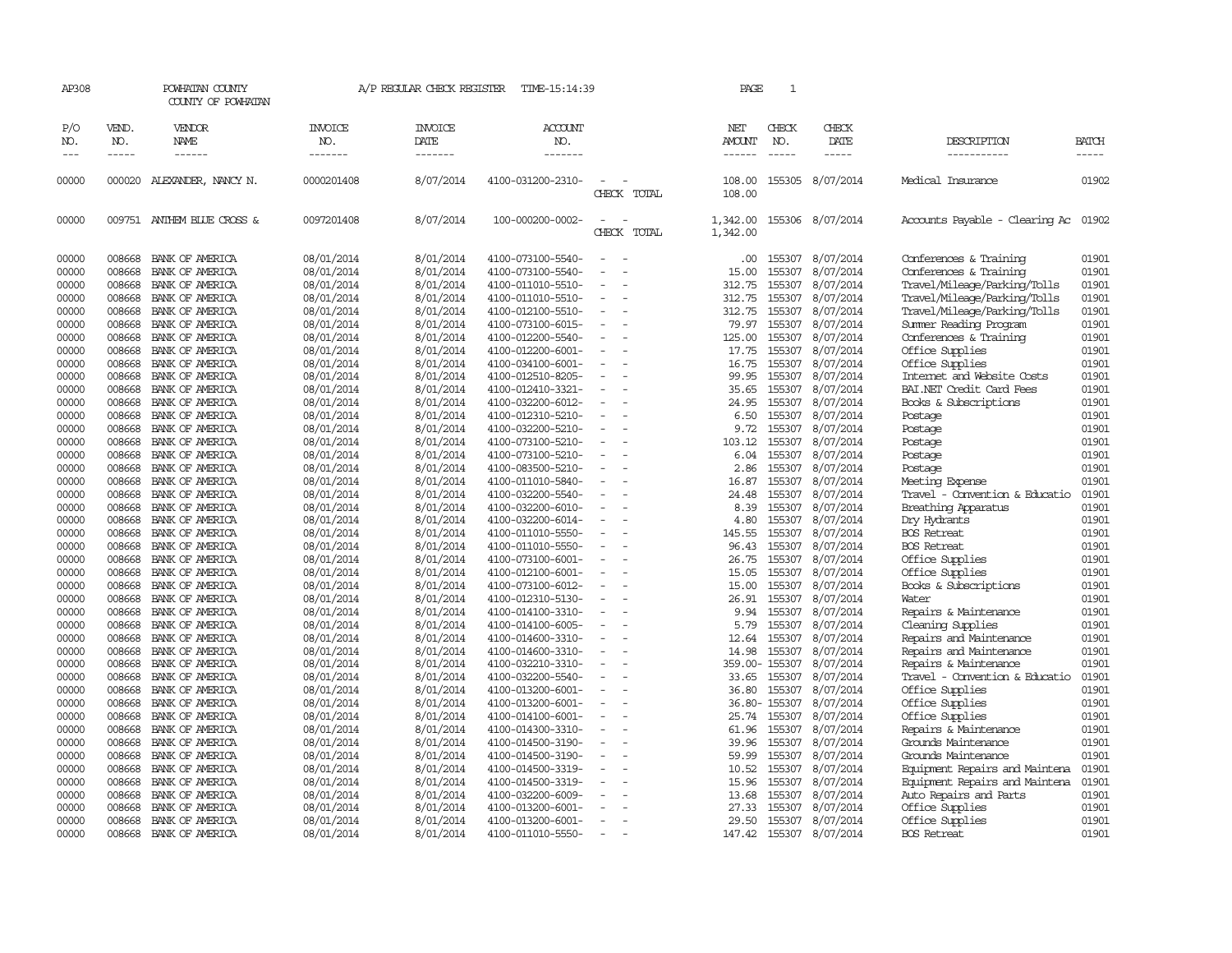| AP308               |                       | POWHATAN COUNTY<br>COUNTY OF POWHATAN |                                  | A/P REGULAR CHECK REGISTER        | TIME-15:14:39                    |                          | PAGE                    | $\mathbf{1}$                |                        |                                                        |                |
|---------------------|-----------------------|---------------------------------------|----------------------------------|-----------------------------------|----------------------------------|--------------------------|-------------------------|-----------------------------|------------------------|--------------------------------------------------------|----------------|
| P/O<br>NO.<br>$---$ | VEND.<br>NO.<br>----- | VENDOR<br>NAME<br>------              | <b>INVOICE</b><br>NO.<br>------- | <b>INVOICE</b><br>DATE<br>------- | <b>ACCOUNT</b><br>NO.<br>------- |                          | NET<br>AMOUNT<br>------ | CHECK<br>NO.<br>$- - - - -$ | CHECK<br>DATE<br>----- | DESCRIPTION<br>___________                             | BATCH<br>----- |
| 00000               | 000020                | ALEXANDER, NANCY N.                   | 0000201408                       | 8/07/2014                         | 4100-031200-2310-                | CHECK TOTAL              | 108.00<br>108.00        |                             | 155305 8/07/2014       | Medical Insurance                                      | 01902          |
| 00000               |                       | 009751 ANTHEM BLUE CROSS &            | 0097201408                       | 8/07/2014                         | 100-000200-0002-                 | CHECK TOTAL              | 1,342.00<br>1,342.00    |                             | 155306 8/07/2014       | Accounts Payable - Clearing Ac                         | 01902          |
| 00000               | 008668                | BANK OF AMERICA                       | 08/01/2014                       | 8/01/2014                         | 4100-073100-5540-                |                          | .00                     |                             | 155307 8/07/2014       | Conferences & Training                                 | 01901          |
| 00000               | 008668                | BANK OF AMERICA                       | 08/01/2014                       | 8/01/2014                         | 4100-073100-5540-                |                          | 15.00                   | 155307                      | 8/07/2014              | Conferences & Training                                 | 01901          |
| 00000               | 008668                | BANK OF AMERICA                       | 08/01/2014                       | 8/01/2014                         | 4100-011010-5510-                |                          | 312.75                  | 155307                      | 8/07/2014              | Travel/Mileage/Parking/Tolls                           | 01901          |
| 00000               | 008668                | BANK OF AMERICA                       | 08/01/2014                       | 8/01/2014                         | 4100-011010-5510-                |                          | 312.75                  | 155307                      | 8/07/2014              | Travel/Mileage/Parking/Tolls                           | 01901          |
| 00000               | 008668                | BANK OF AMERICA                       | 08/01/2014                       | 8/01/2014                         | 4100-012100-5510-                |                          | 312.75                  | 155307                      | 8/07/2014              | Travel/Mileage/Parking/Tolls                           | 01901          |
| 00000               | 008668                | BANK OF AMERICA                       | 08/01/2014                       | 8/01/2014                         | 4100-073100-6015-                | $\overline{\phantom{a}}$ | 79.97                   |                             | 155307 8/07/2014       | Summer Reading Program                                 | 01901          |
| 00000               | 008668                | BANK OF AMERICA                       | 08/01/2014                       | 8/01/2014                         | 4100-012200-5540-                |                          | 125.00                  | 155307                      | 8/07/2014              | Conferences & Training                                 | 01901          |
| 00000               | 008668                | BANK OF AMERICA                       | 08/01/2014                       | 8/01/2014                         | 4100-012200-6001-                |                          | 17.75                   | 155307                      | 8/07/2014              | Office Supplies                                        | 01901          |
| 00000               | 008668                | BANK OF AMERICA                       | 08/01/2014                       | 8/01/2014                         |                                  |                          |                         |                             | 155307 8/07/2014       | Office Supplies                                        | 01901          |
|                     |                       |                                       |                                  |                                   | 4100-034100-6001-                |                          | 16.75                   |                             |                        |                                                        |                |
| 00000<br>00000      | 008668<br>008668      | BANK OF AMERICA                       | 08/01/2014                       | 8/01/2014                         | 4100-012510-8205-                |                          | 99.95                   | 155307<br>155307            | 8/07/2014              | Internet and Website Costs<br>BAI.NET Credit Card Fees | 01901<br>01901 |
|                     |                       | BANK OF AMERICA                       | 08/01/2014                       | 8/01/2014                         | 4100-012410-3321-                |                          | 35.65                   |                             | 8/07/2014              |                                                        |                |
| 00000               | 008668                | BANK OF AMERICA                       | 08/01/2014                       | 8/01/2014                         | 4100-032200-6012-                |                          | 24.95                   | 155307                      | 8/07/2014              | Books & Subscriptions                                  | 01901          |
| 00000               | 008668                | BANK OF AMERICA                       | 08/01/2014                       | 8/01/2014                         | 4100-012310-5210-                | $\equiv$                 | 6.50                    | 155307                      | 8/07/2014              | Postage                                                | 01901          |
| 00000               | 008668                | BANK OF AMERICA                       | 08/01/2014                       | 8/01/2014                         | 4100-032200-5210-                |                          | 9.72                    | 155307                      | 8/07/2014              | Postage                                                | 01901          |
| 00000               | 008668                | BANK OF AMERICA                       | 08/01/2014                       | 8/01/2014                         | 4100-073100-5210-                |                          | 103.12                  | 155307                      | 8/07/2014              | Postage                                                | 01901          |
| 00000               | 008668                | BANK OF AMERICA                       | 08/01/2014                       | 8/01/2014                         | 4100-073100-5210-                |                          | 6.04                    | 155307                      | 8/07/2014              | Postage                                                | 01901          |
| 00000               | 008668                | BANK OF AMERICA                       | 08/01/2014                       | 8/01/2014                         | 4100-083500-5210-                | $\equiv$                 | 2.86                    |                             | 155307 8/07/2014       | Postage                                                | 01901          |
| 00000               | 008668                | BANK OF AMERICA                       | 08/01/2014                       | 8/01/2014                         | 4100-011010-5840-                |                          | 16.87                   | 155307                      | 8/07/2014              | Meeting Expense                                        | 01901          |
| 00000               | 008668                | BANK OF AMERICA                       | 08/01/2014                       | 8/01/2014                         | 4100-032200-5540-                |                          | 24.48                   |                             | 155307 8/07/2014       | Travel - Convention & Educatio                         | 01901          |
| 00000               | 008668                | BANK OF AMERICA                       | 08/01/2014                       | 8/01/2014                         | 4100-032200-6010-                |                          | 8.39                    | 155307                      | 8/07/2014              | Breathing Apparatus                                    | 01901          |
| 00000               | 008668                | BANK OF AMERICA                       | 08/01/2014                       | 8/01/2014                         | 4100-032200-6014-                |                          | 4.80                    | 155307                      | 8/07/2014              | Dry Hydrants                                           | 01901          |
| 00000               | 008668                | BANK OF AMERICA                       | 08/01/2014                       | 8/01/2014                         | 4100-011010-5550-                |                          | 145.55                  | 155307                      | 8/07/2014              | <b>BOS Retreat</b>                                     | 01901          |
| 00000               | 008668                | BANK OF AMERICA                       | 08/01/2014                       | 8/01/2014                         | 4100-011010-5550-                |                          | 96.43                   | 155307                      | 8/07/2014              | <b>BOS</b> Retreat                                     | 01901          |
| 00000               | 008668                | BANK OF AMERICA                       | 08/01/2014                       | 8/01/2014                         | 4100-073100-6001-                | $\overline{\phantom{a}}$ | 26.75                   | 155307                      | 8/07/2014              | Office Supplies                                        | 01901          |
| 00000               | 008668                | BANK OF AMERICA                       | 08/01/2014                       | 8/01/2014                         | 4100-012100-6001-                |                          | 15.05                   | 155307                      | 8/07/2014              | Office Supplies                                        | 01901          |
| 00000               | 008668                | BANK OF AMERICA                       | 08/01/2014                       | 8/01/2014                         | 4100-073100-6012-                |                          | 15.00                   | 155307                      | 8/07/2014              | Books & Subscriptions                                  | 01901          |
| 00000               | 008668                | BANK OF AMERICA                       | 08/01/2014                       | 8/01/2014                         | 4100-012310-5130-                |                          | 26.91                   | 155307                      | 8/07/2014              | Water                                                  | 01901          |
| 00000               | 008668                | BANK OF AMERICA                       | 08/01/2014                       | 8/01/2014                         | 4100-014100-3310-                | $\sim$                   | 9.94                    |                             | 155307 8/07/2014       | Repairs & Maintenance                                  | 01901          |
| 00000               | 008668                | BANK OF AMERICA                       | 08/01/2014                       | 8/01/2014                         | 4100-014100-6005-                |                          | 5.79                    | 155307                      | 8/07/2014              | Cleaning Supplies                                      | 01901          |
| 00000               | 008668                | BANK OF AMERICA                       | 08/01/2014                       | 8/01/2014                         | 4100-014600-3310-                |                          | 12.64                   | 155307                      | 8/07/2014              | Repairs and Maintenance                                | 01901          |
| 00000               | 008668                | BANK OF AMERICA                       | 08/01/2014                       | 8/01/2014                         | 4100-014600-3310-                |                          | 14.98                   | 155307                      | 8/07/2014              | Repairs and Maintenance                                | 01901          |
| 00000               | 008668                | BANK OF AMERICA                       | 08/01/2014                       | 8/01/2014                         | 4100-032210-3310-                |                          |                         | 359.00-155307               | 8/07/2014              | Repairs & Maintenance                                  | 01901          |
| 00000               | 008668                | BANK OF AMERICA                       | 08/01/2014                       | 8/01/2014                         | 4100-032200-5540-                |                          | 33.65                   | 155307                      | 8/07/2014              | Travel - Convention & Educatio                         | 01901          |
| 00000               | 008668                | BANK OF AMERICA                       | 08/01/2014                       | 8/01/2014                         | 4100-013200-6001-                |                          | 36.80                   | 155307                      | 8/07/2014              | Office Supplies                                        | 01901          |
| 00000               | 008668                | BANK OF AMERICA                       | 08/01/2014                       | 8/01/2014                         | 4100-013200-6001-                | $\equiv$                 |                         | 36.80-155307                | 8/07/2014              | Office Supplies                                        | 01901          |
| 00000               | 008668                | BANK OF AMERICA                       | 08/01/2014                       | 8/01/2014                         | 4100-014100-6001-                |                          | 25.74                   | 155307                      | 8/07/2014              | Office Supplies                                        | 01901          |
| 00000               | 008668                | BANK OF AMERICA                       | 08/01/2014                       | 8/01/2014                         | 4100-014300-3310-                |                          | 61.96                   |                             | 155307 8/07/2014       | Repairs & Maintenance                                  | 01901          |
| 00000               | 008668                | BANK OF AMERICA                       | 08/01/2014                       | 8/01/2014                         | 4100-014500-3190-                |                          | 39.96                   | 155307                      | 8/07/2014              | Grounds Maintenance                                    | 01901          |
| 00000               | 008668                | BANK OF AMERICA                       | 08/01/2014                       | 8/01/2014                         | 4100-014500-3190-                | $\sim$                   | 59.99                   |                             | 155307 8/07/2014       | Grounds Maintenance                                    | 01901          |
| 00000               | 008668                | BANK OF AMERICA                       | 08/01/2014                       | 8/01/2014                         | 4100-014500-3319-                |                          | 10.52                   | 155307                      | 8/07/2014              | Equipment Repairs and Maintena                         | 01901          |
| 00000               | 008668                | BANK OF AMERICA                       | 08/01/2014                       | 8/01/2014                         | 4100-014500-3319-                |                          | 15.96                   | 155307                      | 8/07/2014              | Equipment Repairs and Maintena                         | 01901          |
| 00000               | 008668                | BANK OF AMERICA                       | 08/01/2014                       | 8/01/2014                         | 4100-032200-6009-                |                          | 13.68                   | 155307                      | 8/07/2014              | Auto Repairs and Parts                                 | 01901          |
| 00000               | 008668                | BANK OF AMERICA                       | 08/01/2014                       | 8/01/2014                         | 4100-013200-6001-                |                          | 27.33                   | 155307                      | 8/07/2014              | Office Supplies                                        | 01901          |
| 00000               | 008668                | BANK OF AMERICA                       | 08/01/2014                       | 8/01/2014                         | 4100-013200-6001-                |                          | 29.50                   |                             | 155307 8/07/2014       | Office Supplies                                        | 01901          |
| 00000               | 008668                | BANK OF AMERICA                       | 08/01/2014                       | 8/01/2014                         | 4100-011010-5550-                | $\sim$                   | 147.42                  |                             | 155307 8/07/2014       | <b>BOS Retreat</b>                                     | 01901          |
|                     |                       |                                       |                                  |                                   |                                  |                          |                         |                             |                        |                                                        |                |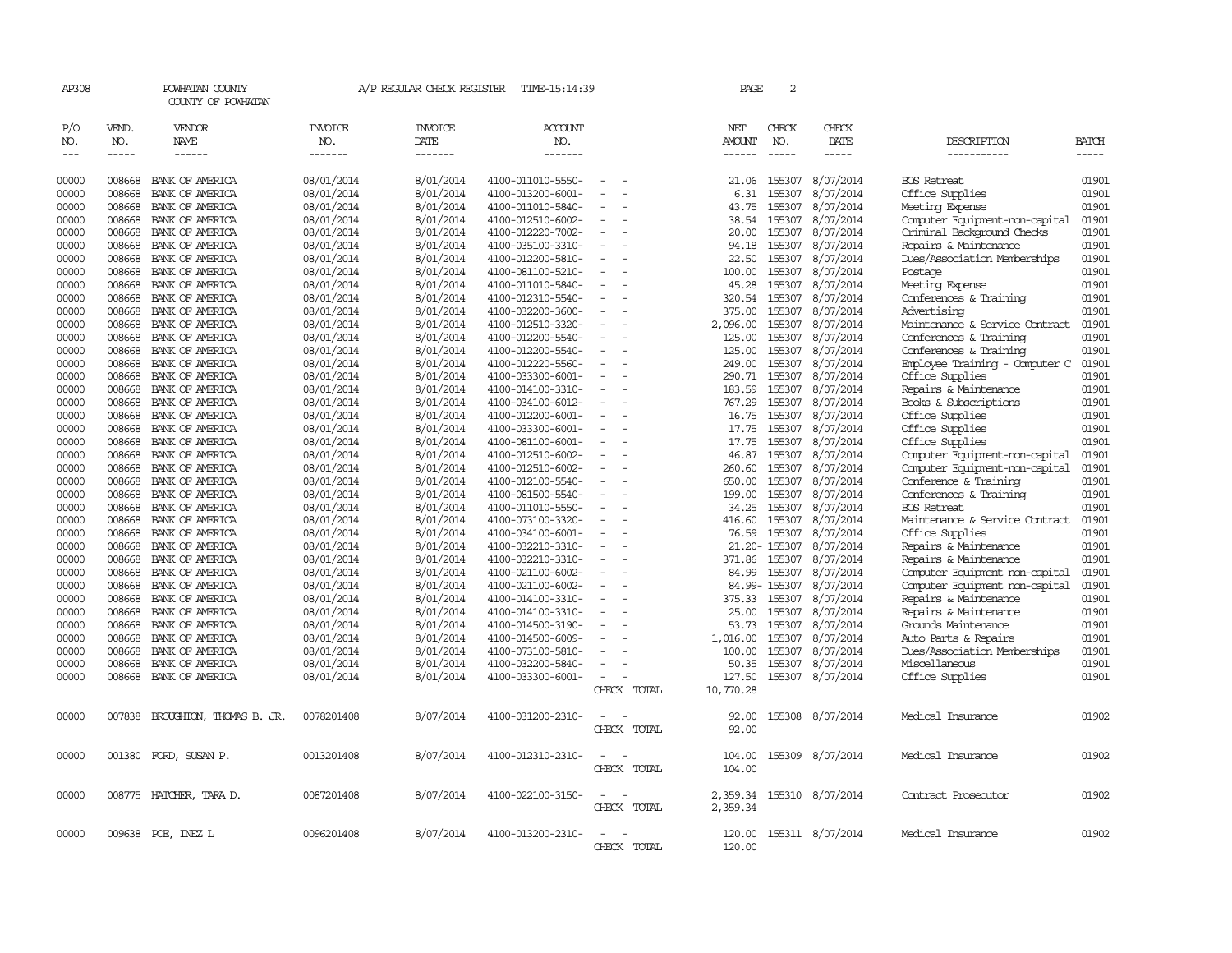| AP308                                                                                                                                                                                                                                                                                                                                                                                        |                  | POWHATAN COUNTY<br>COUNTY OF POWHATAN |                | A/P REGULAR CHECK REGISTER | TIME-15:14:39     |                          | PAGE                | $\sqrt{2}$       |                        |                                                      |                |
|----------------------------------------------------------------------------------------------------------------------------------------------------------------------------------------------------------------------------------------------------------------------------------------------------------------------------------------------------------------------------------------------|------------------|---------------------------------------|----------------|----------------------------|-------------------|--------------------------|---------------------|------------------|------------------------|------------------------------------------------------|----------------|
| P/O                                                                                                                                                                                                                                                                                                                                                                                          | VEND.            | VENDOR                                | <b>INVOICE</b> | <b>INVOICE</b>             | <b>ACCOUNT</b>    |                          | NET                 | CHECK            | CHECK                  |                                                      |                |
| NO.                                                                                                                                                                                                                                                                                                                                                                                          | NO.              | <b>NAME</b>                           | NO.            | DATE                       | NO.               |                          | AMOUNT              | NO.              | DATE                   | DESCRIPTION                                          | BATCH          |
| $\frac{1}{2} \frac{1}{2} \frac{1}{2} \frac{1}{2} \frac{1}{2} \frac{1}{2} \frac{1}{2} \frac{1}{2} \frac{1}{2} \frac{1}{2} \frac{1}{2} \frac{1}{2} \frac{1}{2} \frac{1}{2} \frac{1}{2} \frac{1}{2} \frac{1}{2} \frac{1}{2} \frac{1}{2} \frac{1}{2} \frac{1}{2} \frac{1}{2} \frac{1}{2} \frac{1}{2} \frac{1}{2} \frac{1}{2} \frac{1}{2} \frac{1}{2} \frac{1}{2} \frac{1}{2} \frac{1}{2} \frac{$ | $- - - - -$      | $- - - - - -$                         | -------        | -------                    | -------           |                          | $- - - - - -$       | $- - - - -$      | -----                  | -----------                                          | -----          |
| 00000                                                                                                                                                                                                                                                                                                                                                                                        | 008668           | BANK OF AMERICA                       | 08/01/2014     | 8/01/2014                  | 4100-011010-5550- | $\equiv$                 | 21.06               | 155307           | 8/07/2014              | <b>BOS</b> Retreat                                   | 01901          |
| 00000                                                                                                                                                                                                                                                                                                                                                                                        | 008668           | BANK OF AMERICA                       | 08/01/2014     | 8/01/2014                  | 4100-013200-6001- |                          | 6.31                | 155307           | 8/07/2014              | Office Supplies                                      | 01901          |
| 00000                                                                                                                                                                                                                                                                                                                                                                                        | 008668           | BANK OF AMERICA                       | 08/01/2014     | 8/01/2014                  | 4100-011010-5840- |                          | 43.75               | 155307           | 8/07/2014              | Meeting Expense                                      | 01901          |
| 00000                                                                                                                                                                                                                                                                                                                                                                                        | 008668           | BANK OF AMERICA                       | 08/01/2014     | 8/01/2014                  | 4100-012510-6002- |                          | 38.54               | 155307           | 8/07/2014              | Computer Equipment-non-capital                       | 01901          |
| 00000                                                                                                                                                                                                                                                                                                                                                                                        | 008668           | BANK OF AMERICA                       | 08/01/2014     | 8/01/2014                  | 4100-012220-7002- |                          | 20.00               | 155307           | 8/07/2014              | Criminal Background Checks                           | 01901          |
| 00000                                                                                                                                                                                                                                                                                                                                                                                        | 008668           | BANK OF AMERICA                       | 08/01/2014     | 8/01/2014                  | 4100-035100-3310- |                          | 94.18               | 155307           | 8/07/2014              | Repairs & Maintenance                                | 01901          |
| 00000                                                                                                                                                                                                                                                                                                                                                                                        | 008668           | BANK OF AMERICA                       | 08/01/2014     | 8/01/2014                  | 4100-012200-5810- |                          | 22.50               | 155307           | 8/07/2014              | Dues/Association Memberships                         | 01901          |
| 00000                                                                                                                                                                                                                                                                                                                                                                                        | 008668           | BANK OF AMERICA                       | 08/01/2014     | 8/01/2014                  | 4100-081100-5210- | $\sim$                   | 100.00              | 155307           | 8/07/2014              | Postage                                              | 01901          |
| 00000                                                                                                                                                                                                                                                                                                                                                                                        | 008668           | BANK OF AMERICA                       | 08/01/2014     | 8/01/2014                  | 4100-011010-5840- |                          | 45.28               | 155307           | 8/07/2014              | Meeting Expense                                      | 01901          |
| 00000                                                                                                                                                                                                                                                                                                                                                                                        | 008668           | BANK OF AMERICA                       | 08/01/2014     | 8/01/2014                  | 4100-012310-5540- |                          | 320.54              | 155307           | 8/07/2014              | Conferences & Training                               | 01901          |
| 00000                                                                                                                                                                                                                                                                                                                                                                                        | 008668           | BANK OF AMERICA                       | 08/01/2014     | 8/01/2014                  | 4100-032200-3600- |                          | 375.00              | 155307           | 8/07/2014              | Advertising                                          | 01901          |
| 00000                                                                                                                                                                                                                                                                                                                                                                                        | 008668           | BANK OF AMERICA                       | 08/01/2014     | 8/01/2014                  | 4100-012510-3320- | $\overline{\phantom{a}}$ | 2,096.00            | 155307           | 8/07/2014              | Maintenance & Service Contract                       | 01901          |
| 00000                                                                                                                                                                                                                                                                                                                                                                                        | 008668           | BANK OF AMERICA                       | 08/01/2014     | 8/01/2014                  | 4100-012200-5540- |                          | 125.00              | 155307           | 8/07/2014              | Conferences & Training                               | 01901          |
| 00000                                                                                                                                                                                                                                                                                                                                                                                        | 008668           | BANK OF AMERICA                       | 08/01/2014     | 8/01/2014                  | 4100-012200-5540- |                          | 125.00              | 155307           | 8/07/2014              | Conferences & Training                               | 01901          |
| 00000                                                                                                                                                                                                                                                                                                                                                                                        | 008668           | BANK OF AMERICA                       | 08/01/2014     | 8/01/2014                  | 4100-012220-5560- | $\equiv$                 | 249.00              | 155307           | 8/07/2014              | Employee Training - Computer C                       | 01901          |
| 00000                                                                                                                                                                                                                                                                                                                                                                                        | 008668           | BANK OF AMERICA                       | 08/01/2014     | 8/01/2014                  | 4100-033300-6001- |                          | 290.71              | 155307           | 8/07/2014              | Office Supplies                                      | 01901          |
| 00000                                                                                                                                                                                                                                                                                                                                                                                        | 008668           | BANK OF AMERICA                       | 08/01/2014     | 8/01/2014                  | 4100-014100-3310- |                          | 183.59              | 155307           | 8/07/2014              | Repairs & Maintenance                                | 01901          |
| 00000                                                                                                                                                                                                                                                                                                                                                                                        | 008668           | BANK OF AMERICA                       | 08/01/2014     | 8/01/2014                  | 4100-034100-6012- |                          | 767.29              | 155307           | 8/07/2014              | Books & Subscriptions                                | 01901          |
| 00000                                                                                                                                                                                                                                                                                                                                                                                        | 008668           | BANK OF AMERICA                       | 08/01/2014     | 8/01/2014                  | 4100-012200-6001- | $\overline{\phantom{a}}$ | 16.75               | 155307           | 8/07/2014              | Office Supplies                                      | 01901          |
| 00000                                                                                                                                                                                                                                                                                                                                                                                        | 008668           | BANK OF AMERICA                       | 08/01/2014     | 8/01/2014                  | 4100-033300-6001- |                          | 17.75               | 155307           | 8/07/2014              | Office Supplies                                      | 01901          |
| 00000                                                                                                                                                                                                                                                                                                                                                                                        | 008668           | BANK OF AMERICA                       | 08/01/2014     | 8/01/2014                  | 4100-081100-6001- |                          | 17.75               | 155307           | 8/07/2014              | Office Supplies                                      | 01901          |
| 00000                                                                                                                                                                                                                                                                                                                                                                                        | 008668           | BANK OF AMERICA                       | 08/01/2014     | 8/01/2014                  | 4100-012510-6002- |                          | 46.87               | 155307           | 8/07/2014              | Computer Equipment-non-capital                       | 01901          |
| 00000                                                                                                                                                                                                                                                                                                                                                                                        | 008668           | BANK OF AMERICA                       | 08/01/2014     | 8/01/2014                  | 4100-012510-6002- |                          | 260.60              | 155307           | 8/07/2014              | Computer Equipment-non-capital                       | 01901          |
| 00000                                                                                                                                                                                                                                                                                                                                                                                        | 008668           | BANK OF AMERICA                       | 08/01/2014     | 8/01/2014                  | 4100-012100-5540- |                          | 650.00              | 155307           | 8/07/2014              | Conference & Training                                | 01901          |
| 00000                                                                                                                                                                                                                                                                                                                                                                                        | 008668           | BANK OF AMERICA                       | 08/01/2014     | 8/01/2014                  | 4100-081500-5540- |                          | 199.00              | 155307           | 8/07/2014              | Conferences & Training                               | 01901          |
| 00000                                                                                                                                                                                                                                                                                                                                                                                        | 008668           | BANK OF AMERICA                       | 08/01/2014     | 8/01/2014                  | 4100-011010-5550- | $\equiv$                 | 34.25               | 155307           | 8/07/2014              | <b>BOS Retreat</b>                                   | 01901          |
| 00000                                                                                                                                                                                                                                                                                                                                                                                        | 008668           | BANK OF AMERICA                       | 08/01/2014     | 8/01/2014                  | 4100-073100-3320- | $\overline{\phantom{a}}$ | 416.60              | 155307           | 8/07/2014              | Maintenance & Service Contract                       | 01901          |
| 00000                                                                                                                                                                                                                                                                                                                                                                                        | 008668           | BANK OF AMERICA                       | 08/01/2014     | 8/01/2014                  | 4100-034100-6001- |                          | 76.59               | 155307           | 8/07/2014              | Office Supplies                                      | 01901          |
| 00000                                                                                                                                                                                                                                                                                                                                                                                        | 008668           | BANK OF AMERICA                       | 08/01/2014     | 8/01/2014                  | 4100-032210-3310- |                          |                     | 21.20-155307     | 8/07/2014              | Repairs & Maintenance                                | 01901          |
| 00000                                                                                                                                                                                                                                                                                                                                                                                        | 008668           | BANK OF AMERICA                       | 08/01/2014     | 8/01/2014                  | 4100-032210-3310- | $\equiv$                 | 371.86              | 155307           | 8/07/2014              | Repairs & Maintenance                                | 01901          |
| 00000<br>00000                                                                                                                                                                                                                                                                                                                                                                               | 008668<br>008668 | BANK OF AMERICA                       | 08/01/2014     | 8/01/2014                  | 4100-021100-6002- |                          | 84.99               | 155307           | 8/07/2014              | Computer Equipment non-capital                       | 01901<br>01901 |
|                                                                                                                                                                                                                                                                                                                                                                                              |                  | BANK OF AMERICA                       | 08/01/2014     | 8/01/2014                  | 4100-021100-6002- |                          |                     | 84.99-155307     | 8/07/2014              | Computer Equipment non-capital                       |                |
| 00000                                                                                                                                                                                                                                                                                                                                                                                        | 008668           | BANK OF AMERICA                       | 08/01/2014     | 8/01/2014                  | 4100-014100-3310- | $\equiv$                 | 375.33              | 155307           | 8/07/2014              | Repairs & Maintenance                                | 01901<br>01901 |
| 00000                                                                                                                                                                                                                                                                                                                                                                                        | 008668           | BANK OF AMERICA                       | 08/01/2014     | 8/01/2014                  | 4100-014100-3310- |                          | 25.00               | 155307           | 8/07/2014              | Repairs & Maintenance                                |                |
| 00000                                                                                                                                                                                                                                                                                                                                                                                        | 008668<br>008668 | BANK OF AMERICA                       | 08/01/2014     | 8/01/2014                  | 4100-014500-3190- |                          | 53.73               | 155307<br>155307 | 8/07/2014              | Grounds Maintenance                                  | 01901<br>01901 |
| 00000<br>00000                                                                                                                                                                                                                                                                                                                                                                               | 008668           | BANK OF AMERICA                       | 08/01/2014     | 8/01/2014<br>8/01/2014     | 4100-014500-6009- |                          | 1,016.00            | 155307           | 8/07/2014<br>8/07/2014 | Auto Parts & Repairs<br>Dues/Association Memberships | 01901          |
|                                                                                                                                                                                                                                                                                                                                                                                              |                  | BANK OF AMERICA                       | 08/01/2014     |                            | 4100-073100-5810- |                          | 100.00              |                  |                        |                                                      |                |
| 00000                                                                                                                                                                                                                                                                                                                                                                                        | 008668           | BANK OF AMERICA                       | 08/01/2014     | 8/01/2014                  | 4100-032200-5840- | $\equiv$                 | 50.35               | 155307           | 8/07/2014              | Miscellaneous                                        | 01901          |
| 00000                                                                                                                                                                                                                                                                                                                                                                                        | 008668           | BANK OF AMERICA                       | 08/01/2014     | 8/01/2014                  | 4100-033300-6001- | CHECK TOTAL              | 127.50<br>10,770.28 | 155307           | 8/07/2014              | Office Supplies                                      | 01901          |
|                                                                                                                                                                                                                                                                                                                                                                                              |                  |                                       |                |                            |                   |                          |                     |                  |                        |                                                      |                |
| 00000                                                                                                                                                                                                                                                                                                                                                                                        | 007838           | BROUGHTON, THOMAS B. JR.              | 0078201408     | 8/07/2014                  | 4100-031200-2310- |                          | 92.00               |                  | 155308 8/07/2014       | Medical Insurance                                    | 01902          |
|                                                                                                                                                                                                                                                                                                                                                                                              |                  |                                       |                |                            |                   | CHECK TOTAL              | 92.00               |                  |                        |                                                      |                |
| 00000                                                                                                                                                                                                                                                                                                                                                                                        |                  | 001380 FORD, SUSAN P.                 | 0013201408     | 8/07/2014                  | 4100-012310-2310- |                          | 104.00              |                  | 155309 8/07/2014       | Medical Insurance                                    | 01902          |
|                                                                                                                                                                                                                                                                                                                                                                                              |                  |                                       |                |                            |                   | CHECK TOTAL              | 104.00              |                  |                        |                                                      |                |
| 00000                                                                                                                                                                                                                                                                                                                                                                                        |                  | 008775 HATCHER, TARA D.               | 0087201408     | 8/07/2014                  | 4100-022100-3150- |                          | 2,359.34            |                  | 155310 8/07/2014       | Contract Prosecutor                                  | 01902          |
|                                                                                                                                                                                                                                                                                                                                                                                              |                  |                                       |                |                            |                   | CHECK TOTAL              | 2,359.34            |                  |                        |                                                      |                |
|                                                                                                                                                                                                                                                                                                                                                                                              |                  |                                       |                |                            |                   |                          |                     |                  |                        |                                                      |                |
| 00000                                                                                                                                                                                                                                                                                                                                                                                        |                  | 009638 POE, INEZ L                    | 0096201408     | 8/07/2014                  | 4100-013200-2310- | $\sim$                   | 120.00              |                  | 155311 8/07/2014       | Medical Insurance                                    | 01902          |
|                                                                                                                                                                                                                                                                                                                                                                                              |                  |                                       |                |                            |                   | CHECK TOTAL              | 120.00              |                  |                        |                                                      |                |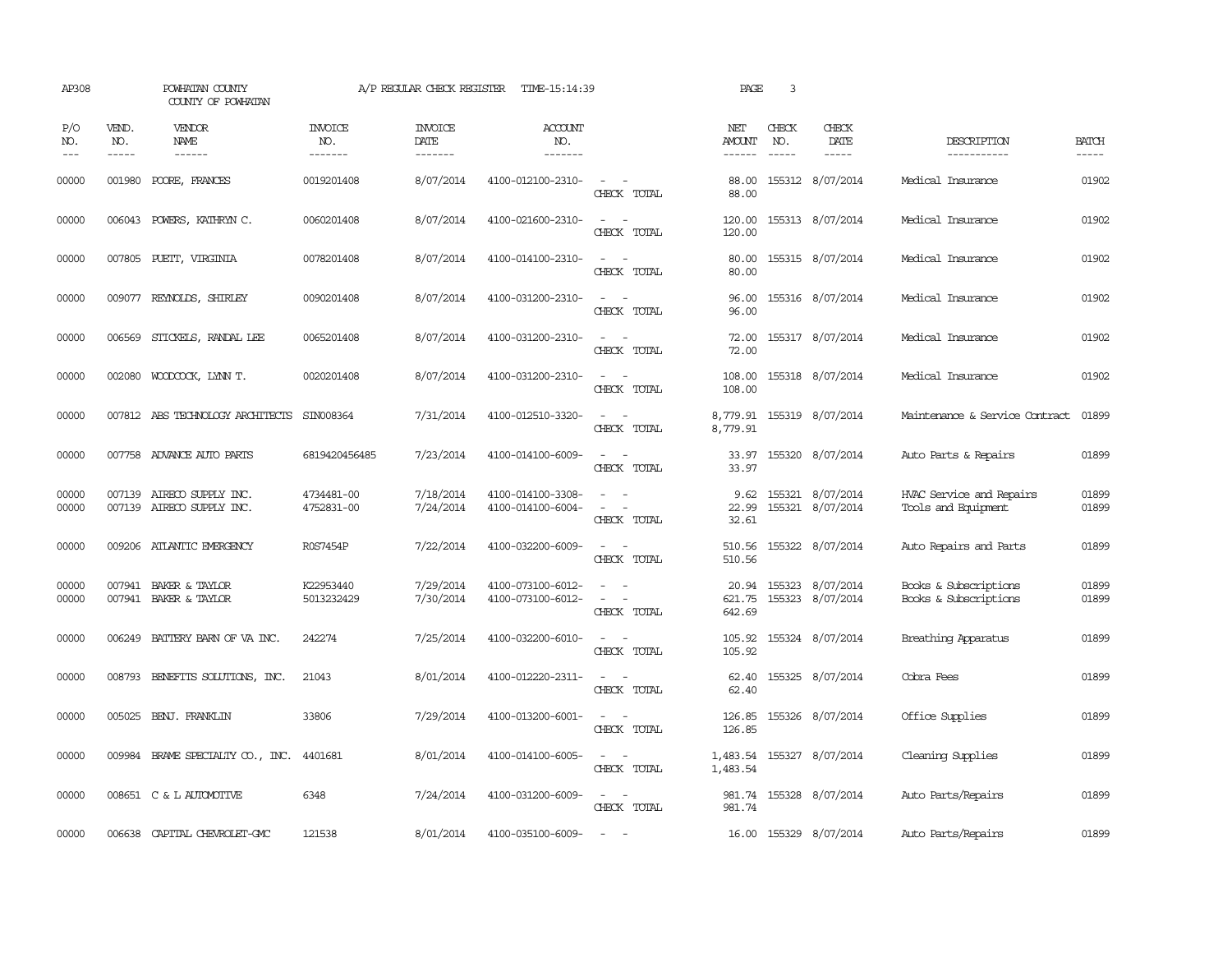| AP308               |                             | POWHATAN COUNTY<br>COUNTY OF POWHATAN                  |                           | A/P REGULAR CHECK REGISTER        | TIME-15:14:39                          |                                                                                                                             | PAGE                                  | 3                             |                                         |                                                 |                       |
|---------------------|-----------------------------|--------------------------------------------------------|---------------------------|-----------------------------------|----------------------------------------|-----------------------------------------------------------------------------------------------------------------------------|---------------------------------------|-------------------------------|-----------------------------------------|-------------------------------------------------|-----------------------|
| P/O<br>NO.<br>$---$ | VEND.<br>NO.<br>$- - - - -$ | VENDOR<br><b>NAME</b><br>$- - - - - -$                 | INVOICE<br>NO.<br>------- | <b>INVOICE</b><br>DATE<br>------- | <b>ACCOUNT</b><br>NO.<br>-------       |                                                                                                                             | NET<br><b>AMOUNT</b><br>$- - - - - -$ | CHECK<br>NO.<br>$\frac{1}{2}$ | CHECK<br>DATE<br>$\cdots \cdots \cdots$ | DESCRIPTION<br>-----------                      | <b>BATCH</b><br>----- |
| 00000               | 001980                      | POORE, FRANCES                                         | 0019201408                | 8/07/2014                         | 4100-012100-2310-                      | $\sim$<br>CHECK TOTAL                                                                                                       | 88.00<br>88.00                        |                               | 155312 8/07/2014                        | Medical Insurance                               | 01902                 |
| 00000               |                             | 006043 POWERS, KATHRYN C.                              | 0060201408                | 8/07/2014                         | 4100-021600-2310-                      | $\overline{\phantom{a}}$<br>$\sim$<br>CHECK TOTAL                                                                           | 120.00<br>120.00                      |                               | 155313 8/07/2014                        | Medical Insurance                               | 01902                 |
| 00000               |                             | 007805 PUETT, VIRGINIA                                 | 0078201408                | 8/07/2014                         | 4100-014100-2310-                      | $\sim$ $ \sim$<br>CHECK TOTAL                                                                                               | 80.00<br>80.00                        |                               | 155315 8/07/2014                        | Medical Insurance                               | 01902                 |
| 00000               |                             | 009077 REYNOLDS, SHIRLEY                               | 0090201408                | 8/07/2014                         | 4100-031200-2310-                      | $\sim$<br>$\sim$<br>CHECK TOTAL                                                                                             | 96.00<br>96.00                        |                               | 155316 8/07/2014                        | Medical Insurance                               | 01902                 |
| 00000               |                             | 006569 STICKELS, RANDAL LEE                            | 0065201408                | 8/07/2014                         | 4100-031200-2310-                      | $\sim$ $\sim$<br>CHECK TOTAL                                                                                                | 72.00<br>72.00                        |                               | 155317 8/07/2014                        | Medical Insurance                               | 01902                 |
| 00000               |                             | 002080 WOODCOCK, LYNN T.                               | 0020201408                | 8/07/2014                         | 4100-031200-2310-                      | $\sim$<br>$\sim$<br>CHECK TOTAL                                                                                             | 108.00<br>108.00                      |                               | 155318 8/07/2014                        | Medical Insurance                               | 01902                 |
| 00000               |                             | 007812 ABS TECHNOLOGY ARCHITECTS                       | SIN008364                 | 7/31/2014                         | 4100-012510-3320-                      | $\sim$<br>$\overline{\phantom{a}}$<br>CHECK TOTAL                                                                           | 8,779.91                              |                               | 8,779.91 155319 8/07/2014               | Maintenance & Service Contract                  | 01899                 |
| 00000               |                             | 007758 ADVANCE AUTO PARTS                              | 6819420456485             | 7/23/2014                         | 4100-014100-6009-                      | $\sim$<br>$\sim$<br>CHECK TOTAL                                                                                             | 33.97<br>33.97                        |                               | 155320 8/07/2014                        | Auto Parts & Repairs                            | 01899                 |
| 00000<br>00000      |                             | 007139 AIRECO SUPPLY INC.<br>007139 AIRECO SUPPLY INC. | 4734481-00<br>4752831-00  | 7/18/2014<br>7/24/2014            | 4100-014100-3308-<br>4100-014100-6004- | CHECK TOTAL                                                                                                                 | 9.62<br>22.99<br>32.61                |                               | 155321 8/07/2014<br>155321 8/07/2014    | HVAC Service and Repairs<br>Tools and Equipment | 01899<br>01899        |
| 00000               |                             | 009206 ATLANTIC EMERGENCY                              | R0S7454P                  | 7/22/2014                         | 4100-032200-6009-                      | $\overline{\phantom{a}}$<br>CHECK TOTAL                                                                                     | 510.56<br>510.56                      |                               | 155322 8/07/2014                        | Auto Repairs and Parts                          | 01899                 |
| 00000<br>00000      |                             | 007941 BAKER & TAYLOR<br>007941 BAKER & TAYLOR         | K22953440<br>5013232429   | 7/29/2014<br>7/30/2014            | 4100-073100-6012-<br>4100-073100-6012- | $\omega_{\rm{max}}$ and $\omega_{\rm{max}}$<br>$\sim$ $ \sim$<br>CHECK TOTAL                                                | 20.94<br>621.75<br>642.69             |                               | 155323 8/07/2014<br>155323 8/07/2014    | Books & Subscriptions<br>Books & Subscriptions  | 01899<br>01899        |
| 00000               |                             | 006249 BATTERY BARN OF VA INC.                         | 242274                    | 7/25/2014                         | 4100-032200-6010-                      | CHECK TOTAL                                                                                                                 | 105.92<br>105.92                      |                               | 155324 8/07/2014                        | Breathing Apparatus                             | 01899                 |
| 00000               | 008793                      | BENEFITS SOLUTIONS, INC.                               | 21043                     | 8/01/2014                         | 4100-012220-2311-                      | $\sim$<br>$\sim$<br>CHECK TOTAL                                                                                             | 62.40<br>62.40                        |                               | 155325 8/07/2014                        | Cobra Fees                                      | 01899                 |
| 00000               |                             | 005025 BENJ. FRANKLIN                                  | 33806                     | 7/29/2014                         | 4100-013200-6001-                      | $\frac{1}{2} \left( \frac{1}{2} \right) \left( \frac{1}{2} \right) = \frac{1}{2} \left( \frac{1}{2} \right)$<br>CHECK TOTAL | 126.85<br>126.85                      |                               | 155326 8/07/2014                        | Office Supplies                                 | 01899                 |
| 00000               |                             | 009984 BRAME SPECIALTY CO., INC.                       | 4401681                   | 8/01/2014                         | 4100-014100-6005-                      | $\sim$ $ \sim$<br>CHECK TOTAL                                                                                               | 1,483.54<br>1,483.54                  |                               | 155327 8/07/2014                        | Cleaning Supplies                               | 01899                 |
| 00000               |                             | 008651 C & L AUTOMOTIVE                                | 6348                      | 7/24/2014                         | 4100-031200-6009-                      | $\sim$ $  -$<br>CHECK TOTAL                                                                                                 | 981.74<br>981.74                      |                               | 155328 8/07/2014                        | Auto Parts/Repairs                              | 01899                 |
| 00000               |                             | 006638 CAPITAL CHEVROLET-GMC                           | 121538                    | 8/01/2014                         | 4100-035100-6009-                      | $\sim$                                                                                                                      |                                       |                               | 16.00 155329 8/07/2014                  | Auto Parts/Repairs                              | 01899                 |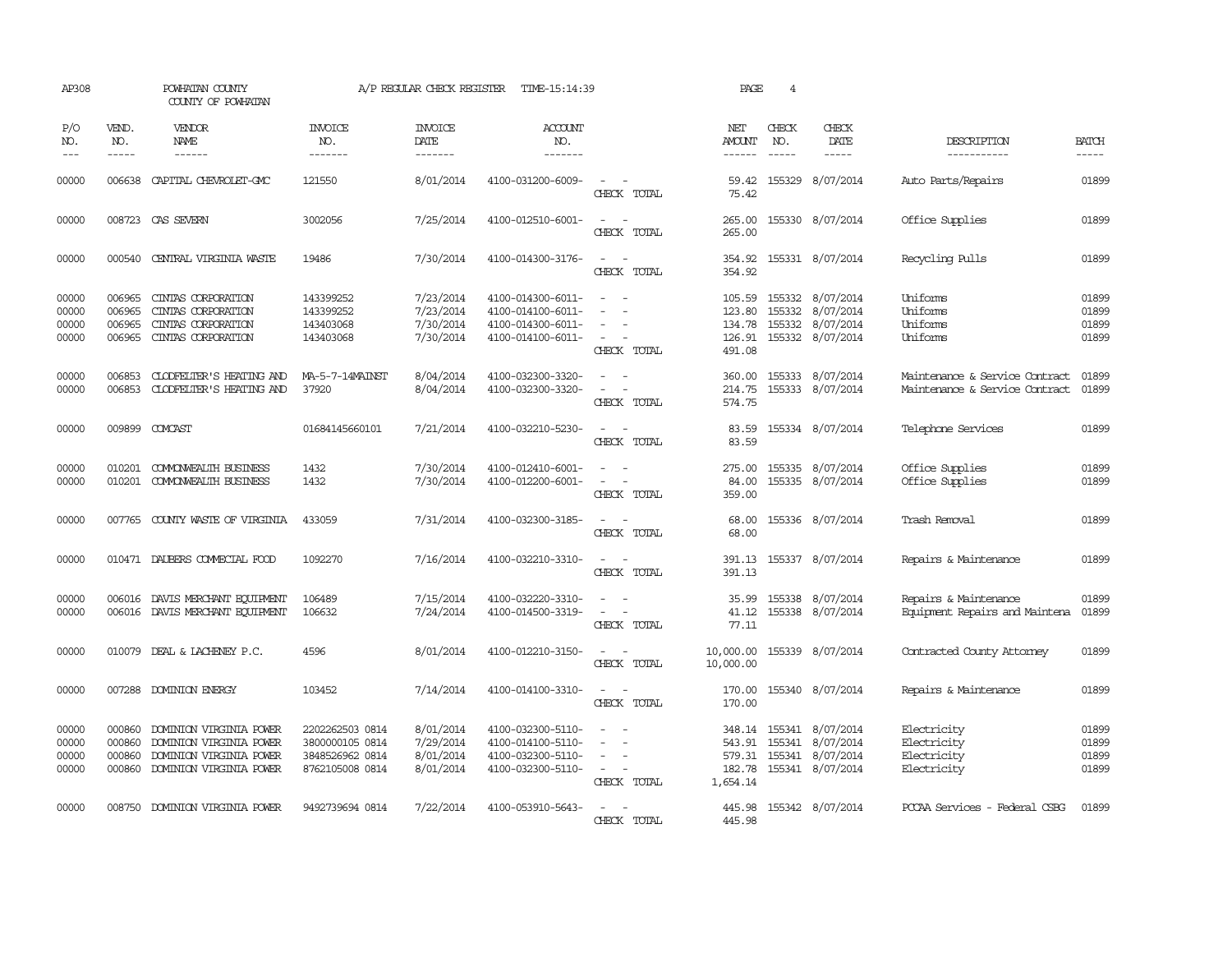| AP308                            |                                                                                                                                                                                                                                                                                                                                                                                                                                                                                                     | POWHATAN COUNTY<br>COUNTY OF POWHATAN                                                                                                                                                                                                                                                                                                                                                                                                                                     |                                                                          | A/P REGULAR CHECK REGISTER                       | TIME-15:14:39                                                                    |                                                                                                                                       | PAGE                                           | $\overline{4}$              |                                                                                                   |                                                                  |                                  |
|----------------------------------|-----------------------------------------------------------------------------------------------------------------------------------------------------------------------------------------------------------------------------------------------------------------------------------------------------------------------------------------------------------------------------------------------------------------------------------------------------------------------------------------------------|---------------------------------------------------------------------------------------------------------------------------------------------------------------------------------------------------------------------------------------------------------------------------------------------------------------------------------------------------------------------------------------------------------------------------------------------------------------------------|--------------------------------------------------------------------------|--------------------------------------------------|----------------------------------------------------------------------------------|---------------------------------------------------------------------------------------------------------------------------------------|------------------------------------------------|-----------------------------|---------------------------------------------------------------------------------------------------|------------------------------------------------------------------|----------------------------------|
| P/O<br>NO.<br>$---$              | VEND.<br>NO.<br>$\begin{tabular}{ccccc} \multicolumn{2}{c}{} & \multicolumn{2}{c}{} & \multicolumn{2}{c}{} & \multicolumn{2}{c}{} & \multicolumn{2}{c}{} & \multicolumn{2}{c}{} & \multicolumn{2}{c}{} & \multicolumn{2}{c}{} & \multicolumn{2}{c}{} & \multicolumn{2}{c}{} & \multicolumn{2}{c}{} & \multicolumn{2}{c}{} & \multicolumn{2}{c}{} & \multicolumn{2}{c}{} & \multicolumn{2}{c}{} & \multicolumn{2}{c}{} & \multicolumn{2}{c}{} & \multicolumn{2}{c}{} & \multicolumn{2}{c}{} & \mult$ | VENDOR<br>NAME<br>$\begin{tabular}{ccccc} \multicolumn{2}{c }{\multicolumn{2}{c }{\multicolumn{2}{c }{\multicolumn{2}{c}}{\hspace{-2.2cm}}}} \multicolumn{2}{c }{\multicolumn{2}{c }{\hspace{-2.2cm}}\hline} \multicolumn{2}{c }{\hspace{-2.2cm}}\hline \multicolumn{2}{c }{\hspace{-2.2cm}}\hline \multicolumn{2}{c }{\hspace{-2.2cm}}\hline \multicolumn{2}{c }{\hspace{-2.2cm}}\hline \multicolumn{2}{c }{\hspace{-2.2cm}}\hline \multicolumn{2}{c }{\hspace{-2.2cm}}$ | <b>INVOICE</b><br>NO.<br>-------                                         | <b>INVOICE</b><br>DATE<br>-------                | ACCOUNT<br>NO.<br>-------                                                        |                                                                                                                                       | NET<br><b>AMOUNT</b><br>------                 | CHECK<br>NO.<br>$- - - - -$ | CHECK<br>DATE<br>$\cdots \cdots \cdots$                                                           | DESCRIPTION<br>-----------                                       | <b>BATCH</b><br>-----            |
| 00000                            | 006638                                                                                                                                                                                                                                                                                                                                                                                                                                                                                              | CAPITAL CHEVROLET-GMC                                                                                                                                                                                                                                                                                                                                                                                                                                                     | 121550                                                                   | 8/01/2014                                        | 4100-031200-6009-                                                                | CHECK TOTAL                                                                                                                           | 59.42<br>75.42                                 |                             | 155329 8/07/2014                                                                                  | Auto Parts/Repairs                                               | 01899                            |
| 00000                            |                                                                                                                                                                                                                                                                                                                                                                                                                                                                                                     | 008723 CAS SEVERN                                                                                                                                                                                                                                                                                                                                                                                                                                                         | 3002056                                                                  | 7/25/2014                                        | 4100-012510-6001-                                                                | CHECK TOTAL                                                                                                                           | 265.00<br>265.00                               |                             | 155330 8/07/2014                                                                                  | Office Supplies                                                  | 01899                            |
| 00000                            | 000540                                                                                                                                                                                                                                                                                                                                                                                                                                                                                              | CENTRAL VIRGINIA WASTE                                                                                                                                                                                                                                                                                                                                                                                                                                                    | 19486                                                                    | 7/30/2014                                        | 4100-014300-3176-                                                                | $\sim$<br>$\sim$<br>CHECK TOTAL                                                                                                       | 354.92<br>354.92                               |                             | 155331 8/07/2014                                                                                  | Recycling Pulls                                                  | 01899                            |
| 00000<br>00000<br>00000<br>00000 | 006965<br>006965<br>006965<br>006965                                                                                                                                                                                                                                                                                                                                                                                                                                                                | CINIAS CORPORATION<br>CINIAS CORPORATION<br>CINIAS CORPORATION<br>CINIAS CORPORATION                                                                                                                                                                                                                                                                                                                                                                                      | 143399252<br>143399252<br>143403068<br>143403068                         | 7/23/2014<br>7/23/2014<br>7/30/2014<br>7/30/2014 | 4100-014300-6011-<br>4100-014100-6011-<br>4100-014300-6011-<br>4100-014100-6011- | $\sim$<br>CHECK TOTAL                                                                                                                 | 105.59<br>123.80<br>134.78<br>126.91<br>491.08 |                             | 155332 8/07/2014<br>155332 8/07/2014<br>155332 8/07/2014<br>155332 8/07/2014                      | Uniforms<br>Uniforms<br>Uniforms<br>Uniforms                     | 01899<br>01899<br>01899<br>01899 |
| 00000<br>00000                   | 006853<br>006853                                                                                                                                                                                                                                                                                                                                                                                                                                                                                    | CLODFELTER'S HEATING AND<br>CLODFELTER'S HEATING AND                                                                                                                                                                                                                                                                                                                                                                                                                      | MA-5-7-14MAINST<br>37920                                                 | 8/04/2014<br>8/04/2014                           | 4100-032300-3320-<br>4100-032300-3320-                                           | $\frac{1}{2} \left( \frac{1}{2} \right) \left( \frac{1}{2} \right) = \frac{1}{2} \left( \frac{1}{2} \right)$<br>$\sim$<br>CHECK TOTAL | 360.00<br>574.75                               |                             | 155333 8/07/2014<br>214.75 155333 8/07/2014                                                       | Maintenance & Service Contract<br>Maintenance & Service Contract | 01899<br>01899                   |
| 00000                            |                                                                                                                                                                                                                                                                                                                                                                                                                                                                                                     | 009899 COMCAST                                                                                                                                                                                                                                                                                                                                                                                                                                                            | 01684145660101                                                           | 7/21/2014                                        | 4100-032210-5230-                                                                | $\sim$<br>CHECK TOTAL                                                                                                                 | 83.59<br>83.59                                 |                             | 155334 8/07/2014                                                                                  | Telephone Services                                               | 01899                            |
| 00000<br>00000                   | 010201<br>010201                                                                                                                                                                                                                                                                                                                                                                                                                                                                                    | <b>COMONEALTH BUSINESS</b><br><b>COMONEALTH BUSINESS</b>                                                                                                                                                                                                                                                                                                                                                                                                                  | 1432<br>1432                                                             | 7/30/2014<br>7/30/2014                           | 4100-012410-6001-<br>4100-012200-6001-                                           | CHECK TOTAL                                                                                                                           | 275.00<br>84.00<br>359.00                      |                             | 155335 8/07/2014<br>155335 8/07/2014                                                              | Office Supplies<br>Office Supplies                               | 01899<br>01899                   |
| 00000                            |                                                                                                                                                                                                                                                                                                                                                                                                                                                                                                     | 007765 COUNTY WASTE OF VIRGINIA                                                                                                                                                                                                                                                                                                                                                                                                                                           | 433059                                                                   | 7/31/2014                                        | 4100-032300-3185-                                                                | CHECK TOTAL                                                                                                                           | 68.00<br>68.00                                 |                             | 155336 8/07/2014                                                                                  | Trash Removal                                                    | 01899                            |
| 00000                            |                                                                                                                                                                                                                                                                                                                                                                                                                                                                                                     | 010471 DAUBERS COMMECTAL FOOD                                                                                                                                                                                                                                                                                                                                                                                                                                             | 1092270                                                                  | 7/16/2014                                        | 4100-032210-3310-                                                                | $\sim$ $\sim$<br>CHECK TOTAL                                                                                                          | 391.13                                         |                             | 391.13 155337 8/07/2014                                                                           | Repairs & Maintenance                                            | 01899                            |
| 00000<br>00000                   |                                                                                                                                                                                                                                                                                                                                                                                                                                                                                                     | 006016 DAVIS MERCHANT EQUIPMENT<br>006016 DAVIS MERCHANT EQUIPMENT                                                                                                                                                                                                                                                                                                                                                                                                        | 106489<br>106632                                                         | 7/15/2014<br>7/24/2014                           | 4100-032220-3310-<br>4100-014500-3319-                                           | $\frac{1}{2} \left( \frac{1}{2} \right) \left( \frac{1}{2} \right) = \frac{1}{2} \left( \frac{1}{2} \right)$<br>CHECK TOTAL           | 41.12<br>77.11                                 |                             | 35.99 155338 8/07/2014<br>155338 8/07/2014                                                        | Repairs & Maintenance<br>Equipment Repairs and Maintena 01899    | 01899                            |
| 00000                            |                                                                                                                                                                                                                                                                                                                                                                                                                                                                                                     | 010079 DEAL & LACHENEY P.C.                                                                                                                                                                                                                                                                                                                                                                                                                                               | 4596                                                                     | 8/01/2014                                        | 4100-012210-3150-                                                                | $\sim$ $\sim$<br>CHECK TOTAL                                                                                                          | 10,000.00<br>10,000.00                         |                             | 155339 8/07/2014                                                                                  | Contracted County Attorney                                       | 01899                            |
| 00000                            |                                                                                                                                                                                                                                                                                                                                                                                                                                                                                                     | 007288 DOMINION ENERGY                                                                                                                                                                                                                                                                                                                                                                                                                                                    | 103452                                                                   | 7/14/2014                                        | 4100-014100-3310-                                                                | $\omega_{\rm{max}}$ and $\omega_{\rm{max}}$<br>CHECK TOTAL                                                                            | 170.00<br>170.00                               |                             | 155340 8/07/2014                                                                                  | Repairs & Maintenance                                            | 01899                            |
| 00000<br>00000<br>00000<br>00000 | 000860<br>000860<br>000860                                                                                                                                                                                                                                                                                                                                                                                                                                                                          | DOMINION VIRGINIA POWER<br>DOMINION VIRGINIA POWER<br>DOMINION VIRGINIA POWER<br>000860 DOMINION VIRGINIA POWER                                                                                                                                                                                                                                                                                                                                                           | 2202262503 0814<br>3800000105 0814<br>3848526962 0814<br>8762105008 0814 | 8/01/2014<br>7/29/2014<br>8/01/2014<br>8/01/2014 | 4100-032300-5110-<br>4100-014100-5110-<br>4100-032300-5110-<br>4100-032300-5110- | $\equiv$<br>$\sim$ $\sim$<br>CHECK TOTAL                                                                                              | 543.91<br>1,654.14                             |                             | 348.14 155341 8/07/2014<br>155341 8/07/2014<br>579.31 155341 8/07/2014<br>182.78 155341 8/07/2014 | Electricity<br>Electricity<br>Electricity<br>Electricity         | 01899<br>01899<br>01899<br>01899 |
| 00000                            |                                                                                                                                                                                                                                                                                                                                                                                                                                                                                                     | 008750 DOMINION VIRGINIA POWER                                                                                                                                                                                                                                                                                                                                                                                                                                            | 9492739694 0814                                                          | 7/22/2014                                        | 4100-053910-5643-                                                                | $\sim$<br>CHECK TOTAL                                                                                                                 | 445.98                                         |                             | 445.98 155342 8/07/2014                                                                           | PCCAA Services - Federal CSBG                                    | 01899                            |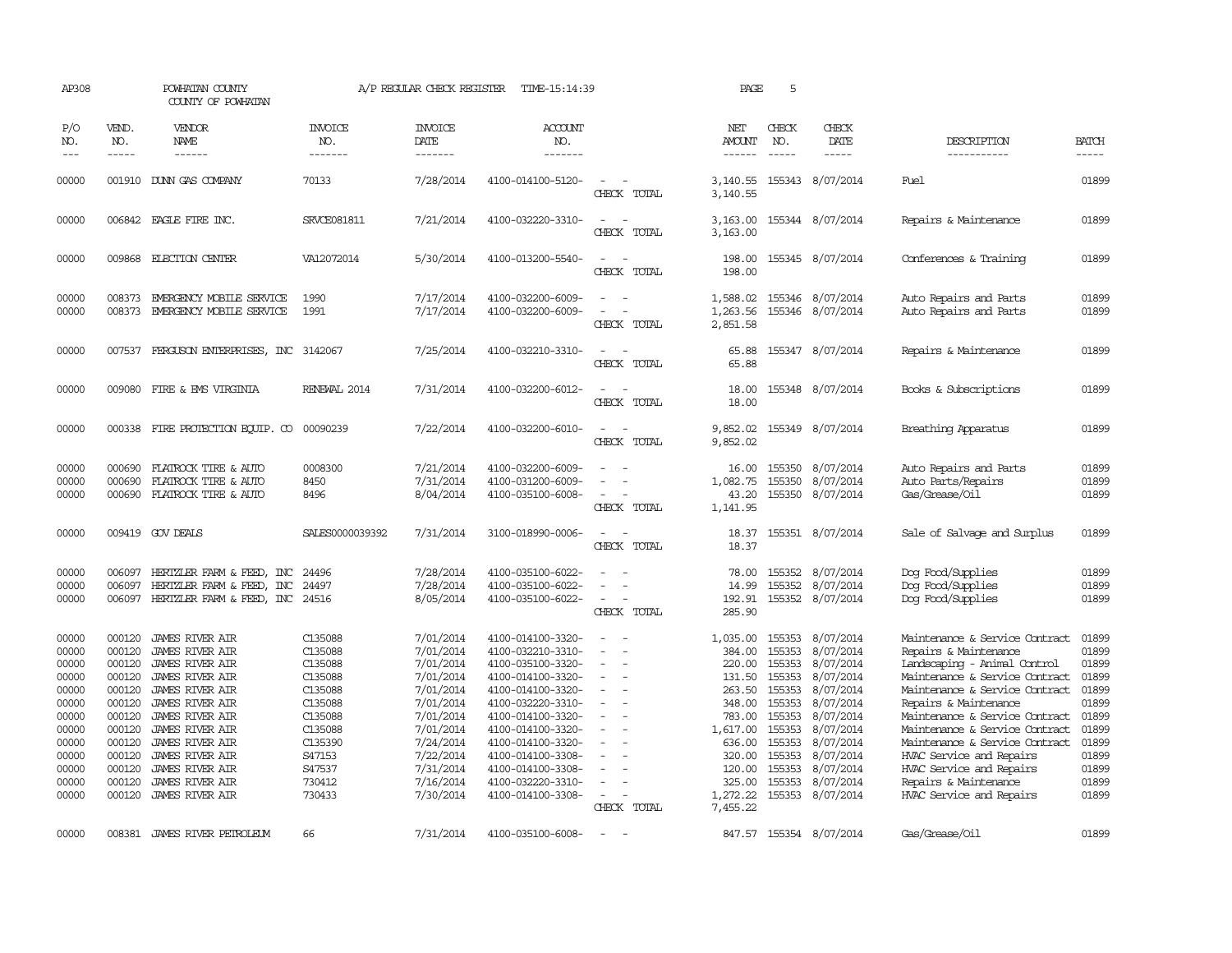| AP308                                                                                                             |                                                                                                                                | POWHATAN COUNTY<br>COUNTY OF POWHATAN                                                                                                                                                                                                                                           |                                                                                                                                         | A/P REGULAR CHECK REGISTER                                                                                                                                            | TIME-15:14:39                                                                                                                                                                                                                                                                 |                                                               | PAGE                                                                                                                                             | 5                                                                                                                    |                                                                                                                                                                              |                                                                                                                                                                                                                                                                                                                                                                                                         |                                                                                                                   |
|-------------------------------------------------------------------------------------------------------------------|--------------------------------------------------------------------------------------------------------------------------------|---------------------------------------------------------------------------------------------------------------------------------------------------------------------------------------------------------------------------------------------------------------------------------|-----------------------------------------------------------------------------------------------------------------------------------------|-----------------------------------------------------------------------------------------------------------------------------------------------------------------------|-------------------------------------------------------------------------------------------------------------------------------------------------------------------------------------------------------------------------------------------------------------------------------|---------------------------------------------------------------|--------------------------------------------------------------------------------------------------------------------------------------------------|----------------------------------------------------------------------------------------------------------------------|------------------------------------------------------------------------------------------------------------------------------------------------------------------------------|---------------------------------------------------------------------------------------------------------------------------------------------------------------------------------------------------------------------------------------------------------------------------------------------------------------------------------------------------------------------------------------------------------|-------------------------------------------------------------------------------------------------------------------|
| P/O<br>NO.<br>$---$                                                                                               | VEND.<br>NO.<br>$- - - - -$                                                                                                    | VENDOR<br>NAME                                                                                                                                                                                                                                                                  | <b>INVOICE</b><br>NO.<br>-------                                                                                                        | <b>INVOICE</b><br>DATE<br>-------                                                                                                                                     | <b>ACCOUNT</b><br>NO.<br>-------                                                                                                                                                                                                                                              |                                                               | NET<br><b>AMOUNT</b>                                                                                                                             | CHECK<br>NO.                                                                                                         | CHECK<br>DATE                                                                                                                                                                | DESCRIPTION<br>-----------                                                                                                                                                                                                                                                                                                                                                                              | <b>BATCH</b><br>-----                                                                                             |
| 00000                                                                                                             | 001910                                                                                                                         | DUNN GAS COMPANY                                                                                                                                                                                                                                                                | 70133                                                                                                                                   | 7/28/2014                                                                                                                                                             | 4100-014100-5120-                                                                                                                                                                                                                                                             | $\overline{\phantom{a}}$<br>CHECK TOTAL                       | 3,140.55<br>3,140.55                                                                                                                             |                                                                                                                      | 155343 8/07/2014                                                                                                                                                             | Fuel                                                                                                                                                                                                                                                                                                                                                                                                    | 01899                                                                                                             |
| 00000                                                                                                             |                                                                                                                                | 006842 EAGLE FIRE INC.                                                                                                                                                                                                                                                          | <b>SRVCE081811</b>                                                                                                                      | 7/21/2014                                                                                                                                                             | 4100-032220-3310-                                                                                                                                                                                                                                                             | $\equiv$<br>CHECK TOTAL                                       | 3,163.00<br>3,163.00                                                                                                                             |                                                                                                                      | 155344 8/07/2014                                                                                                                                                             | Repairs & Maintenance                                                                                                                                                                                                                                                                                                                                                                                   | 01899                                                                                                             |
| 00000                                                                                                             |                                                                                                                                | 009868 ELECTION CENTER                                                                                                                                                                                                                                                          | VA12072014                                                                                                                              | 5/30/2014                                                                                                                                                             | 4100-013200-5540-                                                                                                                                                                                                                                                             | CHECK TOTAL                                                   | 198.00<br>198.00                                                                                                                                 |                                                                                                                      | 155345 8/07/2014                                                                                                                                                             | Conferences & Training                                                                                                                                                                                                                                                                                                                                                                                  | 01899                                                                                                             |
| 00000<br>00000                                                                                                    | 008373                                                                                                                         | EMERGENCY MOBILE SERVICE<br>008373 EMERGENCY MOBILE SERVICE                                                                                                                                                                                                                     | 1990<br>1991                                                                                                                            | 7/17/2014<br>7/17/2014                                                                                                                                                | 4100-032200-6009-<br>4100-032200-6009-                                                                                                                                                                                                                                        | CHECK TOTAL                                                   | 1,588.02<br>1,263.56<br>2,851.58                                                                                                                 |                                                                                                                      | 155346 8/07/2014<br>155346 8/07/2014                                                                                                                                         | Auto Repairs and Parts<br>Auto Repairs and Parts                                                                                                                                                                                                                                                                                                                                                        | 01899<br>01899                                                                                                    |
| 00000                                                                                                             |                                                                                                                                | 007537 FERGUSON ENTERPRISES, INC 3142067                                                                                                                                                                                                                                        |                                                                                                                                         | 7/25/2014                                                                                                                                                             | 4100-032210-3310-                                                                                                                                                                                                                                                             | CHECK TOTAL                                                   | 65.88<br>65.88                                                                                                                                   |                                                                                                                      | 155347 8/07/2014                                                                                                                                                             | Repairs & Maintenance                                                                                                                                                                                                                                                                                                                                                                                   | 01899                                                                                                             |
| 00000                                                                                                             | 009080                                                                                                                         | FIRE & EMS VIRGINIA                                                                                                                                                                                                                                                             | RENEWAL 2014                                                                                                                            | 7/31/2014                                                                                                                                                             | 4100-032200-6012-                                                                                                                                                                                                                                                             | CHECK TOTAL                                                   | 18.00<br>18.00                                                                                                                                   |                                                                                                                      | 155348 8/07/2014                                                                                                                                                             | Books & Subscriptions                                                                                                                                                                                                                                                                                                                                                                                   | 01899                                                                                                             |
| 00000                                                                                                             |                                                                                                                                | 000338 FIRE PROTECTION EQUIP. CO                                                                                                                                                                                                                                                | 00090239                                                                                                                                | 7/22/2014                                                                                                                                                             | 4100-032200-6010-                                                                                                                                                                                                                                                             | CHECK TOTAL                                                   | 9,852.02<br>9,852.02                                                                                                                             |                                                                                                                      | 155349 8/07/2014                                                                                                                                                             | Breathing Apparatus                                                                                                                                                                                                                                                                                                                                                                                     | 01899                                                                                                             |
| 00000<br>00000<br>00000                                                                                           | 000690<br>000690<br>000690                                                                                                     | FLATROCK TIRE & AUTO<br>FLATROCK TIRE & AUTO<br>FLATROCK TIRE & AUTO                                                                                                                                                                                                            | 0008300<br>8450<br>8496                                                                                                                 | 7/21/2014<br>7/31/2014<br>8/04/2014                                                                                                                                   | 4100-032200-6009-<br>4100-031200-6009-<br>4100-035100-6008-                                                                                                                                                                                                                   | $\equiv$<br>CHECK TOTAL                                       | 16.00<br>1,082.75<br>43.20<br>1,141.95                                                                                                           | 155350<br>155350<br>155350                                                                                           | 8/07/2014<br>8/07/2014<br>8/07/2014                                                                                                                                          | Auto Repairs and Parts<br>Auto Parts/Repairs<br>Gas/Grease/Oil                                                                                                                                                                                                                                                                                                                                          | 01899<br>01899<br>01899                                                                                           |
| 00000                                                                                                             |                                                                                                                                | 009419 GOV DEALS                                                                                                                                                                                                                                                                | SALES0000039392                                                                                                                         | 7/31/2014                                                                                                                                                             | 3100-018990-0006-                                                                                                                                                                                                                                                             | $\sim$<br>CHECK TOTAL                                         | 18.37<br>18.37                                                                                                                                   |                                                                                                                      | 155351 8/07/2014                                                                                                                                                             | Sale of Salvage and Surplus                                                                                                                                                                                                                                                                                                                                                                             | 01899                                                                                                             |
| 00000<br>00000<br>00000                                                                                           | 006097<br>006097                                                                                                               | HERTZLER FARM & FEED,<br>INC<br>HERTZLER FARM & FEED,<br>INC<br>006097 HERTZLER FARM & FEED, INC                                                                                                                                                                                | 24496<br>24497<br>24516                                                                                                                 | 7/28/2014<br>7/28/2014<br>8/05/2014                                                                                                                                   | 4100-035100-6022-<br>4100-035100-6022-<br>4100-035100-6022-                                                                                                                                                                                                                   | $\equiv$<br>CHECK TOTAL                                       | 78.00<br>14.99<br>192.91<br>285.90                                                                                                               | 155352<br>155352                                                                                                     | 8/07/2014<br>8/07/2014<br>155352 8/07/2014                                                                                                                                   | Dog Food/Supplies<br>Dog Food/Supplies<br>Dog Food/Supplies                                                                                                                                                                                                                                                                                                                                             | 01899<br>01899<br>01899                                                                                           |
| 00000<br>00000<br>00000<br>00000<br>00000<br>00000<br>00000<br>00000<br>00000<br>00000<br>00000<br>00000<br>00000 | 000120<br>000120<br>000120<br>000120<br>000120<br>000120<br>000120<br>000120<br>000120<br>000120<br>000120<br>000120<br>000120 | JAMES RIVER AIR<br>JAMES RIVER AIR<br><b>JAMES RIVER AIR</b><br><b>JAMES RIVER AIR</b><br>JAMES RIVER AIR<br>JAMES RIVER AIR<br>JAMES RIVER AIR<br><b>JAMES RIVER AIR</b><br>JAMES RIVER AIR<br>JAMES RIVER AIR<br>JAMES RIVER AIR<br>JAMES RIVER AIR<br><b>JAMES RIVER AIR</b> | C135088<br>C135088<br>C135088<br>C135088<br>C135088<br>C135088<br>C135088<br>C135088<br>C135390<br>S47153<br>S47537<br>730412<br>730433 | 7/01/2014<br>7/01/2014<br>7/01/2014<br>7/01/2014<br>7/01/2014<br>7/01/2014<br>7/01/2014<br>7/01/2014<br>7/24/2014<br>7/22/2014<br>7/31/2014<br>7/16/2014<br>7/30/2014 | 4100-014100-3320-<br>4100-032210-3310-<br>4100-035100-3320-<br>4100-014100-3320-<br>4100-014100-3320-<br>4100-032220-3310-<br>4100-014100-3320-<br>4100-014100-3320-<br>4100-014100-3320-<br>4100-014100-3308-<br>4100-014100-3308-<br>4100-032220-3310-<br>4100-014100-3308- | $\overline{\phantom{a}}$<br>$\equiv$<br>$\sim$<br>CHECK TOTAL | 1,035.00<br>384.00<br>220.00<br>131.50<br>263.50<br>348.00<br>783.00<br>1,617.00<br>636.00<br>320.00<br>120.00<br>325.00<br>1,272.22<br>7,455.22 | 155353<br>155353<br>155353<br>155353<br>155353<br>155353<br>155353<br>155353<br>155353<br>155353<br>155353<br>155353 | 8/07/2014<br>8/07/2014<br>8/07/2014<br>8/07/2014<br>8/07/2014<br>8/07/2014<br>8/07/2014<br>8/07/2014<br>8/07/2014<br>8/07/2014<br>8/07/2014<br>8/07/2014<br>155353 8/07/2014 | Maintenance & Service Contract<br>Repairs & Maintenance<br>Landscaping - Animal Control<br>Maintenance & Service Contract<br>Maintenance & Service Contract<br>Repairs & Maintenance<br>Maintenance & Service Contract<br>Maintenance & Service Contract<br>Maintenance & Service Contract<br>HVAC Service and Repairs<br>HVAC Service and Repairs<br>Repairs & Maintenance<br>HVAC Service and Repairs | 01899<br>01899<br>01899<br>01899<br>01899<br>01899<br>01899<br>01899<br>01899<br>01899<br>01899<br>01899<br>01899 |
| 00000                                                                                                             |                                                                                                                                | 008381 JAMES RIVER PETROLEUM                                                                                                                                                                                                                                                    | 66                                                                                                                                      | 7/31/2014                                                                                                                                                             | 4100-035100-6008-                                                                                                                                                                                                                                                             | $\sim$                                                        |                                                                                                                                                  |                                                                                                                      | 847.57 155354 8/07/2014                                                                                                                                                      | Gas/Grease/Oil                                                                                                                                                                                                                                                                                                                                                                                          | 01899                                                                                                             |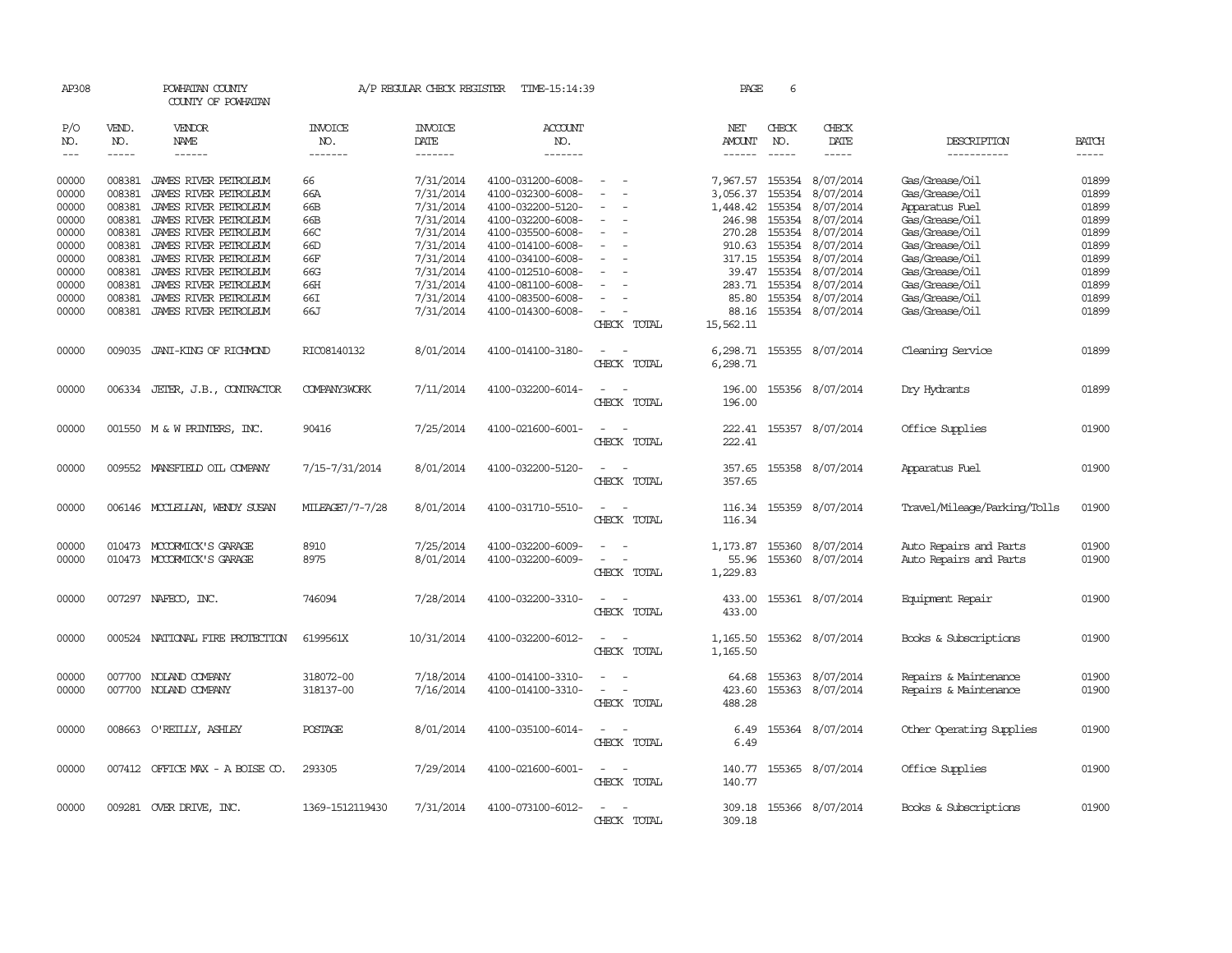| AP308      |               | POWHATAN COUNTY<br>COUNTY OF POWHATAN |                       | A/P REGULAR CHECK REGISTER | TIME-15:14:39     |                                    | PAGE          | 6             |                  |                              |              |
|------------|---------------|---------------------------------------|-----------------------|----------------------------|-------------------|------------------------------------|---------------|---------------|------------------|------------------------------|--------------|
| P/O<br>NO. | VEND.<br>NO.  | <b>VENDOR</b><br>NAME                 | <b>INVOICE</b><br>NO. | <b>INVOICE</b><br>DATE     | ACCOUNT<br>NO.    |                                    | NET<br>AMOUNT | CHECK<br>NO.  | CHECK<br>DATE    | DESCRIPTION                  | <b>BATCH</b> |
| $---$      | $\frac{1}{2}$ | $- - - - - -$                         | -------               | -------                    | -------           |                                    | $\frac{1}{2}$ | $\frac{1}{2}$ | -----            | -----------                  | $- - - - -$  |
| 00000      | 008381        | JAMES RIVER PETROLEUM                 | 66                    | 7/31/2014                  | 4100-031200-6008- |                                    | 7,967.57      |               | 155354 8/07/2014 | Gas/Grease/Oil               | 01899        |
| 00000      | 008381        | JAMES RIVER PETROLEUM                 | 66A                   | 7/31/2014                  | 4100-032300-6008- |                                    | 3,056.37      | 155354        | 8/07/2014        | Gas/Grease/Oil               | 01899        |
| 00000      | 008381        | JAMES RIVER PEIROLEUM                 | 66B                   | 7/31/2014                  | 4100-032200-5120- |                                    | 1,448.42      | 155354        | 8/07/2014        | Apparatus Fuel               | 01899        |
| 00000      | 008381        | JAMES RIVER PETROLEUM                 | 66B                   | 7/31/2014                  | 4100-032200-6008- | $\sim$                             | 246.98        | 155354        | 8/07/2014        | Gas/Grease/Oil               | 01899        |
| 00000      | 008381        | JAMES RIVER PETROLEUM                 | 66C                   | 7/31/2014                  | 4100-035500-6008- |                                    | 270.28        | 155354        | 8/07/2014        | Gas/Grease/Oil               | 01899        |
| 00000      | 008381        | JAMES RIVER PEIROLEUM                 | 66D                   | 7/31/2014                  | 4100-014100-6008- |                                    | 910.63        |               | 155354 8/07/2014 | Gas/Grease/Oil               | 01899        |
| 00000      | 008381        | JAMES RIVER PEIROLEUM                 | 66F                   | 7/31/2014                  | 4100-034100-6008- | $\sim$                             |               | 317.15 155354 | 8/07/2014        | Gas/Grease/Oil               | 01899        |
| 00000      | 008381        | JAMES RIVER PEIROLEUM                 | 66G                   | 7/31/2014                  | 4100-012510-6008- |                                    | 39.47         | 155354        | 8/07/2014        | Gas/Grease/Oil               | 01899        |
| 00000      | 008381        | JAMES RIVER PETROLEUM                 | 66H                   | 7/31/2014                  | 4100-081100-6008- |                                    | 283.71        |               | 155354 8/07/2014 | Gas/Grease/Oil               | 01899        |
| 00000      | 008381        | JAMES RIVER PETROLEUM                 | 66I                   | 7/31/2014                  | 4100-083500-6008- | $\sim$                             | 85.80         |               | 155354 8/07/2014 | Gas/Grease/Oil               | 01899        |
| 00000      |               | 008381 JAMES RIVER PETROLEUM          | 66J                   | 7/31/2014                  | 4100-014300-6008- |                                    | 88.16         |               | 155354 8/07/2014 | Gas/Grease/Oil               | 01899        |
|            |               |                                       |                       |                            |                   | CHECK TOTAL                        | 15,562.11     |               |                  |                              |              |
| 00000      | 009035        | JANI-KING OF RICHMOND                 | RIC08140132           | 8/01/2014                  | 4100-014100-3180- | $\overline{\phantom{0}}$<br>$\sim$ | 6,298.71      |               | 155355 8/07/2014 | Cleaning Service             | 01899        |
|            |               |                                       |                       |                            |                   | CHECK TOTAL                        | 6,298.71      |               |                  |                              |              |
| 00000      |               | 006334 JETER, J.B., CONTRACTOR        | <b>COMPANY3WORK</b>   | 7/11/2014                  | 4100-032200-6014- | $\overline{a}$<br>$\sim$           | 196.00        |               | 155356 8/07/2014 | Dry Hydrants                 | 01899        |
|            |               |                                       |                       |                            |                   | CHECK TOTAL                        | 196.00        |               |                  |                              |              |
| 00000      |               | 001550 M & W PRINTERS, INC.           | 90416                 | 7/25/2014                  | 4100-021600-6001- | $\sim$<br>$\sim$                   | 222.41        |               | 155357 8/07/2014 | Office Supplies              | 01900        |
|            |               |                                       |                       |                            |                   | CHECK TOTAL                        | 222.41        |               |                  |                              |              |
| 00000      |               | 009552 MANSFIELD OIL COMPANY          | 7/15-7/31/2014        | 8/01/2014                  | 4100-032200-5120- | $\sim$<br>- -                      | 357.65        |               | 155358 8/07/2014 | Apparatus Fuel               | 01900        |
|            |               |                                       |                       |                            |                   | CHECK TOTAL                        | 357.65        |               |                  |                              |              |
| 00000      |               | 006146 MCCLELLAN, WENDY SUSAN         | MILEAGE7/7-7/28       | 8/01/2014                  | 4100-031710-5510- | $\sim$<br>$\sim$                   | 116.34        | 155359        | 8/07/2014        | Travel/Mileage/Parking/Tolls | 01900        |
|            |               |                                       |                       |                            |                   | CHECK TOTAL                        | 116.34        |               |                  |                              |              |
| 00000      |               | 010473 MCCORMICK'S GARAGE             | 8910                  | 7/25/2014                  | 4100-032200-6009- |                                    | 1,173.87      | 155360        | 8/07/2014        | Auto Repairs and Parts       | 01900        |
| 00000      |               | 010473 MCCORMICK'S GARAGE             | 8975                  | 8/01/2014                  | 4100-032200-6009- |                                    | 55.96         | 155360        | 8/07/2014        | Auto Repairs and Parts       | 01900        |
|            |               |                                       |                       |                            |                   | CHECK TOTAL                        | 1,229.83      |               |                  |                              |              |
| 00000      |               | 007297 NAFECO, INC.                   | 746094                | 7/28/2014                  | 4100-032200-3310- | $\overline{\phantom{a}}$           | 433.00        |               | 155361 8/07/2014 | Equipment Repair             | 01900        |
|            |               |                                       |                       |                            |                   | CHECK TOTAL                        | 433.00        |               |                  |                              |              |
| 00000      | 000524        | NATIONAL FIRE PROTECTION              | 6199561X              | 10/31/2014                 | 4100-032200-6012- |                                    | 1,165.50      |               | 155362 8/07/2014 | Books & Subscriptions        | 01900        |
|            |               |                                       |                       |                            |                   | CHECK TOTAL                        | 1,165.50      |               |                  |                              |              |
| 00000      |               | 007700 NOLAND COMPANY                 | 318072-00             | 7/18/2014                  | 4100-014100-3310- |                                    | 64.68         | 155363        | 8/07/2014        | Repairs & Maintenance        | 01900        |
| 00000      |               | 007700 NOLAND COMPANY                 | 318137-00             | 7/16/2014                  | 4100-014100-3310- | $\equiv$                           | 423.60        |               | 155363 8/07/2014 | Repairs & Maintenance        | 01900        |
|            |               |                                       |                       |                            |                   | CHECK TOTAL                        | 488.28        |               |                  |                              |              |
| 00000      |               | 008663 O'REILLY, ASHLEY               | POSTAGE               | 8/01/2014                  | 4100-035100-6014- |                                    | 6.49          |               | 155364 8/07/2014 | Other Operating Supplies     | 01900        |
|            |               |                                       |                       |                            |                   | CHECK TOTAL                        | 6.49          |               |                  |                              |              |
| 00000      |               | 007412 OFFICE MAX - A BOISE CO.       | 293305                | 7/29/2014                  | 4100-021600-6001- | $\sim$                             | 140.77        |               | 155365 8/07/2014 | Office Supplies              | 01900        |
|            |               |                                       |                       |                            |                   | CHECK TOTAL                        | 140.77        |               |                  |                              |              |
| 00000      |               | 009281 OVER DRIVE, INC.               | 1369-1512119430       | 7/31/2014                  | 4100-073100-6012- | - 11                               | 309.18        |               | 155366 8/07/2014 | Books & Subscriptions        | 01900        |
|            |               |                                       |                       |                            |                   | CHECK TOTAL                        | 309.18        |               |                  |                              |              |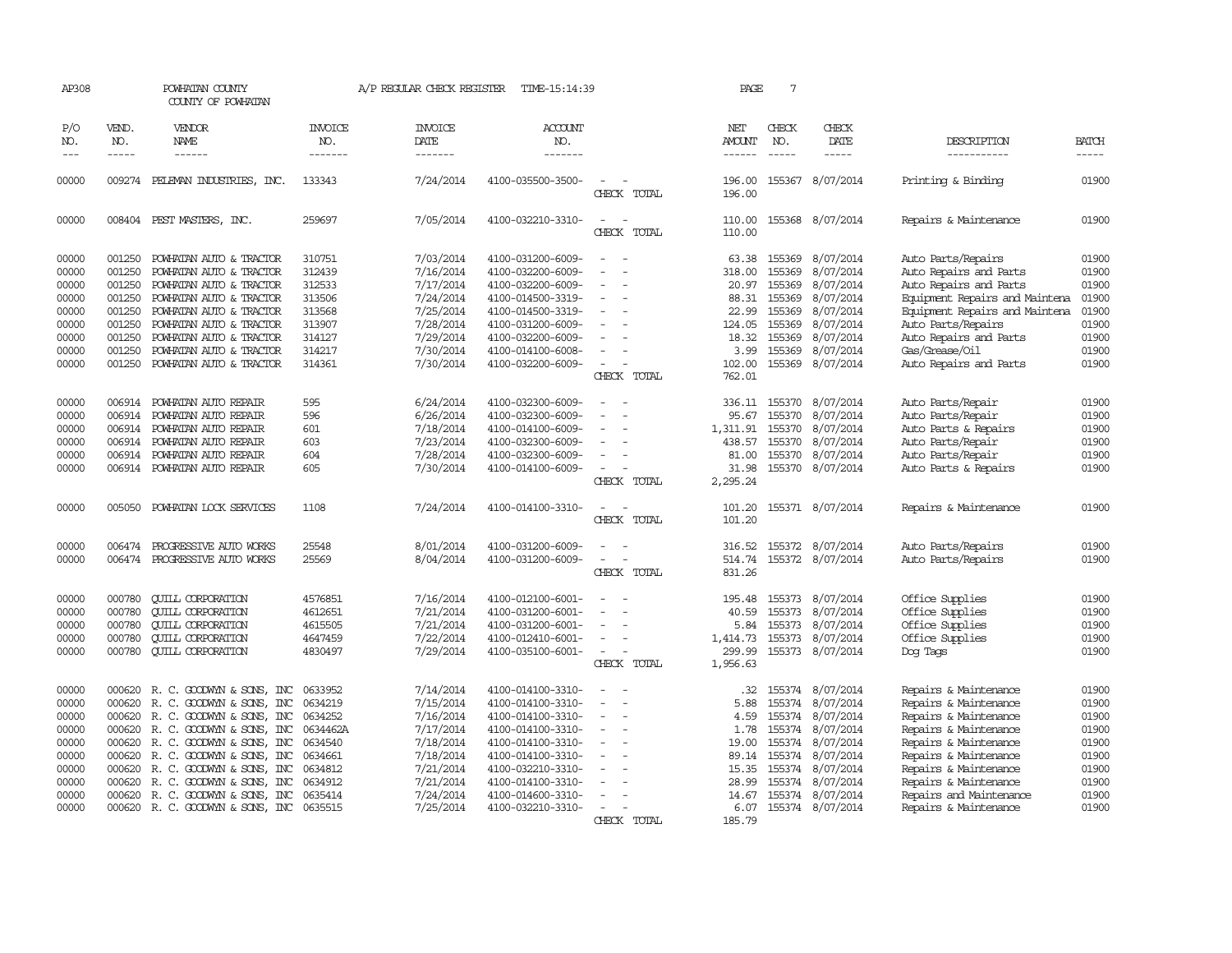| AP308               |                               | POWHATAN COUNTY<br>COUNTY OF POWHATAN    |                                  | A/P REGULAR CHECK REGISTER         | TIME-15:14:39             |                                                | PAGE                           | 7                             |                              |                                |                               |
|---------------------|-------------------------------|------------------------------------------|----------------------------------|------------------------------------|---------------------------|------------------------------------------------|--------------------------------|-------------------------------|------------------------------|--------------------------------|-------------------------------|
| P/O<br>NO.<br>$---$ | VEND.<br>NO.<br>$\frac{1}{2}$ | VENDOR<br>NAME                           | <b>INVOICE</b><br>NO.<br>------- | <b>INVOICE</b><br>DATE<br>-------- | ACCOUNT<br>NO.<br>------- |                                                | NET<br>AMOUNT<br>$- - - - - -$ | CHECK<br>NO.<br>$\frac{1}{2}$ | CHECK<br>DATE<br>$- - - - -$ | DESCRIPTION<br>-----------     | <b>BATCH</b><br>$\frac{1}{2}$ |
|                     |                               |                                          |                                  |                                    |                           |                                                |                                |                               |                              |                                |                               |
| 00000               |                               | 009274 PELEMAN INDUSTRIES, INC.          | 133343                           | 7/24/2014                          | 4100-035500-3500-         | CHECK TOTAL                                    | 196.00<br>196.00               | 155367                        | 8/07/2014                    | Printing & Binding             | 01900                         |
| 00000               |                               | 008404 PEST MASTERS, INC.                | 259697                           | 7/05/2014                          | 4100-032210-3310-         | $\equiv$<br>CHECK TOTAL                        | 110.00<br>110.00               |                               | 155368 8/07/2014             | Repairs & Maintenance          | 01900                         |
| 00000               | 001250                        | POWHATAN AUTO & TRACTOR                  | 310751                           | 7/03/2014                          | 4100-031200-6009-         | $\sim$<br>$\sim$                               | 63.38                          | 155369                        | 8/07/2014                    | Auto Parts/Repairs             | 01900                         |
| 00000               | 001250                        | POWHATAN AUTO & TRACTOR                  | 312439                           | 7/16/2014                          | 4100-032200-6009-         |                                                | 318.00                         | 155369                        | 8/07/2014                    | Auto Repairs and Parts         | 01900                         |
| 00000               | 001250                        | POWHATAN AUTO & TRACTOR                  | 312533                           | 7/17/2014                          | 4100-032200-6009-         | $\overline{\phantom{a}}$                       | 20.97                          | 155369                        | 8/07/2014                    | Auto Repairs and Parts         | 01900                         |
| 00000               | 001250                        | POWHATAN AUTO & TRACTOR                  | 313506                           | 7/24/2014                          | 4100-014500-3319-         | $\sim$                                         | 88.31                          | 155369                        | 8/07/2014                    | Equipment Repairs and Maintena | 01900                         |
| 00000               | 001250                        | POWHATAN AUTO & TRACTOR                  | 313568                           | 7/25/2014                          | 4100-014500-3319-         |                                                | 22.99                          | 155369                        | 8/07/2014                    | Equipment Repairs and Maintena | 01900                         |
| 00000               | 001250                        | POWHATAN AUTO & TRACTOR                  | 313907                           | 7/28/2014                          | 4100-031200-6009-         |                                                | 124.05                         | 155369                        | 8/07/2014                    | Auto Parts/Repairs             | 01900                         |
| 00000               | 001250                        | POWHATAN AUTO & TRACTOR                  | 314127                           | 7/29/2014                          | 4100-032200-6009-         | $\sim$                                         | 18.32                          | 155369                        | 8/07/2014                    | Auto Repairs and Parts         | 01900                         |
| 00000               | 001250                        | POWHATAN AUTO & TRACTOR                  | 314217                           | 7/30/2014                          | 4100-014100-6008-         |                                                | 3.99                           | 155369                        | 8/07/2014                    | Gas/Grease/Oil                 | 01900                         |
| 00000               |                               | 001250 POWHATAN AUTO & TRACTOR           | 314361                           | 7/30/2014                          | 4100-032200-6009-         |                                                | 102.00                         |                               | 155369 8/07/2014             | Auto Repairs and Parts         | 01900                         |
|                     |                               |                                          |                                  |                                    |                           | CHECK TOTAL                                    | 762.01                         |                               |                              |                                |                               |
| 00000               | 006914                        |                                          | 595                              |                                    | 4100-032300-6009-         |                                                | 336.11 155370                  |                               |                              |                                |                               |
|                     |                               | POWHATAN AUTO REPAIR                     | 596                              | 6/24/2014                          |                           | $\sim$<br>$\overline{\phantom{a}}$             |                                |                               | 8/07/2014                    | Auto Parts/Repair              | 01900                         |
| 00000               | 006914                        | POWHATAN AUTO REPAIR                     |                                  | 6/26/2014                          | 4100-032300-6009-         | $\equiv$                                       | 95.67                          | 155370                        | 8/07/2014                    | Auto Parts/Repair              | 01900                         |
| 00000               | 006914                        | POWHATAN AUTO REPAIR                     | 601                              | 7/18/2014                          | 4100-014100-6009-         |                                                | 1,311.91                       | 155370                        | 8/07/2014                    | Auto Parts & Repairs           | 01900                         |
| 00000               | 006914                        | POWHATAN AUTO REPAIR                     | 603                              | 7/23/2014                          | 4100-032300-6009-         |                                                | 438.57                         | 155370                        | 8/07/2014                    | Auto Parts/Repair              | 01900                         |
| 00000               | 006914                        | POWHATAN AUTO REPAIR                     | 604                              | 7/28/2014                          | 4100-032300-6009-         | $\overline{\phantom{a}}$                       | 81.00                          |                               | 155370 8/07/2014             | Auto Parts/Repair              | 01900                         |
| 00000               |                               | 006914 POWHATAN AUTO REPAIR              | 605                              | 7/30/2014                          | 4100-014100-6009-         | $\hspace{0.1mm}-\hspace{0.1mm}$<br>CHECK TOTAL | 31.98<br>2,295.24              |                               | 155370 8/07/2014             | Auto Parts & Repairs           | 01900                         |
|                     |                               |                                          |                                  |                                    |                           |                                                |                                |                               |                              |                                |                               |
| 00000               | 005050                        | POWHATAN LOCK SERVICES                   | 1108                             | 7/24/2014                          | 4100-014100-3310-         | CHECK TOTAL                                    | 101.20<br>101.20               |                               | 155371 8/07/2014             | Repairs & Maintenance          | 01900                         |
| 00000               | 006474                        | PROGRESSIVE AUTO WORKS                   | 25548                            | 8/01/2014                          | 4100-031200-6009-         | $\sim$                                         | 316.52                         | 155372                        | 8/07/2014                    | Auto Parts/Repairs             | 01900                         |
| 00000               |                               | 006474 PROGRESSIVE AUTO WORKS            | 25569                            | 8/04/2014                          | 4100-031200-6009-         |                                                | 514.74                         |                               | 155372 8/07/2014             | Auto Parts/Repairs             | 01900                         |
|                     |                               |                                          |                                  |                                    |                           | CHECK TOTAL                                    | 831.26                         |                               |                              |                                |                               |
| 00000               | 000780                        | <b>QUILL CORPORATION</b>                 | 4576851                          | 7/16/2014                          | 4100-012100-6001-         |                                                | 195.48                         | 155373                        | 8/07/2014                    | Office Supplies                | 01900                         |
| 00000               | 000780                        | <b>CUILL CORPORATION</b>                 | 4612651                          | 7/21/2014                          | 4100-031200-6001-         | $\equiv$                                       | 40.59                          | 155373                        | 8/07/2014                    | Office Supplies                | 01900                         |
| 00000               | 000780                        | <b>QUILL CORPORATION</b>                 | 4615505                          | 7/21/2014                          | 4100-031200-6001-         | $\sim$                                         | 5.84                           | 155373                        | 8/07/2014                    | Office Supplies                | 01900                         |
| 00000               | 000780                        | <b>CUILL CORPORATION</b>                 | 4647459                          | 7/22/2014                          | 4100-012410-6001-         | $\sim$                                         | 1,414.73                       | 155373                        | 8/07/2014                    | Office Supplies                | 01900                         |
| 00000               |                               | 000780 QUILL CORPORATION                 | 4830497                          | 7/29/2014                          | 4100-035100-6001-         | $\sim$                                         | 299.99                         |                               | 155373 8/07/2014             | Dog Tags                       | 01900                         |
|                     |                               |                                          |                                  |                                    |                           | CHECK TOTAL                                    | 1,956.63                       |                               |                              |                                |                               |
| 00000               |                               | 000620 R. C. GOODWYN & SONS, INC         | 0633952                          | 7/14/2014                          | 4100-014100-3310-         | $\sim$                                         | .32 <sub>0</sub>               | 155374                        | 8/07/2014                    | Repairs & Maintenance          | 01900                         |
|                     |                               |                                          | 0634219                          |                                    |                           | $\sim$<br>$\overline{\phantom{a}}$             |                                |                               |                              |                                | 01900                         |
| 00000               | 000620                        | R. C. GOODWYN & SONS, INC                |                                  | 7/15/2014                          | 4100-014100-3310-         | $\overline{\phantom{a}}$                       | 5.88                           | 155374                        | 8/07/2014                    | Repairs & Maintenance          |                               |
| 00000               |                               | 000620 R.C. GOODWYN & SONS, INC          | 0634252                          | 7/16/2014                          | 4100-014100-3310-         | $\overline{\phantom{a}}$                       | 4.59                           | 155374                        | 8/07/2014                    | Repairs & Maintenance          | 01900                         |
| 00000               |                               | 000620 R. C. GOODWYN & SONS, INC         | 0634462A                         | 7/17/2014                          | 4100-014100-3310-         | $\sim$                                         | 1.78                           | 155374                        | 8/07/2014                    | Repairs & Maintenance          | 01900                         |
| 00000               |                               | 000620 R. C. GOODWIN & SONS, INC         | 0634540                          | 7/18/2014                          | 4100-014100-3310-         | $\equiv$<br>$\equiv$                           | 19.00                          | 155374                        | 8/07/2014                    | Repairs & Maintenance          | 01900                         |
| 00000               |                               | 000620 R. C. GOODWYN & SONS, INC         | 0634661                          | 7/18/2014                          | 4100-014100-3310-         |                                                | 89.14                          | 155374                        | 8/07/2014                    | Repairs & Maintenance          | 01900                         |
| 00000               |                               | 000620 R.C. GOODWYN & SONS, INC          | 0634812                          | 7/21/2014                          | 4100-032210-3310-         | $\overline{\phantom{a}}$                       | 15.35                          | 155374                        | 8/07/2014                    | Repairs & Maintenance          | 01900                         |
| 00000               |                               | 000620 R. C. GOODWYN & SONS, INC         | 0634912                          | 7/21/2014                          | 4100-014100-3310-         |                                                | 28.99                          | 155374                        | 8/07/2014                    | Repairs & Maintenance          | 01900                         |
| 00000<br>00000      |                               | 000620 R. C. GOODWYN & SONS, INC         | 0635414                          | 7/24/2014                          | 4100-014600-3310-         |                                                | 14.67                          | 155374                        | 8/07/2014                    | Repairs and Maintenance        | 01900                         |
|                     |                               | 000620 R. C. GOODWYN & SONS, INC 0635515 |                                  | 7/25/2014                          | 4100-032210-3310-         | CHECK TOTAL                                    |                                |                               | 6.07 155374 8/07/2014        | Repairs & Maintenance          | 01900                         |
|                     |                               |                                          |                                  |                                    |                           |                                                | 185.79                         |                               |                              |                                |                               |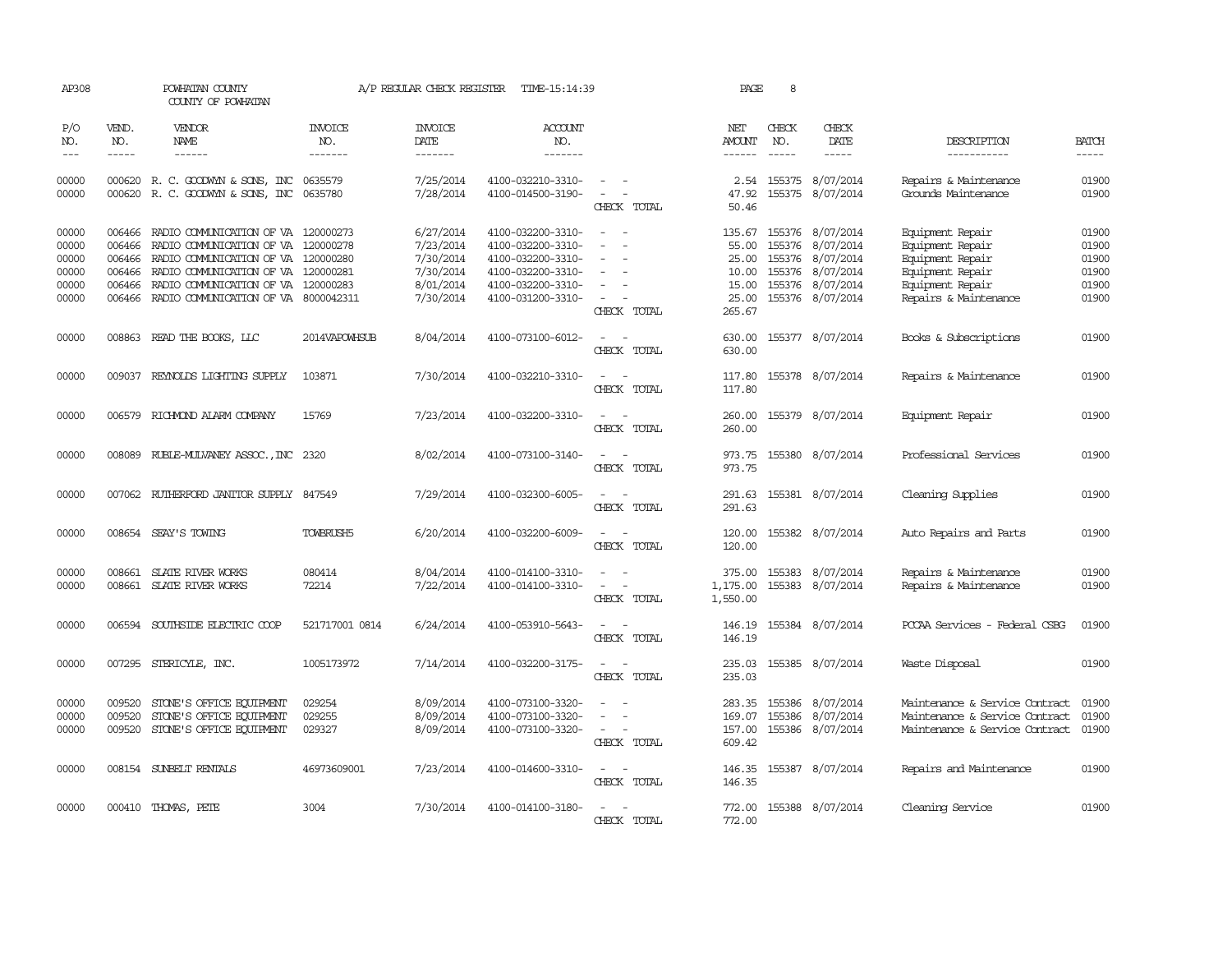| AP308                                              |                                                          | POWHATAN COUNTY<br>COUNTY OF POWHATAN                                                                                                                                                                    |                                     | A/P REGULAR CHECK REGISTER                                                 | TIME-15:14:39                                                                                                              |                                                                                                                             | PAGE                                                          | 8                             |                                                                                                        |                                                                                                                           |                                                    |
|----------------------------------------------------|----------------------------------------------------------|----------------------------------------------------------------------------------------------------------------------------------------------------------------------------------------------------------|-------------------------------------|----------------------------------------------------------------------------|----------------------------------------------------------------------------------------------------------------------------|-----------------------------------------------------------------------------------------------------------------------------|---------------------------------------------------------------|-------------------------------|--------------------------------------------------------------------------------------------------------|---------------------------------------------------------------------------------------------------------------------------|----------------------------------------------------|
| P/O<br>NO.<br>$- - -$                              | VEND.<br>NO.<br>$- - - - -$                              | VENDOR<br>NAME<br>------                                                                                                                                                                                 | <b>INVOICE</b><br>NO.<br>--------   | <b>INVOICE</b><br><b>DATE</b><br>--------                                  | <b>ACCOUNT</b><br>NO.<br>-------                                                                                           |                                                                                                                             | NET<br>AMOUNT<br>$- - - - - -$                                | CHECK<br>NO.<br>$\frac{1}{2}$ | CHECK<br>DATE<br>$- - - - -$                                                                           | DESCRIPTION<br>-----------                                                                                                | <b>BATCH</b><br>-----                              |
| 00000<br>00000                                     |                                                          | 000620 R. C. GOODWYN & SONS, INC<br>000620 R. C. GOODWYN & SONS, INC 0635780                                                                                                                             | 0635579                             | 7/25/2014<br>7/28/2014                                                     | 4100-032210-3310-<br>4100-014500-3190-                                                                                     | $\sim$<br>$\sim$<br>CHECK TOTAL                                                                                             | 2.54<br>47.92<br>50.46                                        |                               | 155375 8/07/2014<br>155375 8/07/2014                                                                   | Repairs & Maintenance<br>Grounds Maintenance                                                                              | 01900<br>01900                                     |
| 00000<br>00000<br>00000<br>00000<br>00000<br>00000 | 006466<br>006466<br>006466<br>006466<br>006466<br>006466 | RADIO COMUNICATION OF VA<br>RADIO COMMUNICATION OF VA<br>RADIO COMMUNICATION OF VA 120000280<br>RADIO COMMUNICATION OF VA<br>RADIO COMMUNICATION OF VA 120000283<br>RADIO COMMUNICATION OF VA 8000042311 | 120000273<br>120000278<br>120000281 | 6/27/2014<br>7/23/2014<br>7/30/2014<br>7/30/2014<br>8/01/2014<br>7/30/2014 | 4100-032200-3310-<br>4100-032200-3310-<br>4100-032200-3310-<br>4100-032200-3310-<br>4100-032200-3310-<br>4100-031200-3310- | $\equiv$<br>CHECK TOTAL                                                                                                     | 135.67<br>55.00<br>25.00<br>10.00<br>15.00<br>25.00<br>265.67 | 155376<br>155376              | 155376 8/07/2014<br>155376 8/07/2014<br>8/07/2014<br>8/07/2014<br>155376 8/07/2014<br>155376 8/07/2014 | Equipment Repair<br>Equipment Repair<br>Equipment Repair<br>Equipment Repair<br>Equipment Repair<br>Repairs & Maintenance | 01900<br>01900<br>01900<br>01900<br>01900<br>01900 |
| 00000                                              |                                                          | 008863 READ THE BOOKS, LLC                                                                                                                                                                               | 2014VAPOWHSUB                       | 8/04/2014                                                                  | 4100-073100-6012-                                                                                                          | $\sim$<br>$\overline{\phantom{a}}$<br>CHECK TOTAL                                                                           | 630.00<br>630.00                                              |                               | 155377 8/07/2014                                                                                       | Books & Subscriptions                                                                                                     | 01900                                              |
| 00000                                              |                                                          | 009037 REYNOLDS LIGHTING SUPPLY                                                                                                                                                                          | 103871                              | 7/30/2014                                                                  | 4100-032210-3310-                                                                                                          | $\sim$ $\sim$<br>CHECK TOTAL                                                                                                | 117.80<br>117.80                                              |                               | 155378 8/07/2014                                                                                       | Repairs & Maintenance                                                                                                     | 01900                                              |
| 00000                                              |                                                          | 006579 RICHMOND ALARM COMPANY                                                                                                                                                                            | 15769                               | 7/23/2014                                                                  | 4100-032200-3310-                                                                                                          | $\overline{a}$<br>$\sim$<br>CHECK TOTAL                                                                                     | 260.00<br>260.00                                              |                               | 155379 8/07/2014                                                                                       | Equipment Repair                                                                                                          | 01900                                              |
| 00000                                              |                                                          | 008089 RUBLE-MULVANEY ASSOC., INC 2320                                                                                                                                                                   |                                     | 8/02/2014                                                                  | 4100-073100-3140-                                                                                                          | $\frac{1}{2} \left( \frac{1}{2} \right) \left( \frac{1}{2} \right) = \frac{1}{2} \left( \frac{1}{2} \right)$<br>CHECK TOTAL | 973.75                                                        |                               | 973.75 155380 8/07/2014                                                                                | Professional Services                                                                                                     | 01900                                              |
| 00000                                              |                                                          | 007062 RUIHERFORD JANITOR SUPPLY 847549                                                                                                                                                                  |                                     | 7/29/2014                                                                  | 4100-032300-6005-                                                                                                          | CHECK TOTAL                                                                                                                 | 291.63<br>291.63                                              |                               | 155381 8/07/2014                                                                                       | Cleaning Supplies                                                                                                         | 01900                                              |
| 00000                                              | 008654                                                   | SEAY'S TOWING                                                                                                                                                                                            | <b>TOWBRUSH5</b>                    | 6/20/2014                                                                  | 4100-032200-6009-                                                                                                          | $\sim$<br>CHECK TOTAL                                                                                                       | 120.00<br>120.00                                              |                               | 155382 8/07/2014                                                                                       | Auto Repairs and Parts                                                                                                    | 01900                                              |
| 00000<br>00000                                     | 008661<br>008661                                         | SLATE RIVER WORKS<br>SLATE RIVER WORKS                                                                                                                                                                   | 080414<br>72214                     | 8/04/2014<br>7/22/2014                                                     | 4100-014100-3310-<br>4100-014100-3310-                                                                                     | CHECK TOTAL                                                                                                                 | 375.00<br>1,175.00<br>1,550.00                                | 155383                        | 8/07/2014<br>155383 8/07/2014                                                                          | Repairs & Maintenance<br>Repairs & Maintenance                                                                            | 01900<br>01900                                     |
| 00000                                              | 006594                                                   | SOUTHSIDE ELECTRIC COOP                                                                                                                                                                                  | 521717001 0814                      | 6/24/2014                                                                  | 4100-053910-5643-                                                                                                          | CHECK TOTAL                                                                                                                 | 146.19<br>146.19                                              |                               | 155384 8/07/2014                                                                                       | PCCAA Services - Federal CSBG                                                                                             | 01900                                              |
| 00000                                              | 007295                                                   | STERICYLE, INC.                                                                                                                                                                                          | 1005173972                          | 7/14/2014                                                                  | 4100-032200-3175-                                                                                                          | CHECK TOTAL                                                                                                                 | 235.03<br>235.03                                              |                               | 155385 8/07/2014                                                                                       | Waste Disposal                                                                                                            | 01900                                              |
| 00000<br>00000<br>00000                            | 009520<br>009520<br>009520                               | STONE'S OFFICE EQUIPMENT<br>STONE'S OFFICE EQUIPMENT<br>STONE'S OFFICE EQUIPMENT                                                                                                                         | 029254<br>029255<br>029327          | 8/09/2014<br>8/09/2014<br>8/09/2014                                        | 4100-073100-3320-<br>4100-073100-3320-<br>4100-073100-3320-                                                                | $\overline{\phantom{a}}$<br>CHECK TOTAL                                                                                     | 283.35<br>169.07<br>157.00<br>609.42                          | 155386<br>155386              | 8/07/2014<br>8/07/2014<br>155386 8/07/2014                                                             | Maintenance & Service Contract<br>Maintenance & Service Contract<br>Maintenance & Service Contract                        | 01900<br>01900<br>01900                            |
| 00000                                              |                                                          | 008154 SUNBELT RENTALS                                                                                                                                                                                   | 46973609001                         | 7/23/2014                                                                  | 4100-014600-3310-                                                                                                          | $\frac{1}{2} \left( \frac{1}{2} \right) \left( \frac{1}{2} \right) = \frac{1}{2} \left( \frac{1}{2} \right)$<br>CHECK TOTAL | 146.35<br>146.35                                              |                               | 155387 8/07/2014                                                                                       | Repairs and Maintenance                                                                                                   | 01900                                              |
| 00000                                              |                                                          | 000410 THOMAS, PETE                                                                                                                                                                                      | 3004                                | 7/30/2014                                                                  | 4100-014100-3180-                                                                                                          | CHECK TOTAL                                                                                                                 | 772.00                                                        |                               | 772.00 155388 8/07/2014                                                                                | Cleaning Service                                                                                                          | 01900                                              |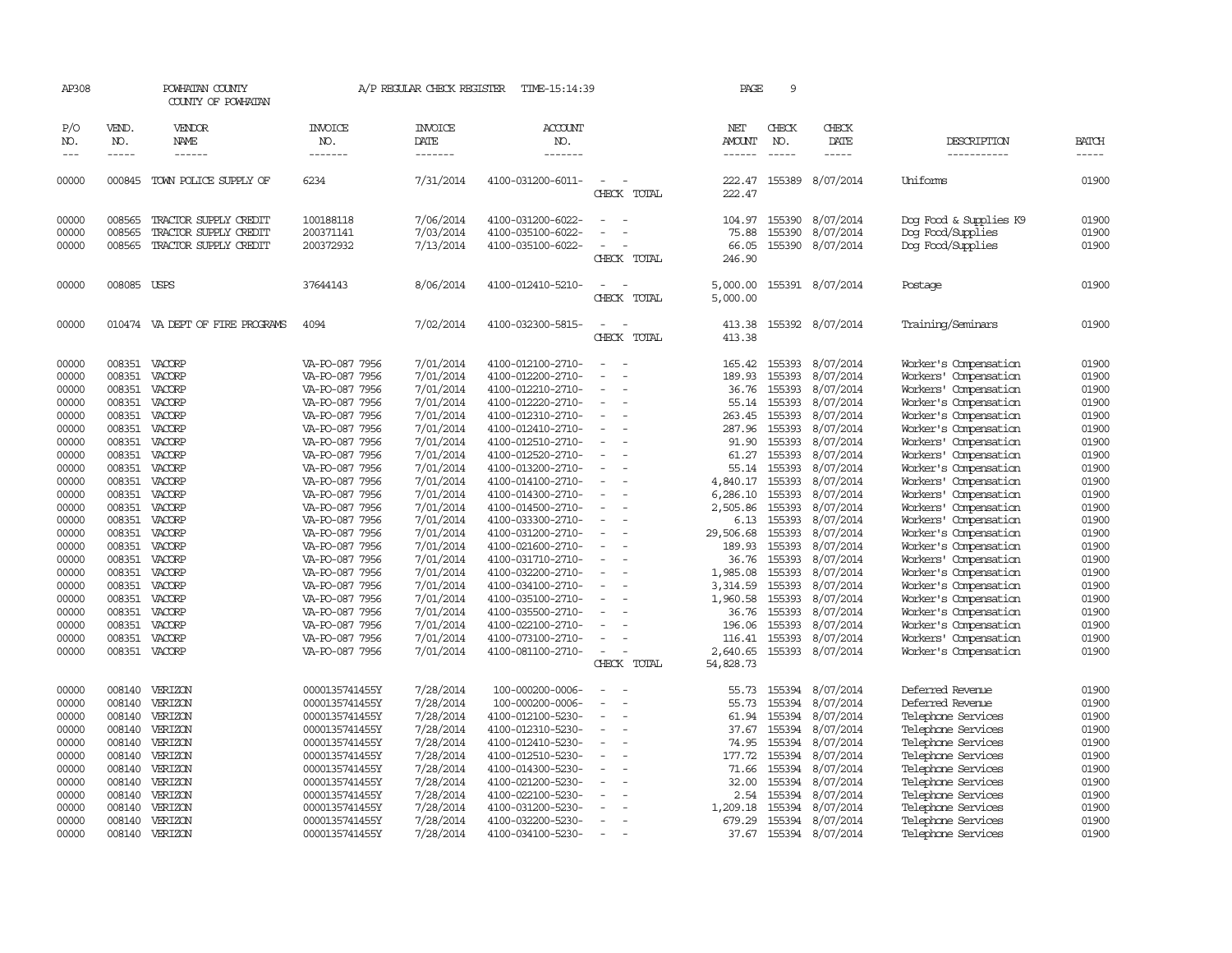| AP308                                                                                                                                                                                                                                                                                                                                                                                        |                  | POWHATAN COUNTY<br>COUNTY OF POWHATAN |                                  | A/P REGULAR CHECK REGISTER | TIME-15:14:39                          |                                         | PAGE                 | 9                |                               |                                                |                |
|----------------------------------------------------------------------------------------------------------------------------------------------------------------------------------------------------------------------------------------------------------------------------------------------------------------------------------------------------------------------------------------------|------------------|---------------------------------------|----------------------------------|----------------------------|----------------------------------------|-----------------------------------------|----------------------|------------------|-------------------------------|------------------------------------------------|----------------|
| P/O<br>NO.                                                                                                                                                                                                                                                                                                                                                                                   | VEND.<br>NO.     | VENDOR<br>NAME                        | <b>INVOICE</b><br>NO.            | <b>INVOICE</b><br>DATE     | ACCOUNT<br>NO.                         |                                         | NET<br>AMOUNT        | CHECK<br>NO.     | CHECK<br>DATE                 | DESCRIPTION                                    | <b>BATCH</b>   |
| $\frac{1}{2} \frac{1}{2} \frac{1}{2} \frac{1}{2} \frac{1}{2} \frac{1}{2} \frac{1}{2} \frac{1}{2} \frac{1}{2} \frac{1}{2} \frac{1}{2} \frac{1}{2} \frac{1}{2} \frac{1}{2} \frac{1}{2} \frac{1}{2} \frac{1}{2} \frac{1}{2} \frac{1}{2} \frac{1}{2} \frac{1}{2} \frac{1}{2} \frac{1}{2} \frac{1}{2} \frac{1}{2} \frac{1}{2} \frac{1}{2} \frac{1}{2} \frac{1}{2} \frac{1}{2} \frac{1}{2} \frac{$ | $\frac{1}{2}$    | ------                                | -------                          | -------                    | -------                                |                                         | $- - - - - -$        | $\frac{1}{2}$    | -----                         | -----------                                    | $- - - - -$    |
| 00000                                                                                                                                                                                                                                                                                                                                                                                        | 000845           | TOWN POLICE SUPPLY OF                 | 6234                             | 7/31/2014                  | 4100-031200-6011-                      | $\overline{\phantom{a}}$<br>CHECK TOTAL | 222.47<br>222.47     | 155389           | 8/07/2014                     | Uniforms                                       | 01900          |
| 00000                                                                                                                                                                                                                                                                                                                                                                                        | 008565           | TRACTOR SUPPLY CREDIT                 | 100188118                        | 7/06/2014                  | 4100-031200-6022-                      | $\overline{\phantom{a}}$                | 104.97               | 155390           | 8/07/2014                     | Dog Food & Supplies K9                         | 01900          |
| 00000                                                                                                                                                                                                                                                                                                                                                                                        | 008565           | TRACTOR SUPPLY CREDIT                 | 200371141                        | 7/03/2014                  | 4100-035100-6022-                      |                                         | 75.88                | 155390           | 8/07/2014                     | Dog Food/Supplies                              | 01900          |
| 00000                                                                                                                                                                                                                                                                                                                                                                                        | 008565           | TRACTOR SUPPLY CREDIT                 | 200372932                        | 7/13/2014                  | 4100-035100-6022-                      |                                         | 66.05                | 155390           | 8/07/2014                     | Dog Food/Supplies                              | 01900          |
|                                                                                                                                                                                                                                                                                                                                                                                              |                  |                                       |                                  |                            |                                        | CHECK TOTAL                             | 246.90               |                  |                               |                                                |                |
| 00000                                                                                                                                                                                                                                                                                                                                                                                        | 008085 USPS      |                                       | 37644143                         | 8/06/2014                  | 4100-012410-5210-                      | CHECK TOTAL                             | 5,000.00<br>5,000.00 |                  | 155391 8/07/2014              | Postage                                        | 01900          |
| 00000                                                                                                                                                                                                                                                                                                                                                                                        |                  | 010474 VA DEPT OF FIRE PROGRAMS       | 4094                             | 7/02/2014                  | 4100-032300-5815-                      | CHECK TOTAL                             | 413.38<br>413.38     |                  | 155392 8/07/2014              | Training/Seminars                              | 01900          |
| 00000                                                                                                                                                                                                                                                                                                                                                                                        | 008351           | VACORP                                | VA-PO-087 7956                   | 7/01/2014                  | 4100-012100-2710-                      |                                         | 165.42               | 155393           | 8/07/2014                     | Worker's Compensation                          | 01900          |
| 00000                                                                                                                                                                                                                                                                                                                                                                                        | 008351           | VACORP                                | VA-PO-087 7956                   | 7/01/2014                  | 4100-012200-2710-                      |                                         | 189.93               | 155393           | 8/07/2014                     | Workers' Compensation                          | 01900          |
| 00000                                                                                                                                                                                                                                                                                                                                                                                        | 008351           | VACORP                                | VA-PO-087 7956                   | 7/01/2014                  | 4100-012210-2710-                      |                                         | 36.76                | 155393           | 8/07/2014                     | Workers' Compensation                          | 01900          |
| 00000                                                                                                                                                                                                                                                                                                                                                                                        | 008351           | VACORP                                | VA-PO-087 7956                   | 7/01/2014                  | 4100-012220-2710-                      |                                         | 55.14                | 155393           | 8/07/2014                     | Worker's Compensation                          | 01900          |
| 00000                                                                                                                                                                                                                                                                                                                                                                                        | 008351           | VACORP                                | VA-PO-087 7956                   | 7/01/2014                  | 4100-012310-2710-                      |                                         | 263.45               | 155393           | 8/07/2014                     | Worker's Compensation                          | 01900          |
| 00000                                                                                                                                                                                                                                                                                                                                                                                        | 008351           | VACORP                                | VA-PO-087 7956                   | 7/01/2014                  | 4100-012410-2710-                      |                                         | 287.96               | 155393           | 8/07/2014                     | Worker's Compensation                          | 01900          |
| 00000                                                                                                                                                                                                                                                                                                                                                                                        | 008351           | VACORP                                | VA-PO-087 7956                   | 7/01/2014                  | 4100-012510-2710-                      | $\overline{\phantom{a}}$                | 91.90                | 155393           | 8/07/2014                     | Workers' Compensation                          | 01900          |
| 00000<br>00000                                                                                                                                                                                                                                                                                                                                                                               | 008351<br>008351 | VACORP<br>VACORP                      | VA-PO-087 7956<br>VA-PO-087 7956 | 7/01/2014<br>7/01/2014     | 4100-012520-2710-<br>4100-013200-2710- |                                         | 61.27<br>55.14       | 155393<br>155393 | 8/07/2014<br>8/07/2014        | Workers' Compensation<br>Worker's Compensation | 01900<br>01900 |
| 00000                                                                                                                                                                                                                                                                                                                                                                                        | 008351           | VACORP                                | VA-PO-087 7956                   | 7/01/2014                  | 4100-014100-2710-                      | $\sim$                                  | 4,840.17             | 155393           | 8/07/2014                     | Workers' Compensation                          | 01900          |
| 00000                                                                                                                                                                                                                                                                                                                                                                                        | 008351           | VACORP                                | VA-PO-087 7956                   | 7/01/2014                  | 4100-014300-2710-                      |                                         | 6,286.10             | 155393           | 8/07/2014                     | Workers' Compensation                          | 01900          |
| 00000                                                                                                                                                                                                                                                                                                                                                                                        | 008351           | VACORP                                | VA-PO-087 7956                   | 7/01/2014                  | 4100-014500-2710-                      | $\overline{a}$                          | 2,505.86             | 155393           | 8/07/2014                     | Workers' Compensation                          | 01900          |
| 00000                                                                                                                                                                                                                                                                                                                                                                                        | 008351           | VACORP                                | VA-PO-087 7956                   | 7/01/2014                  | 4100-033300-2710-                      |                                         | 6.13                 | 155393           | 8/07/2014                     | Workers' Compensation                          | 01900          |
| 00000                                                                                                                                                                                                                                                                                                                                                                                        | 008351           | VACORP                                | VA-PO-087 7956                   | 7/01/2014                  | 4100-031200-2710-                      | $\overline{\phantom{a}}$                | 29,506.68            | 155393           | 8/07/2014                     | Worker's Compensation                          | 01900          |
| 00000                                                                                                                                                                                                                                                                                                                                                                                        | 008351           | VACORP                                | VA-PO-087 7956                   | 7/01/2014                  | 4100-021600-2710-                      | $\overline{\phantom{a}}$                | 189.93               | 155393           | 8/07/2014                     | Worker's Compensation                          | 01900          |
| 00000                                                                                                                                                                                                                                                                                                                                                                                        | 008351           | VACORP                                | VA-PO-087 7956                   | 7/01/2014                  | 4100-031710-2710-                      |                                         | 36.76                | 155393           | 8/07/2014                     | Workers' Compensation                          | 01900          |
| 00000                                                                                                                                                                                                                                                                                                                                                                                        | 008351           | VACORP                                | VA-PO-087 7956                   | 7/01/2014                  | 4100-032200-2710-                      | $\overline{\phantom{a}}$                | 1,985.08             | 155393           | 8/07/2014                     | Worker's Compensation                          | 01900          |
| 00000                                                                                                                                                                                                                                                                                                                                                                                        | 008351           | VACORP                                | VA-PO-087 7956                   | 7/01/2014                  | 4100-034100-2710-                      |                                         | 3,314.59             | 155393           | 8/07/2014                     | Worker's Compensation                          | 01900          |
| 00000                                                                                                                                                                                                                                                                                                                                                                                        | 008351           | VACORP                                | VA-PO-087 7956                   | 7/01/2014                  | 4100-035100-2710-                      |                                         | 1,960.58             | 155393           | 8/07/2014                     | Worker's Compensation                          | 01900          |
| 00000<br>00000                                                                                                                                                                                                                                                                                                                                                                               | 008351<br>008351 | VACORP<br>VACORP                      | VA-PO-087 7956<br>VA-PO-087 7956 | 7/01/2014<br>7/01/2014     | 4100-035500-2710-<br>4100-022100-2710- |                                         | 36.76<br>196.06      | 155393<br>155393 | 8/07/2014<br>8/07/2014        | Worker's Compensation<br>Worker's Compensation | 01900<br>01900 |
| 00000                                                                                                                                                                                                                                                                                                                                                                                        | 008351           | VACORP                                | VA-PO-087 7956                   | 7/01/2014                  | 4100-073100-2710-                      |                                         | 116.41               | 155393           | 8/07/2014                     | Workers' Compensation                          | 01900          |
| 00000                                                                                                                                                                                                                                                                                                                                                                                        | 008351           | VACORP                                | VA-PO-087 7956                   | 7/01/2014                  | 4100-081100-2710-                      |                                         | 2,640.65             |                  | 155393 8/07/2014              | Worker's Compensation                          | 01900          |
|                                                                                                                                                                                                                                                                                                                                                                                              |                  |                                       |                                  |                            |                                        | CHECK TOTAL                             | 54,828.73            |                  |                               |                                                |                |
| 00000                                                                                                                                                                                                                                                                                                                                                                                        | 008140           | VERIZON                               | 0000135741455Y                   | 7/28/2014                  | 100-000200-0006-                       |                                         | 55.73                | 155394           | 8/07/2014                     | Deferred Revenue                               | 01900          |
| 00000                                                                                                                                                                                                                                                                                                                                                                                        | 008140           | VERIZON                               | 0000135741455Y                   | 7/28/2014                  | 100-000200-0006-                       | $\sim$                                  | 55.73                | 155394           | 8/07/2014                     | Deferred Revenue                               | 01900          |
| 00000                                                                                                                                                                                                                                                                                                                                                                                        | 008140           | VERIZON                               | 0000135741455Y                   | 7/28/2014                  | 4100-012100-5230-                      | $\equiv$                                | 61.94                | 155394           | 8/07/2014                     | Telephone Services                             | 01900          |
| 00000                                                                                                                                                                                                                                                                                                                                                                                        | 008140           | VERIZON                               | 0000135741455Y                   | 7/28/2014                  | 4100-012310-5230-                      | $\sim$                                  | 37.67                | 155394           | 8/07/2014                     | Telephone Services                             | 01900          |
| 00000                                                                                                                                                                                                                                                                                                                                                                                        | 008140           | VERIZON                               | 0000135741455Y                   | 7/28/2014                  | 4100-012410-5230-                      |                                         | 74.95                | 155394           | 8/07/2014                     | Telephone Services                             | 01900          |
| 00000                                                                                                                                                                                                                                                                                                                                                                                        | 008140           | VERIZON                               | 0000135741455Y                   | 7/28/2014                  | 4100-012510-5230-                      | $\overline{\phantom{a}}$                | 177.72               | 155394           | 8/07/2014                     | Telephone Services                             | 01900          |
| 00000                                                                                                                                                                                                                                                                                                                                                                                        | 008140           | VERIZON                               | 0000135741455Y                   | 7/28/2014                  | 4100-014300-5230-                      |                                         | 71.66                | 155394           | 8/07/2014                     | Telephone Services                             | 01900          |
| 00000                                                                                                                                                                                                                                                                                                                                                                                        | 008140           | VERIZON                               | 0000135741455Y                   | 7/28/2014                  | 4100-021200-5230-                      |                                         | 32.00                | 155394           | 8/07/2014                     | Telephone Services                             | 01900          |
| 00000                                                                                                                                                                                                                                                                                                                                                                                        | 008140           | VERIZON                               | 0000135741455Y                   | 7/28/2014                  | 4100-022100-5230-                      |                                         | 2.54                 | 155394           | 8/07/2014                     | Telephone Services                             | 01900          |
| 00000                                                                                                                                                                                                                                                                                                                                                                                        | 008140           | VERIZON                               | 0000135741455Y                   | 7/28/2014                  | 4100-031200-5230-                      |                                         | 1,209.18             | 155394           | 8/07/2014                     | Telephone Services                             | 01900          |
| 00000<br>00000                                                                                                                                                                                                                                                                                                                                                                               | 008140<br>008140 | VERIZON<br>VERIZON                    | 0000135741455Y<br>0000135741455Y | 7/28/2014<br>7/28/2014     | 4100-032200-5230-<br>4100-034100-5230- | $\overline{\phantom{a}}$                | 679.29<br>37.67      | 155394           | 8/07/2014<br>155394 8/07/2014 | Telephone Services<br>Telephone Services       | 01900<br>01900 |
|                                                                                                                                                                                                                                                                                                                                                                                              |                  |                                       |                                  |                            |                                        |                                         |                      |                  |                               |                                                |                |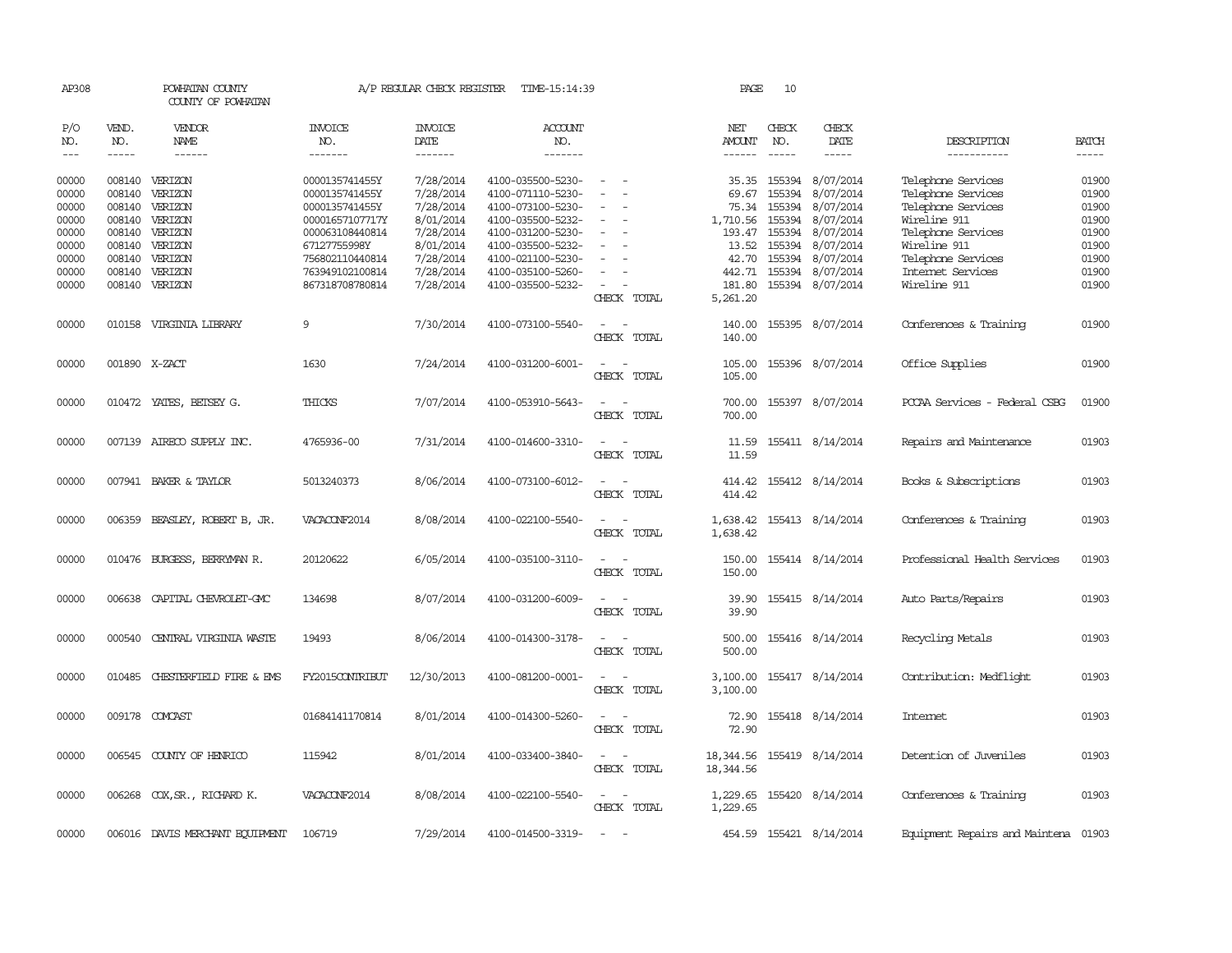| AP308                   |                  | POWHATAN COUNTY<br>COUNTY OF POWHATAN |                                                    | A/P REGULAR CHECK REGISTER          | TIME-15:14:39                                               |                                                                                                                             | PAGE                         | 10                         |                                      |                                                          |                         |
|-------------------------|------------------|---------------------------------------|----------------------------------------------------|-------------------------------------|-------------------------------------------------------------|-----------------------------------------------------------------------------------------------------------------------------|------------------------------|----------------------------|--------------------------------------|----------------------------------------------------------|-------------------------|
| P/O<br>NO.              | VEND.<br>NO.     | <b>VENDOR</b><br>NAME                 | <b>INVOICE</b><br>NO.                              | <b>INVOICE</b><br>DATE              | <b>ACCOUNT</b><br>NO.                                       |                                                                                                                             | NET<br>AMOUNT                | CHECK<br>NO.               | CHECK<br>DATE                        | DESCRIPTION                                              | <b>BATCH</b>            |
| $- - -$                 | $- - - - -$      | $- - - - - -$                         | --------                                           | $- - - - - - -$                     | $- - - - - - -$                                             |                                                                                                                             | $- - - - - -$                | $- - - - -$                | -----                                | -----------                                              | $- - - - -$             |
| 00000<br>00000          | 008140<br>008140 | VERIZON<br>VERIZON                    | 0000135741455Y<br>0000135741455Y                   | 7/28/2014<br>7/28/2014              | 4100-035500-5230-<br>4100-071110-5230-                      | $\overline{\phantom{a}}$                                                                                                    | 35.35<br>69.67               | 155394<br>155394           | 8/07/2014<br>8/07/2014               | Telephone Services<br>Telephone Services                 | 01900<br>01900          |
| 00000<br>00000          | 008140           | VERIZON<br>008140 VERIZON             | 0000135741455Y<br>00001657107717Y                  | 7/28/2014<br>8/01/2014              | 4100-073100-5230-<br>4100-035500-5232-                      | $\equiv$                                                                                                                    | 75.34<br>1,710.56            | 155394<br>155394           | 8/07/2014<br>8/07/2014               | Telephone Services<br>Wireline 911                       | 01900<br>01900          |
| 00000<br>00000<br>00000 | 008140<br>008140 | 008140 VERIZON<br>VERIZON<br>VERIZON  | 000063108440814<br>67127755998Y<br>756802110440814 | 7/28/2014<br>8/01/2014<br>7/28/2014 | 4100-031200-5230-<br>4100-035500-5232-<br>4100-021100-5230- |                                                                                                                             | 193.47<br>13.52<br>42.70     | 155394<br>155394<br>155394 | 8/07/2014<br>8/07/2014<br>8/07/2014  | Telephone Services<br>Wireline 911<br>Telephone Services | 01900<br>01900<br>01900 |
| 00000<br>00000          | 008140           | VERIZON<br>008140 VERIZON             | 763949102100814<br>867318708780814                 | 7/28/2014<br>7/28/2014              | 4100-035100-5260-<br>4100-035500-5232-                      | CHECK TOTAL                                                                                                                 | 442.71<br>181.80<br>5,261.20 |                            | 155394 8/07/2014<br>155394 8/07/2014 | Internet Services<br>Wireline 911                        | 01900<br>01900          |
| 00000                   |                  | 010158 VIRGINIA LIBRARY               | 9                                                  | 7/30/2014                           | 4100-073100-5540-                                           | CHECK TOTAL                                                                                                                 | 140.00<br>140.00             |                            | 155395 8/07/2014                     | Conferences & Training                                   | 01900                   |
| 00000                   | 001890 X-ZACT    |                                       | 1630                                               | 7/24/2014                           | 4100-031200-6001-                                           | CHECK TOTAL                                                                                                                 | 105.00<br>105.00             |                            | 155396 8/07/2014                     | Office Supplies                                          | 01900                   |
| 00000                   |                  | 010472 YATES, BETSEY G.               | <b>THICKS</b>                                      | 7/07/2014                           | 4100-053910-5643-                                           | $\sim$<br>CHECK TOTAL                                                                                                       | 700.00<br>700.00             |                            | 155397 8/07/2014                     | PCCAA Services - Federal CSBG                            | 01900                   |
| 00000                   |                  | 007139 AIRECO SUPPLY INC.             | 4765936-00                                         | 7/31/2014                           | 4100-014600-3310-                                           | $\sim$<br>CHECK TOTAL                                                                                                       | 11.59<br>11.59               |                            | 155411 8/14/2014                     | Repairs and Maintenance                                  | 01903                   |
| 00000                   |                  | 007941 BAKER & TAYLOR                 | 5013240373                                         | 8/06/2014                           | 4100-073100-6012-                                           | $\sim$<br>$\overline{\phantom{a}}$<br>CHECK TOTAL                                                                           | 414.42<br>414.42             |                            | 155412 8/14/2014                     | Books & Subscriptions                                    | 01903                   |
| 00000                   |                  | 006359 BEASLEY, ROBERT B, JR.         | VACACONF2014                                       | 8/08/2014                           | 4100-022100-5540-                                           | CHECK TOTAL                                                                                                                 | 1,638.42<br>1,638.42         |                            | 155413 8/14/2014                     | Conferences & Training                                   | 01903                   |
| 00000                   |                  | 010476 BURGESS, BERRYMAN R.           | 20120622                                           | 6/05/2014                           | 4100-035100-3110-                                           | $\frac{1}{2} \left( \frac{1}{2} \right) \left( \frac{1}{2} \right) = \frac{1}{2} \left( \frac{1}{2} \right)$<br>CHECK TOTAL | 150.00<br>150.00             |                            | 155414 8/14/2014                     | Professional Health Services                             | 01903                   |
| 00000                   |                  | 006638 CAPITAL CHEVROLET-CMC          | 134698                                             | 8/07/2014                           | 4100-031200-6009-                                           | $\sim$<br>CHECK TOTAL                                                                                                       | 39.90<br>39.90               |                            | 155415 8/14/2014                     | Auto Parts/Repairs                                       | 01903                   |
| 00000                   | 000540           | CENTRAL VIRGINIA WASTE                | 19493                                              | 8/06/2014                           | 4100-014300-3178-                                           | CHECK TOTAL                                                                                                                 | 500.00<br>500.00             |                            | 155416 8/14/2014                     | Recycling Metals                                         | 01903                   |
| 00000                   | 010485           | CHESTERFIELD FIRE & EMS               | FY2015CONTRIBUT                                    | 12/30/2013                          | 4100-081200-0001-                                           | $\overline{\phantom{a}}$<br>CHECK TOTAL                                                                                     | 3,100.00<br>3,100.00         |                            | 155417 8/14/2014                     | Contribution: Medflight                                  | 01903                   |
| 00000                   |                  | 009178 COMCAST                        | 01684141170814                                     | 8/01/2014                           | 4100-014300-5260-                                           | $\overline{\phantom{a}}$<br>CHECK TOTAL                                                                                     | 72.90<br>72.90               |                            | 155418 8/14/2014                     | Internet                                                 | 01903                   |
| 00000                   |                  | 006545 COUNTY OF HENRICO              | 115942                                             | 8/01/2014                           | 4100-033400-3840-                                           | $\sim$ $ \sim$<br>CHECK TOTAL                                                                                               | 18,344.56<br>18,344.56       |                            | 155419 8/14/2014                     | Detention of Juveniles                                   | 01903                   |
| 00000                   |                  | 006268 COX, SR., RICHARD K.           | VACACONF2014                                       | 8/08/2014                           | 4100-022100-5540-                                           | CHECK TOTAL                                                                                                                 | 1,229.65<br>1,229.65         |                            | 155420 8/14/2014                     | Conferences & Training                                   | 01903                   |
| 00000                   |                  | 006016 DAVIS MERCHANT EQUIPMENT       | 106719                                             | 7/29/2014                           | 4100-014500-3319-                                           | $\sim$                                                                                                                      |                              |                            | 454.59 155421 8/14/2014              | Equipment Repairs and Maintena 01903                     |                         |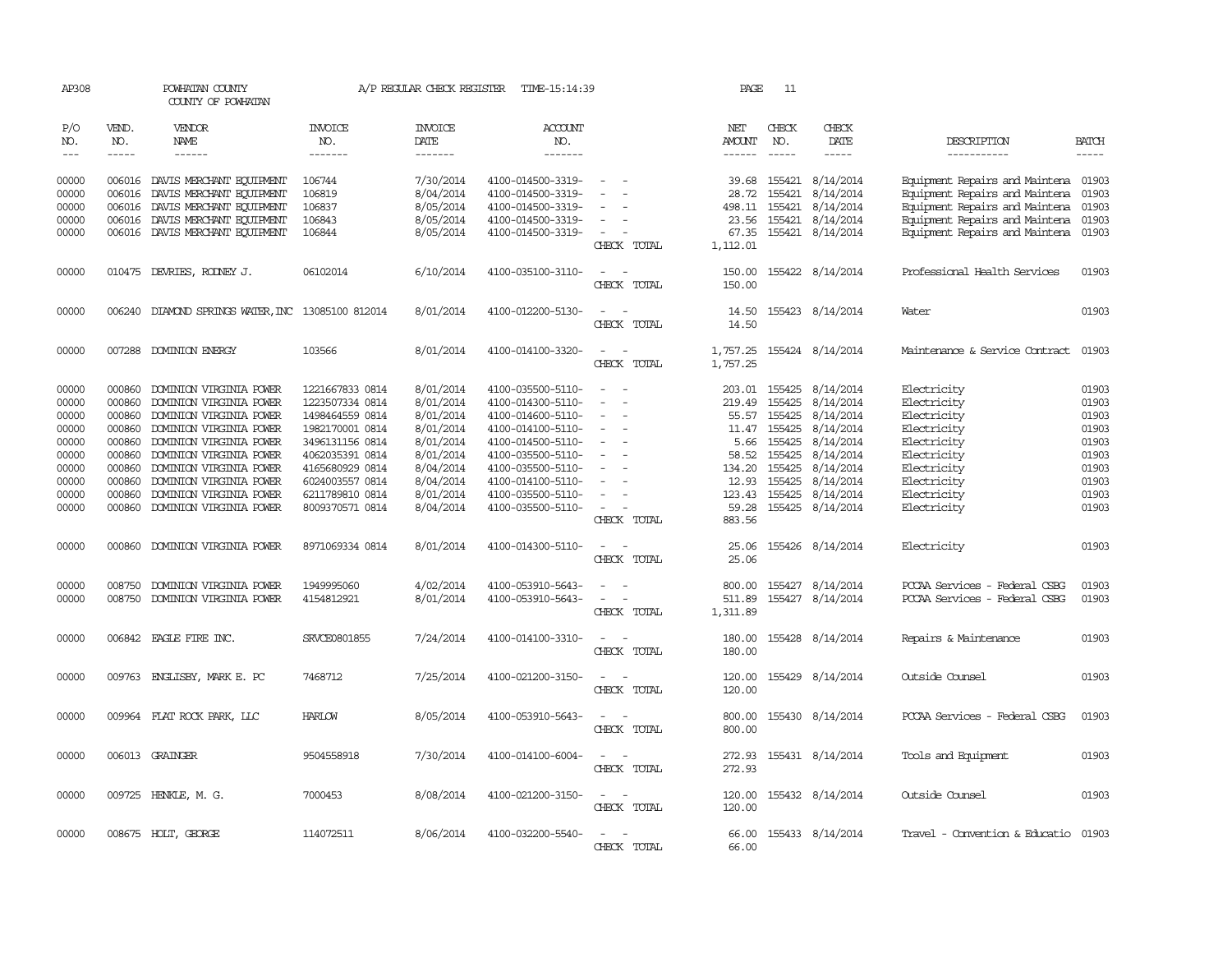| AP308               |                             | POWHATAN COUNTY<br>COUNTY OF POWHATAN             |                           | A/P REGULAR CHECK REGISTER        | TIME-15:14:39             |                                                   | PAGE                           | 11                          |                           |                                      |                             |
|---------------------|-----------------------------|---------------------------------------------------|---------------------------|-----------------------------------|---------------------------|---------------------------------------------------|--------------------------------|-----------------------------|---------------------------|--------------------------------------|-----------------------------|
| P/O<br>NO.<br>$---$ | VEND.<br>NO.<br>$- - - - -$ | VENDOR<br><b>NAME</b><br>$- - - - - -$            | INVOICE<br>NO.<br>------- | <b>INVOICE</b><br>DATE<br>------- | ACCOUNT<br>NO.<br>------- |                                                   | NET<br>AMOUNT<br>$- - - - - -$ | CHECK<br>NO.<br>$- - - - -$ | CHECK<br>DATE<br>-----    | DESCRIPTION<br>-----------           | <b>BATCH</b><br>$- - - - -$ |
| 00000               | 006016                      | DAVIS MERCHANT EQUIPMENT                          | 106744                    | 7/30/2014                         | 4100-014500-3319-         | $\sim$                                            | 39.68                          | 155421                      | 8/14/2014                 | Equipment Repairs and Maintena 01903 |                             |
| 00000               | 006016                      | DAVIS MERCHANT EQUIPMENT                          | 106819                    | 8/04/2014                         | 4100-014500-3319-         | $\equiv$                                          | 28.72                          | 155421                      | 8/14/2014                 | Equipment Repairs and Maintena       | 01903                       |
| 00000               |                             | 006016 DAVIS MERCHANT EQUIPMENT                   | 106837                    | 8/05/2014                         | 4100-014500-3319-         |                                                   | 498.11                         | 155421                      | 8/14/2014                 | Equipment Repairs and Maintena       | 01903                       |
| 00000               | 006016                      | DAVIS MERCHANT EQUIPMENT                          | 106843                    | 8/05/2014                         | 4100-014500-3319-         | $\overline{a}$                                    | 23.56                          | 155421                      | 8/14/2014                 | Equipment Repairs and Maintena       | 01903                       |
| 00000               |                             | 006016 DAVIS MERCHANT EQUIPMENT                   | 106844                    | 8/05/2014                         | 4100-014500-3319-         | $\sim$<br>CHECK TOTAL                             | 67.35<br>1,112.01              |                             | 155421 8/14/2014          | Equipment Repairs and Maintena 01903 |                             |
| 00000               |                             | 010475 DEVRIES, RODNEY J.                         | 06102014                  | 6/10/2014                         | 4100-035100-3110-         |                                                   | 150.00                         |                             | 155422 8/14/2014          | Professional Health Services         | 01903                       |
|                     |                             |                                                   |                           |                                   |                           | CHECK TOTAL                                       | 150.00                         |                             |                           |                                      |                             |
| 00000               |                             | 006240 DIAMOND SPRINGS WATER, INC 13085100 812014 |                           | 8/01/2014                         | 4100-012200-5130-         | CHECK TOTAL                                       | 14.50<br>14.50                 |                             | 155423 8/14/2014          | Water                                | 01903                       |
| 00000               |                             | 007288 DOMINION ENERGY                            | 103566                    | 8/01/2014                         | 4100-014100-3320-         | CHECK TOTAL                                       | 1,757.25                       |                             | 1,757.25 155424 8/14/2014 | Maintenance & Service Contract       | 01903                       |
| 00000               | 000860                      | DOMINION VIRGINIA POWER                           | 1221667833 0814           | 8/01/2014                         | 4100-035500-5110-         |                                                   | 203.01                         | 155425                      | 8/14/2014                 | Electricity                          | 01903                       |
| 00000               | 000860                      | DOMINION VIRGINIA POWER                           | 1223507334 0814           | 8/01/2014                         | 4100-014300-5110-         |                                                   | 219.49                         | 155425                      | 8/14/2014                 | Electricity                          | 01903                       |
| 00000               | 000860                      | DOMINION VIRGINIA POWER                           | 1498464559 0814           | 8/01/2014                         | 4100-014600-5110-         | $\overline{\phantom{a}}$                          | 55.57                          | 155425                      | 8/14/2014                 | Electricity                          | 01903                       |
| 00000               | 000860                      | DOMINION VIRGINIA POWER                           | 1982170001 0814           | 8/01/2014                         | 4100-014100-5110-         | $\sim$                                            |                                | 11.47 155425                | 8/14/2014                 | Electricity                          | 01903                       |
| 00000               | 000860                      | DOMINION VIRGINIA POWER                           | 3496131156 0814           | 8/01/2014                         | 4100-014500-5110-         | $\overline{\phantom{a}}$                          | 5.66                           | 155425                      | 8/14/2014                 | Electricity                          | 01903                       |
| 00000               | 000860                      | DOMINION VIRGINIA POWER                           | 4062035391 0814           | 8/01/2014                         | 4100-035500-5110-         |                                                   | 58.52                          | 155425                      | 8/14/2014                 | Electricity                          | 01903                       |
| 00000               | 000860                      | DOMINION VIRGINIA POWER                           | 4165680929 0814           | 8/04/2014                         | 4100-035500-5110-         | $\equiv$                                          | 134.20                         | 155425                      | 8/14/2014                 | Electricity                          | 01903                       |
| 00000               | 000860                      | DOMINION VIRGINIA POWER                           | 6024003557 0814           | 8/04/2014                         | 4100-014100-5110-         |                                                   | 12.93                          | 155425                      | 8/14/2014                 | Electricity                          | 01903                       |
| 00000               | 000860                      | DOMINION VIRGINIA POWER                           | 6211789810 0814           | 8/01/2014                         | 4100-035500-5110-         | $\overline{\phantom{a}}$                          | 123.43                         | 155425                      | 8/14/2014                 | Electricity                          | 01903                       |
| 00000               |                             | 000860 DOMINION VIRGINIA POWER                    | 8009370571 0814           | 8/04/2014                         | 4100-035500-5110-         | $\sim$                                            | 59.28                          |                             | 155425 8/14/2014          | Electricity                          | 01903                       |
|                     |                             |                                                   |                           |                                   |                           | CHECK TOTAL                                       | 883.56                         |                             |                           |                                      |                             |
| 00000               | 000860                      | DOMINION VIRGINIA POWER                           | 8971069334 0814           | 8/01/2014                         | 4100-014300-5110-         | $\overline{\phantom{a}}$<br>$\sim$<br>CHECK TOTAL | 25.06<br>25.06                 |                             | 155426 8/14/2014          | Electricity                          | 01903                       |
|                     |                             |                                                   |                           |                                   |                           |                                                   |                                |                             |                           |                                      |                             |
| 00000               | 008750                      | DOMINION VIRGINIA POWER                           | 1949995060                | 4/02/2014                         | 4100-053910-5643-         |                                                   | 800.00                         | 155427                      | 8/14/2014                 | PCCAA Services - Federal CSBG        | 01903                       |
| 00000               | 008750                      | DOMINION VIRGINIA POWER                           | 4154812921                | 8/01/2014                         | 4100-053910-5643-         |                                                   | 511.89                         |                             | 155427 8/14/2014          | PCCAA Services - Federal CSBG        | 01903                       |
|                     |                             |                                                   |                           |                                   |                           | CHECK TOTAL                                       | 1,311.89                       |                             |                           |                                      |                             |
| 00000               |                             | 006842 EAGLE FIRE INC.                            | SRVCE0801855              | 7/24/2014                         | 4100-014100-3310-         | CHECK TOTAL                                       | 180.00<br>180.00               |                             | 155428 8/14/2014          | Repairs & Maintenance                | 01903                       |
| 00000               | 009763                      | ENGLISBY, MARK E. PC                              | 7468712                   | 7/25/2014                         | 4100-021200-3150-         |                                                   | 120.00                         | 155429                      | 8/14/2014                 | Outside Counsel                      | 01903                       |
|                     |                             |                                                   |                           |                                   |                           | CHECK TOTAL                                       | 120.00                         |                             |                           |                                      |                             |
| 00000               |                             | 009964 FLAT ROCK PARK, LLC                        | <b>HARLOW</b>             | 8/05/2014                         | 4100-053910-5643-         | CHECK TOTAL                                       | 800.00<br>800.00               |                             | 155430 8/14/2014          | PCCAA Services - Federal CSBG        | 01903                       |
| 00000               |                             | 006013 GRAINGER                                   | 9504558918                | 7/30/2014                         | 4100-014100-6004-         | ÷.                                                | 272.93                         |                             | 155431 8/14/2014          | Tools and Equipment                  | 01903                       |
|                     |                             |                                                   |                           |                                   |                           | CHECK TOTAL                                       | 272.93                         |                             |                           |                                      |                             |
| 00000               |                             | 009725 HENKLE, M. G.                              | 7000453                   | 8/08/2014                         | 4100-021200-3150-         | $\sim$                                            | 120.00                         |                             | 155432 8/14/2014          | Outside Counsel                      | 01903                       |
|                     |                             |                                                   |                           |                                   |                           | CHECK TOTAL                                       | 120.00                         |                             |                           |                                      |                             |
| 00000               |                             | 008675 HOLT, GEORGE                               | 114072511                 | 8/06/2014                         | 4100-032200-5540-         | $\sim$<br>$\sim$                                  | 66.00                          |                             | 155433 8/14/2014          | Travel - Convention & Educatio 01903 |                             |
|                     |                             |                                                   |                           |                                   |                           | CHECK TOTAL                                       | 66.00                          |                             |                           |                                      |                             |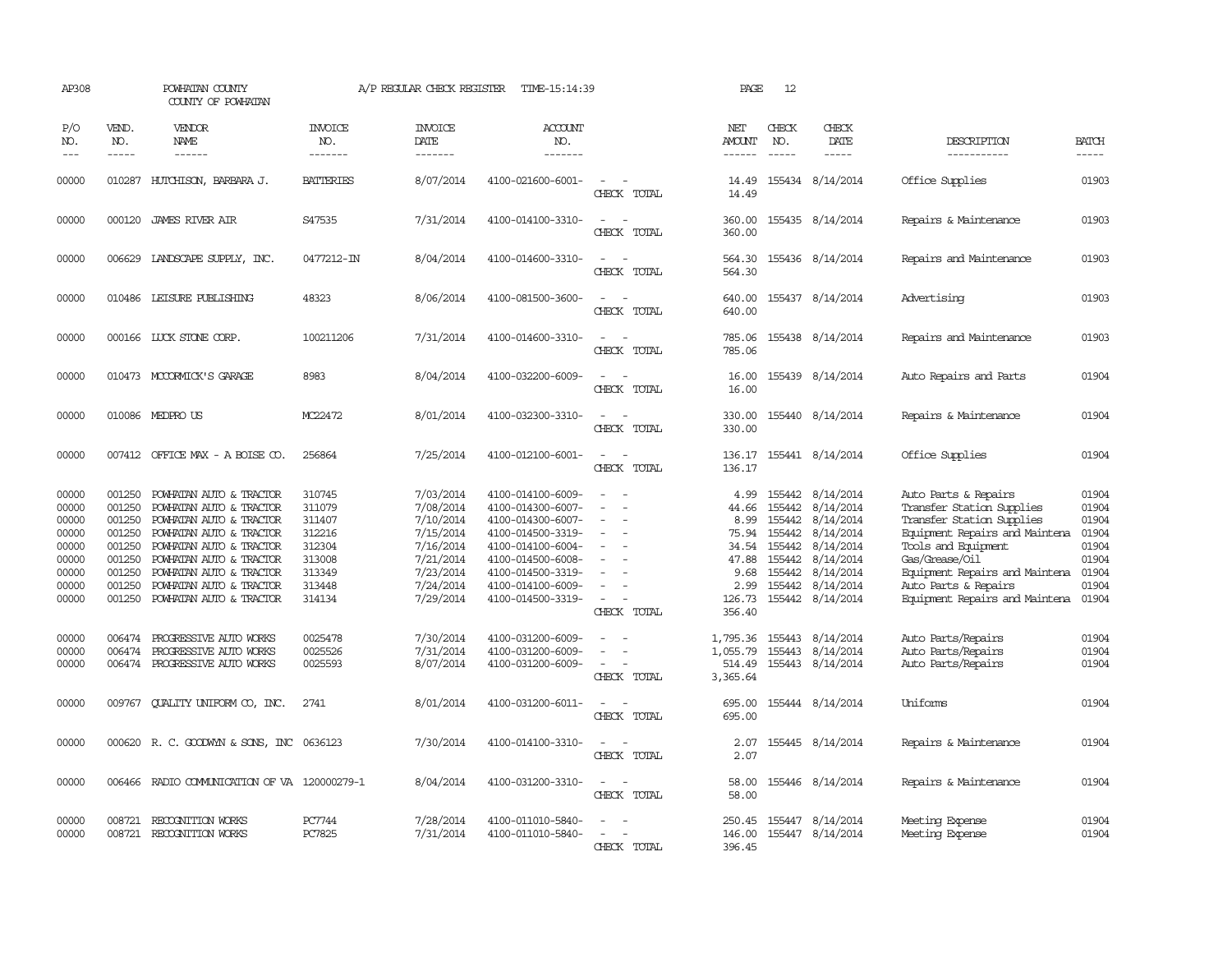| AP308                                                                         |                                                                              | POWHATAN COUNTY<br>COUNTY OF POWHATAN                                                                                                                                                                                                                  |                                                                                        | A/P REGULAR CHECK REGISTER                                                                                        | TIME-15:14:39                                                                                                                                                                             |                                                                     | PAGE                                                                                 | 12                                                                           |                                                                                                                          |                                                                                                                                                                                                                                                       |                                                                               |
|-------------------------------------------------------------------------------|------------------------------------------------------------------------------|--------------------------------------------------------------------------------------------------------------------------------------------------------------------------------------------------------------------------------------------------------|----------------------------------------------------------------------------------------|-------------------------------------------------------------------------------------------------------------------|-------------------------------------------------------------------------------------------------------------------------------------------------------------------------------------------|---------------------------------------------------------------------|--------------------------------------------------------------------------------------|------------------------------------------------------------------------------|--------------------------------------------------------------------------------------------------------------------------|-------------------------------------------------------------------------------------------------------------------------------------------------------------------------------------------------------------------------------------------------------|-------------------------------------------------------------------------------|
| P/O<br>NO.<br>$---$                                                           | VEND.<br>NO.<br>$- - - - -$                                                  | VENDOR<br>NAME<br>$- - - - - -$                                                                                                                                                                                                                        | <b>INVOICE</b><br>NO.<br>-------                                                       | <b>INVOICE</b><br>DATE<br>-------                                                                                 | <b>ACCOUNT</b><br>NO.<br>-------                                                                                                                                                          |                                                                     | NET<br>AMOUNT<br>------                                                              | CHECK<br>NO.<br>$- - - - -$                                                  | CHECK<br>DATE<br>$- - - - -$                                                                                             | DESCRIPTION<br>-----------                                                                                                                                                                                                                            | <b>BATCH</b><br>-----                                                         |
| 00000                                                                         |                                                                              | 010287 HUTCHISON, BARBARA J.                                                                                                                                                                                                                           | <b>BATTERIES</b>                                                                       | 8/07/2014                                                                                                         | 4100-021600-6001-                                                                                                                                                                         | CHECK TOTAL                                                         | 14.49<br>14.49                                                                       |                                                                              | 155434 8/14/2014                                                                                                         | Office Supplies                                                                                                                                                                                                                                       | 01903                                                                         |
| 00000                                                                         |                                                                              | 000120 JAMES RIVER AIR                                                                                                                                                                                                                                 | S47535                                                                                 | 7/31/2014                                                                                                         | 4100-014100-3310-                                                                                                                                                                         | $\sim$<br>CHECK TOTAL                                               | 360.00<br>360.00                                                                     |                                                                              | 155435 8/14/2014                                                                                                         | Repairs & Maintenance                                                                                                                                                                                                                                 | 01903                                                                         |
| 00000                                                                         |                                                                              | 006629 LANDSCAPE SUPPLY, INC.                                                                                                                                                                                                                          | 0477212-IN                                                                             | 8/04/2014                                                                                                         | 4100-014600-3310-                                                                                                                                                                         | $\sim$<br>CHECK TOTAL                                               | 564.30<br>564.30                                                                     |                                                                              | 155436 8/14/2014                                                                                                         | Repairs and Maintenance                                                                                                                                                                                                                               | 01903                                                                         |
| 00000                                                                         |                                                                              | 010486 LEISURE PUBLISHING                                                                                                                                                                                                                              | 48323                                                                                  | 8/06/2014                                                                                                         | 4100-081500-3600-                                                                                                                                                                         | $\sim$<br>$\overline{\phantom{a}}$<br>CHECK TOTAL                   | 640.00<br>640.00                                                                     |                                                                              | 155437 8/14/2014                                                                                                         | Advertising                                                                                                                                                                                                                                           | 01903                                                                         |
| 00000                                                                         |                                                                              | 000166 LUCK STONE CORP.                                                                                                                                                                                                                                | 100211206                                                                              | 7/31/2014                                                                                                         | 4100-014600-3310-                                                                                                                                                                         | $\overline{\phantom{a}}$<br>$\overline{\phantom{a}}$<br>CHECK TOTAL | 785.06<br>785.06                                                                     |                                                                              | 155438 8/14/2014                                                                                                         | Repairs and Maintenance                                                                                                                                                                                                                               | 01903                                                                         |
| 00000                                                                         |                                                                              | 010473 MCCORMICK'S GARAGE                                                                                                                                                                                                                              | 8983                                                                                   | 8/04/2014                                                                                                         | 4100-032200-6009-                                                                                                                                                                         | CHECK TOTAL                                                         | 16.00<br>16.00                                                                       |                                                                              | 155439 8/14/2014                                                                                                         | Auto Repairs and Parts                                                                                                                                                                                                                                | 01904                                                                         |
| 00000                                                                         |                                                                              | 010086 MEDPRO US                                                                                                                                                                                                                                       | MC22472                                                                                | 8/01/2014                                                                                                         | 4100-032300-3310-                                                                                                                                                                         | CHECK TOTAL                                                         | 330.00<br>330.00                                                                     |                                                                              | 155440 8/14/2014                                                                                                         | Repairs & Maintenance                                                                                                                                                                                                                                 | 01904                                                                         |
| 00000                                                                         |                                                                              | 007412 OFFICE MAX - A BOISE CO.                                                                                                                                                                                                                        | 256864                                                                                 | 7/25/2014                                                                                                         | 4100-012100-6001-                                                                                                                                                                         | CHECK TOTAL                                                         | 136.17<br>136.17                                                                     |                                                                              | 155441 8/14/2014                                                                                                         | Office Supplies                                                                                                                                                                                                                                       | 01904                                                                         |
| 00000<br>00000<br>00000<br>00000<br>00000<br>00000<br>00000<br>00000<br>00000 | 001250<br>001250<br>001250<br>001250<br>001250<br>001250<br>001250<br>001250 | 001250 POWHATAN AUTO & TRACTOR<br>POWHATAN AUTO & TRACTOR<br>POWHATAN AUTO & TRACTOR<br>POWHATAN AUTO & TRACTOR<br>POWHATAN AUTO & TRACTOR<br>POWHATAN AUTO & TRACTOR<br>POWHATAN AUTO & TRACTOR<br>POWHATAN AUTO & TRACTOR<br>POWHATAN AUTO & TRACTOR | 310745<br>311079<br>311407<br>312216<br>312304<br>313008<br>313349<br>313448<br>314134 | 7/03/2014<br>7/08/2014<br>7/10/2014<br>7/15/2014<br>7/16/2014<br>7/21/2014<br>7/23/2014<br>7/24/2014<br>7/29/2014 | 4100-014100-6009-<br>4100-014300-6007-<br>4100-014300-6007-<br>4100-014500-3319-<br>4100-014100-6004-<br>4100-014500-6008-<br>4100-014500-3319-<br>4100-014100-6009-<br>4100-014500-3319- | $\equiv$<br>$\sim$<br>CHECK TOTAL                                   | 4.99<br>44.66<br>8.99<br>75.94<br>34.54<br>47.88<br>9.68<br>2.99<br>126.73<br>356.40 | 155442<br>155442<br>155442<br>155442<br>155442<br>155442<br>155442<br>155442 | 155442 8/14/2014<br>8/14/2014<br>8/14/2014<br>8/14/2014<br>8/14/2014<br>8/14/2014<br>8/14/2014<br>8/14/2014<br>8/14/2014 | Auto Parts & Repairs<br>Transfer Station Supplies<br>Transfer Station Supplies<br>Equipment Repairs and Maintena<br>Tools and Equipment<br>Gas/Grease/Oil<br>Equipment Repairs and Maintena<br>Auto Parts & Repairs<br>Equipment Repairs and Maintena | 01904<br>01904<br>01904<br>01904<br>01904<br>01904<br>01904<br>01904<br>01904 |
| 00000<br>00000<br>00000                                                       | 006474<br>006474                                                             | PROGRESSIVE AUTO WORKS<br>PROGRESSIVE AUTO WORKS<br>006474 PROGRESSIVE AUTO WORKS                                                                                                                                                                      | 0025478<br>0025526<br>0025593                                                          | 7/30/2014<br>7/31/2014<br>8/07/2014                                                                               | 4100-031200-6009-<br>4100-031200-6009-<br>4100-031200-6009-                                                                                                                               | CHECK TOTAL                                                         | 1,795.36<br>1,055.79<br>514.49<br>3,365.64                                           |                                                                              | 155443 8/14/2014<br>155443 8/14/2014<br>155443 8/14/2014                                                                 | Auto Parts/Repairs<br>Auto Parts/Repairs<br>Auto Parts/Repairs                                                                                                                                                                                        | 01904<br>01904<br>01904                                                       |
| 00000                                                                         | 009767                                                                       | QUALITY UNIFORM CO, INC.                                                                                                                                                                                                                               | 2741                                                                                   | 8/01/2014                                                                                                         | 4100-031200-6011-                                                                                                                                                                         | CHECK TOTAL                                                         | 695.00<br>695.00                                                                     |                                                                              | 155444 8/14/2014                                                                                                         | <b>Iniforms</b>                                                                                                                                                                                                                                       | 01904                                                                         |
| 00000                                                                         |                                                                              | 000620 R.C. GOODWYN & SONS, INC                                                                                                                                                                                                                        | 0636123                                                                                | 7/30/2014                                                                                                         | 4100-014100-3310-                                                                                                                                                                         | CHECK TOTAL                                                         | 2.07<br>2.07                                                                         |                                                                              | 155445 8/14/2014                                                                                                         | Repairs & Maintenance                                                                                                                                                                                                                                 | 01904                                                                         |
| 00000                                                                         |                                                                              | 006466 RADIO COMMUNICATION OF VA 120000279-1                                                                                                                                                                                                           |                                                                                        | 8/04/2014                                                                                                         | 4100-031200-3310-                                                                                                                                                                         | $\sim$<br>$\sim$<br>CHECK TOTAL                                     | 58.00<br>58.00                                                                       |                                                                              | 155446 8/14/2014                                                                                                         | Repairs & Maintenance                                                                                                                                                                                                                                 | 01904                                                                         |
| 00000<br>00000                                                                | 008721                                                                       | RECOGNITION WORKS<br>008721 RECOGNITION WORKS                                                                                                                                                                                                          | PC7744<br>PC7825                                                                       | 7/28/2014<br>7/31/2014                                                                                            | 4100-011010-5840-<br>4100-011010-5840-                                                                                                                                                    | CHECK TOTAL                                                         | 250.45<br>146.00<br>396.45                                                           |                                                                              | 155447 8/14/2014<br>155447 8/14/2014                                                                                     | Meeting Expense<br>Meeting Expense                                                                                                                                                                                                                    | 01904<br>01904                                                                |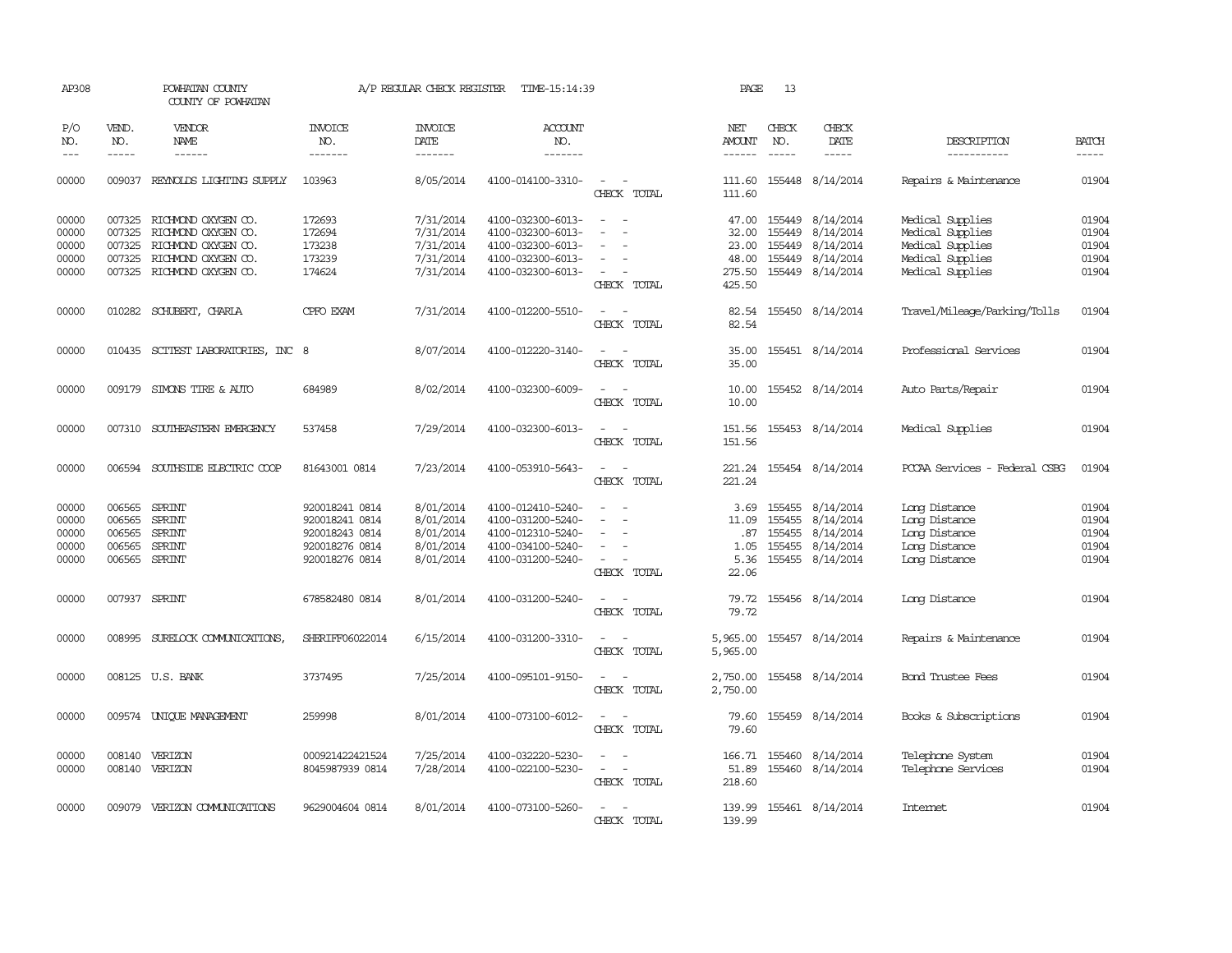| AP308                                     |                                                       | POWHATAN COUNTY<br>COUNTY OF POWHATAN                                                                                                |                                                                                        | A/P REGULAR CHECK REGISTER                                    | TIME-15:14:39                                                                                         |                                                                                           | PAGE                                                 | 13                                   |                                                                      |                                                                                                  |                                           |
|-------------------------------------------|-------------------------------------------------------|--------------------------------------------------------------------------------------------------------------------------------------|----------------------------------------------------------------------------------------|---------------------------------------------------------------|-------------------------------------------------------------------------------------------------------|-------------------------------------------------------------------------------------------|------------------------------------------------------|--------------------------------------|----------------------------------------------------------------------|--------------------------------------------------------------------------------------------------|-------------------------------------------|
| P/O<br>NO.<br>$---$                       | VEND.<br>NO.<br>$\frac{1}{2}$                         | VENDOR<br><b>NAME</b>                                                                                                                | <b>INVOICE</b><br>NO.<br>-------                                                       | <b>INVOICE</b><br>DATE<br>$- - - - - - -$                     | <b>ACCOUNT</b><br>NO.<br>-------                                                                      |                                                                                           | NET<br><b>AMOUNT</b>                                 | CHECK<br>NO.<br>$\frac{1}{2}$        | CHECK<br>DATE<br>-----                                               | DESCRIPTION<br>-----------                                                                       | <b>BATCH</b>                              |
| 00000                                     |                                                       | 009037 REYNOLDS LIGHTING SUPPLY                                                                                                      | 103963                                                                                 | 8/05/2014                                                     | 4100-014100-3310-                                                                                     | CHECK TOTAL                                                                               | 111.60<br>111.60                                     |                                      | 155448 8/14/2014                                                     | Repairs & Maintenance                                                                            | 01904                                     |
| 00000<br>00000<br>00000<br>00000<br>00000 | 007325<br>007325                                      | 007325 RICHMOND OXYGEN CO.<br>RICHMOND OXYGEN CO.<br>RICHMOND OXYGEN CO.<br>007325 RICHMOND OXYGEN CO.<br>007325 RICHMOND OXYGEN CO. | 172693<br>172694<br>173238<br>173239<br>174624                                         | 7/31/2014<br>7/31/2014<br>7/31/2014<br>7/31/2014<br>7/31/2014 | 4100-032300-6013-<br>4100-032300-6013-<br>4100-032300-6013-<br>4100-032300-6013-<br>4100-032300-6013- | $\sim$<br>$\sim$<br>$\overline{\phantom{a}}$<br>$\sim$<br>$\sim$<br>$\sim$<br>CHECK TOTAL | 47.00<br>32.00<br>23.00<br>48.00<br>275.50<br>425.50 | 155449<br>155449<br>155449<br>155449 | 8/14/2014<br>8/14/2014<br>8/14/2014<br>8/14/2014<br>155449 8/14/2014 | Medical Supplies<br>Medical Supplies<br>Medical Supplies<br>Medical Supplies<br>Medical Supplies | 01904<br>01904<br>01904<br>01904<br>01904 |
| 00000                                     |                                                       | 010282 SCHUBERT, CHARLA                                                                                                              | CPFO EXAM                                                                              | 7/31/2014                                                     | 4100-012200-5510-                                                                                     | $\sim$ $\sim$<br>CHECK TOTAL                                                              | 82.54<br>82.54                                       |                                      | 155450 8/14/2014                                                     | Travel/Mileage/Parking/Tolls                                                                     | 01904                                     |
| 00000                                     |                                                       | 010435 SCITEST LABORATORIES, INC 8                                                                                                   |                                                                                        | 8/07/2014                                                     | 4100-012220-3140-                                                                                     | $\sim$<br>$\sim$<br>CHECK TOTAL                                                           | 35.00<br>35.00                                       |                                      | 155451 8/14/2014                                                     | Professional Services                                                                            | 01904                                     |
| 00000                                     |                                                       | 009179 SIMONS TIRE & AUTO                                                                                                            | 684989                                                                                 | 8/02/2014                                                     | 4100-032300-6009-                                                                                     | $\sim$<br>CHECK TOTAL                                                                     | 10.00<br>10.00                                       |                                      | 155452 8/14/2014                                                     | Auto Parts/Repair                                                                                | 01904                                     |
| 00000                                     |                                                       | 007310 SOUTHEASTERN EMERGENCY                                                                                                        | 537458                                                                                 | 7/29/2014                                                     | 4100-032300-6013-                                                                                     | $\sim$<br>$\sim$<br>CHECK TOTAL                                                           | 151.56<br>151.56                                     |                                      | 155453 8/14/2014                                                     | Medical Supplies                                                                                 | 01904                                     |
| 00000                                     |                                                       | 006594 SOUTHSIDE ELECTRIC COOP                                                                                                       | 81643001 0814                                                                          | 7/23/2014                                                     | 4100-053910-5643-                                                                                     | $\sim$<br>$\sim$<br>CHECK TOTAL                                                           | 221.24<br>221.24                                     |                                      | 155454 8/14/2014                                                     | PCCAA Services - Federal CSBG                                                                    | 01904                                     |
| 00000<br>00000<br>00000<br>00000<br>00000 | 006565<br>006565<br>006565<br>006565<br>006565 SPRINT | SPRINT<br><b>SPRINT</b><br><b>SPRINT</b><br>SPRINT                                                                                   | 920018241 0814<br>920018241 0814<br>920018243 0814<br>920018276 0814<br>920018276 0814 | 8/01/2014<br>8/01/2014<br>8/01/2014<br>8/01/2014<br>8/01/2014 | 4100-012410-5240-<br>4100-031200-5240-<br>4100-012310-5240-<br>4100-034100-5240-<br>4100-031200-5240- | $\sim$<br>$\equiv$<br>$\sim$<br>$\overline{\phantom{a}}$<br>CHECK TOTAL                   | 3.69<br>11.09<br>.87<br>1.05<br>5.36<br>22.06        | 155455<br>155455<br>155455<br>155455 | 8/14/2014<br>8/14/2014<br>8/14/2014<br>8/14/2014<br>155455 8/14/2014 | Long Distance<br>Long Distance<br>Long Distance<br>Long Distance<br>Long Distance                | 01904<br>01904<br>01904<br>01904<br>01904 |
| 00000                                     | 007937 SPRINT                                         |                                                                                                                                      | 678582480 0814                                                                         | 8/01/2014                                                     | 4100-031200-5240-                                                                                     | $\overline{\phantom{a}}$<br>CHECK TOTAL                                                   | 79.72                                                |                                      | 79.72 155456 8/14/2014                                               | Long Distance                                                                                    | 01904                                     |
| 00000                                     |                                                       | 008995 SURELOCK COMUNICATIONS,                                                                                                       | SHERIFF06022014                                                                        | 6/15/2014                                                     | 4100-031200-3310-                                                                                     | $\overline{\phantom{a}}$<br>CHECK TOTAL                                                   | 5,965.00<br>5,965.00                                 |                                      | 155457 8/14/2014                                                     | Repairs & Maintenance                                                                            | 01904                                     |
| 00000                                     |                                                       | 008125 U.S. BANK                                                                                                                     | 3737495                                                                                | 7/25/2014                                                     | 4100-095101-9150-                                                                                     | CHECK TOTAL                                                                               | 2,750.00<br>2,750.00                                 |                                      | 155458 8/14/2014                                                     | Bond Trustee Fees                                                                                | 01904                                     |
| 00000                                     |                                                       | 009574 UNIQUE MANAGEMENT                                                                                                             | 259998                                                                                 | 8/01/2014                                                     | 4100-073100-6012-                                                                                     | $\sim$<br>- -<br>CHECK TOTAL                                                              | 79.60<br>79.60                                       |                                      | 155459 8/14/2014                                                     | Books & Subscriptions                                                                            | 01904                                     |
| 00000<br>00000                            |                                                       | 008140 VERIZON<br>008140 VERIZON                                                                                                     | 000921422421524<br>8045987939 0814                                                     | 7/25/2014<br>7/28/2014                                        | 4100-032220-5230-<br>4100-022100-5230-                                                                | $\sim$<br>$\sim$<br>$\sim$<br>$\sim$<br>CHECK TOTAL                                       | 166.71<br>51.89<br>218.60                            | 155460                               | 8/14/2014<br>155460 8/14/2014                                        | Telephone System<br>Telephone Services                                                           | 01904<br>01904                            |
| 00000                                     |                                                       | 009079 VERIZON COMMUNICATIONS                                                                                                        | 9629004604 0814                                                                        | 8/01/2014                                                     | 4100-073100-5260-                                                                                     | CHECK TOTAL                                                                               | 139.99                                               |                                      | 139.99 155461 8/14/2014                                              | <b>Intemet</b>                                                                                   | 01904                                     |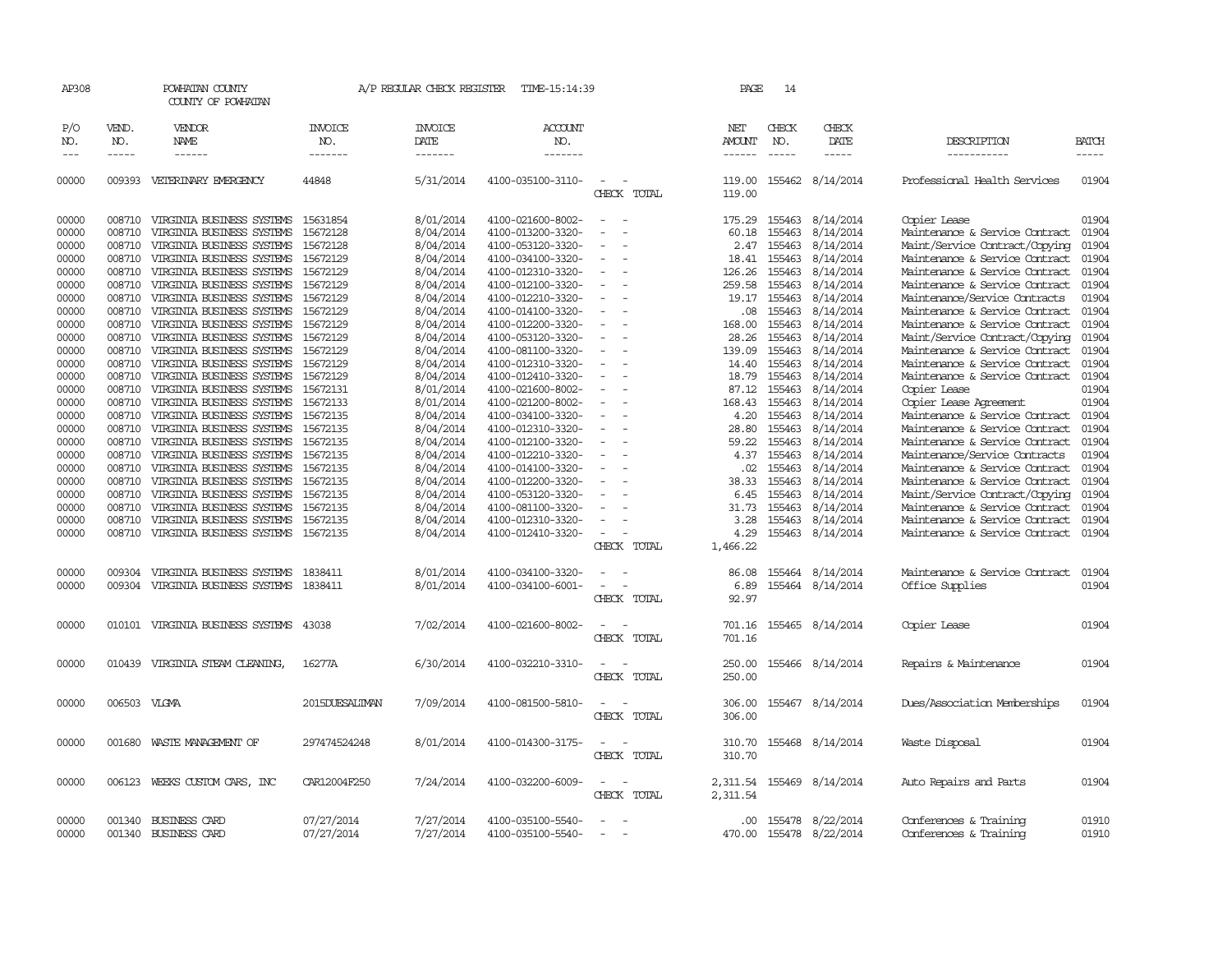| AP308                            |                                      | POWHATAN COUNTY<br>COUNTY OF POWHATAN                                                                            |                                              | A/P REGULAR CHECK REGISTER                       | TIME-15:14:39                                                                    |                                                   | PAGE                                         | 14                                   |                                                  |                                                                                                                                      |                                  |
|----------------------------------|--------------------------------------|------------------------------------------------------------------------------------------------------------------|----------------------------------------------|--------------------------------------------------|----------------------------------------------------------------------------------|---------------------------------------------------|----------------------------------------------|--------------------------------------|--------------------------------------------------|--------------------------------------------------------------------------------------------------------------------------------------|----------------------------------|
| P/O<br>NO.<br>$---$              | VEND.<br>NO.<br>-----                | VENDOR<br><b>NAME</b><br>------                                                                                  | <b>INVOICE</b><br>NO.<br>-------             | <b>INVOICE</b><br>DATE<br>-------                | <b>ACCOUNT</b><br>NO.<br>-------                                                 |                                                   | <b>NET</b><br><b>AMOUNT</b><br>$- - - - - -$ | CHECK<br>NO.                         | CHECK<br>DATE<br>-----                           | DESCRIPTION<br>-----------                                                                                                           | <b>BATCH</b><br>$- - - - -$      |
| 00000                            | 009393                               | VETERINARY EMERGENCY                                                                                             | 44848                                        | 5/31/2014                                        | 4100-035100-3110-                                                                | $\sim$<br>$\overline{\phantom{a}}$<br>CHECK TOTAL | 119.00<br>119.00                             |                                      | 155462 8/14/2014                                 | Professional Health Services                                                                                                         | 01904                            |
| 00000<br>00000<br>00000          | 008710<br>008710                     | 008710 VIRGINIA BUSINESS SYSTEMS<br>VIRGINIA BUSINESS SYSTEMS<br>VIRGINIA BUSINESS SYSTEMS                       | 15631854<br>15672128<br>15672128             | 8/01/2014<br>8/04/2014<br>8/04/2014              | 4100-021600-8002-<br>4100-013200-3320-<br>4100-053120-3320-                      | $\sim$                                            | 175.29<br>60.18<br>2.47                      | 155463<br>155463                     | 155463 8/14/2014<br>8/14/2014<br>8/14/2014       | Copier Lease<br>Maintenance & Service Contract<br>Maint/Service Contract/Copying                                                     | 01904<br>01904<br>01904          |
| 00000<br>00000<br>00000<br>00000 | 008710<br>008710<br>008710<br>008710 | VIRGINIA BUSINESS SYSTEMS<br>VIRGINIA BUSINESS SYSTEMS<br>VIRGINIA BUSINESS SYSTEMS<br>VIRGINIA BUSINESS SYSTEMS | 15672129<br>15672129<br>15672129<br>15672129 | 8/04/2014<br>8/04/2014<br>8/04/2014<br>8/04/2014 | 4100-034100-3320-<br>4100-012310-3320-<br>4100-012100-3320-<br>4100-012210-3320- | $\equiv$<br>$\equiv$                              | 18.41<br>126.26<br>259.58<br>19.17           | 155463<br>155463<br>155463<br>155463 | 8/14/2014<br>8/14/2014<br>8/14/2014<br>8/14/2014 | Maintenance & Service Contract<br>Maintenance & Service Contract<br>Maintenance & Service Contract<br>Maintenance/Service Contracts  | 01904<br>01904<br>01904<br>01904 |
| 00000<br>00000<br>00000<br>00000 | 008710<br>008710<br>008710<br>008710 | VIRGINIA BUSINESS SYSTEMS<br>VIRGINIA BUSINESS SYSTEMS<br>VIRGINIA BUSINESS SYSTEMS<br>VIRGINIA BUSINESS SYSTEMS | 15672129<br>15672129<br>15672129<br>15672129 | 8/04/2014<br>8/04/2014<br>8/04/2014<br>8/04/2014 | 4100-014100-3320-<br>4100-012200-3320-<br>4100-053120-3320-<br>4100-081100-3320- | $\equiv$                                          | .08<br>168.00<br>28.26<br>139.09             | 155463<br>155463<br>155463<br>155463 | 8/14/2014<br>8/14/2014<br>8/14/2014<br>8/14/2014 | Maintenance & Service Contract<br>Maintenance & Service Contract<br>Maint/Service Contract/Copying<br>Maintenance & Service Contract | 01904<br>01904<br>01904<br>01904 |
| 00000<br>00000<br>00000          | 008710<br>008710<br>008710           | VIRGINIA BUSINESS SYSTEMS<br>VIRGINIA BUSINESS SYSTEMS<br>VIRGINIA BUSINESS SYSTEMS 15672131                     | 15672129<br>15672129                         | 8/04/2014<br>8/04/2014<br>8/01/2014              | 4100-012310-3320-<br>4100-012410-3320-<br>4100-021600-8002-                      |                                                   | 14.40<br>18.79<br>87.12                      | 155463<br>155463<br>155463           | 8/14/2014<br>8/14/2014<br>8/14/2014              | Maintenance & Service Contract<br>Maintenance & Service Contract<br>Copier Lease                                                     | 01904<br>01904<br>01904<br>01904 |
| 00000<br>00000<br>00000<br>00000 | 008710<br>008710<br>008710<br>008710 | VIRGINIA BUSINESS SYSTEMS<br>VIRGINIA BUSINESS SYSTEMS<br>VIRGINIA BUSINESS SYSTEMS<br>VIRGINIA BUSINESS SYSTEMS | 15672133<br>15672135<br>15672135<br>15672135 | 8/01/2014<br>8/04/2014<br>8/04/2014<br>8/04/2014 | 4100-021200-8002-<br>4100-034100-3320-<br>4100-012310-3320-<br>4100-012100-3320- | $\equiv$                                          | 168.43<br>4.20<br>28.80<br>59.22             | 155463<br>155463<br>155463<br>155463 | 8/14/2014<br>8/14/2014<br>8/14/2014<br>8/14/2014 | Copier Lease Agreement<br>Maintenance & Service Contract<br>Maintenance & Service Contract<br>Maintenance & Service Contract         | 01904<br>01904<br>01904          |
| 00000<br>00000<br>00000<br>00000 | 008710<br>008710<br>008710<br>008710 | VIRGINIA BUSINESS SYSTEMS<br>VIRGINIA BUSINESS SYSTEMS<br>VIRGINIA BUSINESS SYSTEMS<br>VIRGINIA BUSINESS SYSTEMS | 15672135<br>15672135<br>15672135<br>15672135 | 8/04/2014<br>8/04/2014<br>8/04/2014<br>8/04/2014 | 4100-012210-3320-<br>4100-014100-3320-<br>4100-012200-3320-<br>4100-053120-3320- |                                                   | 4.37<br>$.02 \,$<br>38.33<br>6.45            | 155463<br>155463<br>155463<br>155463 | 8/14/2014<br>8/14/2014<br>8/14/2014<br>8/14/2014 | Maintenance/Service Contracts<br>Maintenance & Service Contract<br>Maintenance & Service Contract<br>Maint/Service Contract/Copying  | 01904<br>01904<br>01904<br>01904 |
| 00000<br>00000<br>00000          | 008710<br>008710<br>008710           | VIRGINIA BUSINESS SYSTEMS<br>VIRGINIA BUSINESS SYSTEMS<br>VIRGINIA BUSINESS SYSTEMS                              | 15672135<br>15672135<br>15672135             | 8/04/2014<br>8/04/2014<br>8/04/2014              | 4100-081100-3320-<br>4100-012310-3320-<br>4100-012410-3320-                      | $\overline{\phantom{a}}$<br>CHECK TOTAL           | 31.73<br>3.28<br>4.29<br>1,466.22            | 155463<br>155463<br>155463           | 8/14/2014<br>8/14/2014<br>8/14/2014              | Maintenance & Service Contract<br>Maintenance & Service Contract<br>Maintenance & Service Contract                                   | 01904<br>01904<br>01904          |
| 00000<br>00000                   | 009304<br>009304                     | VIRGINIA BUSINESS SYSTEMS<br>VIRGINIA BUSINESS SYSTEMS                                                           | 1838411<br>1838411                           | 8/01/2014<br>8/01/2014                           | 4100-034100-3320-<br>4100-034100-6001-                                           | $\equiv$<br>CHECK TOTAL                           | 86.08<br>6.89<br>92.97                       | 155464<br>155464                     | 8/14/2014<br>8/14/2014                           | Maintenance & Service Contract<br>Office Supplies                                                                                    | 01904<br>01904                   |
| 00000                            |                                      | 010101 VIRGINIA BUSINESS SYSTEMS                                                                                 | 43038                                        | 7/02/2014                                        | 4100-021600-8002-                                                                | $\equiv$<br>CHECK TOTAL                           | 701.16<br>701.16                             |                                      | 155465 8/14/2014                                 | Copier Lease                                                                                                                         | 01904                            |
| 00000                            |                                      | 010439 VIRGINIA STEAM CLEANING,                                                                                  | 16277A                                       | 6/30/2014                                        | 4100-032210-3310-                                                                | CHECK TOTAL                                       | 250.00<br>250.00                             |                                      | 155466 8/14/2014                                 | Repairs & Maintenance                                                                                                                | 01904                            |
| 00000                            | 006503 VLGMA                         |                                                                                                                  | 2015DUESALTMAN                               | 7/09/2014                                        | 4100-081500-5810-                                                                | $\overline{\phantom{a}}$<br>CHECK TOTAL           | 306.00<br>306.00                             |                                      | 155467 8/14/2014                                 | Dues/Association Memberships                                                                                                         | 01904                            |
| 00000                            |                                      | 001680 WASTE MANAGEMENT OF                                                                                       | 297474524248                                 | 8/01/2014                                        | 4100-014300-3175-                                                                | CHECK TOTAL                                       | 310.70<br>310.70                             |                                      | 155468 8/14/2014                                 | Waste Disposal                                                                                                                       | 01904                            |
| 00000                            | 006123                               | WEEKS CUSTOM CARS, INC                                                                                           | CAR12004F250                                 | 7/24/2014                                        | 4100-032200-6009-                                                                | $\overline{\phantom{a}}$<br>CHECK TOTAL           | 2,311.54<br>2,311.54                         |                                      | 155469 8/14/2014                                 | Auto Repairs and Parts                                                                                                               | 01904                            |
| 00000<br>00000                   |                                      | 001340 BUSINESS CARD<br>001340 BUSINESS CARD                                                                     | 07/27/2014<br>07/27/2014                     | 7/27/2014<br>7/27/2014                           | 4100-035100-5540-<br>4100-035100-5540-                                           |                                                   |                                              |                                      | .00 155478 8/22/2014<br>470.00 155478 8/22/2014  | Conferences & Training<br>Conferences & Training                                                                                     | 01910<br>01910                   |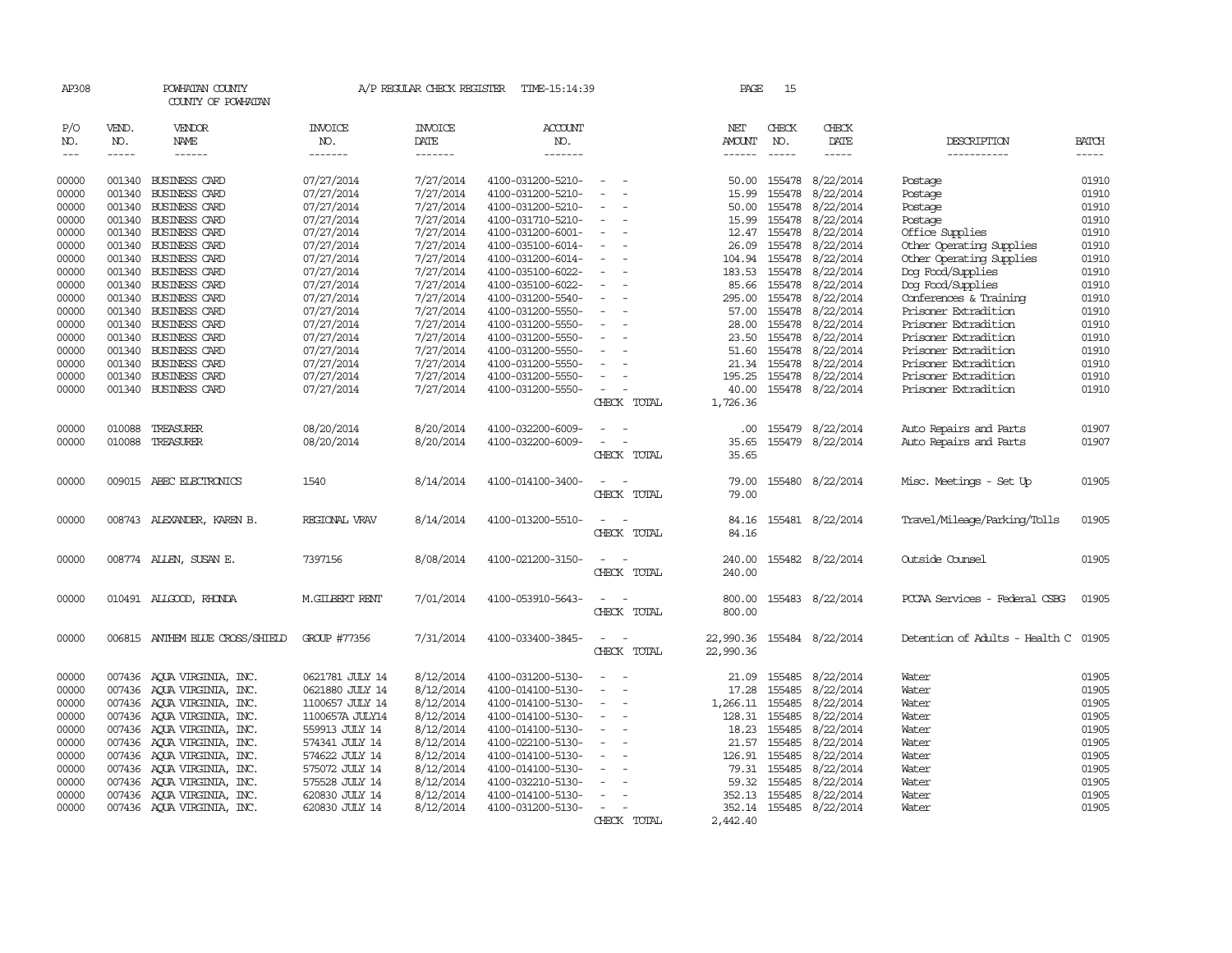| AP308 |             | POWHATAN COUNTY<br>COUNTY OF POWHATAN |                 | A/P REGULAR CHECK REGISTER | TIME-15:14:39     |                          | PAGE          | 15            |                  |                                      |              |
|-------|-------------|---------------------------------------|-----------------|----------------------------|-------------------|--------------------------|---------------|---------------|------------------|--------------------------------------|--------------|
| P/O   | VEND.       | <b>VENDOR</b>                         | <b>INVOICE</b>  | <b>INVOICE</b>             | ACCOUNT           |                          | NET           | CHECK         | CHECK            |                                      |              |
| NO.   | NO.         | NAME                                  | NO.             | DATE                       | NO.               |                          | AMOUNT        | NO.           | DATE             | DESCRIPTION                          | <b>BATCH</b> |
| $---$ | $- - - - -$ | $- - - - - -$                         | -------         | -------                    | -------           |                          | $- - - - - -$ | $\frac{1}{2}$ | $- - - - -$      | -----------                          | -----        |
| 00000 | 001340      | <b>BUSINESS CARD</b>                  | 07/27/2014      | 7/27/2014                  | 4100-031200-5210- | $\overline{\phantom{a}}$ | 50.00         | 155478        | 8/22/2014        | Postage                              | 01910        |
| 00000 | 001340      | <b>BUSINESS CARD</b>                  | 07/27/2014      | 7/27/2014                  | 4100-031200-5210- |                          | 15.99         | 155478        | 8/22/2014        | Postage                              | 01910        |
| 00000 | 001340      | BUSINESS CARD                         | 07/27/2014      | 7/27/2014                  | 4100-031200-5210- | $\overline{\phantom{a}}$ | 50.00         | 155478        | 8/22/2014        | Postage                              | 01910        |
| 00000 | 001340      | <b>BUSINESS CARD</b>                  | 07/27/2014      | 7/27/2014                  | 4100-031710-5210- | $\sim$                   | 15.99         | 155478        | 8/22/2014        | Postage                              | 01910        |
| 00000 | 001340      | <b>BUSINESS CARD</b>                  | 07/27/2014      | 7/27/2014                  | 4100-031200-6001- |                          | 12.47         | 155478        | 8/22/2014        | Office Supplies                      | 01910        |
| 00000 | 001340      | BUSINESS CARD                         | 07/27/2014      | 7/27/2014                  | 4100-035100-6014- | $\equiv$                 | 26.09         | 155478        | 8/22/2014        | Other Operating Supplies             | 01910        |
| 00000 | 001340      | BUSINESS CARD                         | 07/27/2014      | 7/27/2014                  | 4100-031200-6014- | $\overline{\phantom{a}}$ | 104.94        | 155478        | 8/22/2014        | Other Operating Supplies             | 01910        |
| 00000 | 001340      | <b>BUSINESS CARD</b>                  | 07/27/2014      | 7/27/2014                  | 4100-035100-6022- |                          | 183.53        | 155478        | 8/22/2014        | Dog Food/Supplies                    | 01910        |
| 00000 | 001340      | <b>BUSINESS CARD</b>                  | 07/27/2014      | 7/27/2014                  | 4100-035100-6022- |                          | 85.66         | 155478        | 8/22/2014        | Dog Food/Supplies                    | 01910        |
| 00000 | 001340      | <b>BUSINESS CARD</b>                  | 07/27/2014      | 7/27/2014                  | 4100-031200-5540- | $\sim$                   | 295.00        | 155478        | 8/22/2014        | Conferences & Training               | 01910        |
| 00000 | 001340      | <b>BUSINESS CARD</b>                  | 07/27/2014      | 7/27/2014                  | 4100-031200-5550- |                          | 57.00         | 155478        | 8/22/2014        | Prisoner Extradition                 | 01910        |
| 00000 | 001340      | <b>BUSINESS CARD</b>                  | 07/27/2014      | 7/27/2014                  | 4100-031200-5550- |                          | 28.00         | 155478        | 8/22/2014        | Prisoner Extradition                 | 01910        |
| 00000 | 001340      | <b>BUSINESS CARD</b>                  | 07/27/2014      | 7/27/2014                  | 4100-031200-5550- | $\sim$                   | 23.50         | 155478        | 8/22/2014        | Prisoner Extradition                 | 01910        |
| 00000 | 001340      | <b>BUSINESS CARD</b>                  | 07/27/2014      | 7/27/2014                  | 4100-031200-5550- |                          | 51.60         | 155478        | 8/22/2014        | Prisoner Extradition                 | 01910        |
| 00000 | 001340      | BUSINESS CARD                         | 07/27/2014      | 7/27/2014                  | 4100-031200-5550- |                          | 21.34         | 155478        | 8/22/2014        | Prisoner Extradition                 | 01910        |
| 00000 | 001340      | BUSINESS CARD                         | 07/27/2014      | 7/27/2014                  | 4100-031200-5550- | $\overline{\phantom{a}}$ | 195.25        | 155478        | 8/22/2014        | Prisoner Extradition                 | 01910        |
| 00000 | 001340      | <b>BUSINESS CARD</b>                  | 07/27/2014      | 7/27/2014                  | 4100-031200-5550- | $\overline{\phantom{a}}$ | 40.00         | 155478        | 8/22/2014        | Prisoner Extradition                 | 01910        |
|       |             |                                       |                 |                            |                   | CHECK TOTAL              | 1,726.36      |               |                  |                                      |              |
| 00000 | 010088      | TREASURER                             | 08/20/2014      | 8/20/2014                  | 4100-032200-6009- |                          | $.00 \,$      | 155479        | 8/22/2014        | Auto Repairs and Parts               | 01907        |
| 00000 | 010088      | TREASURER                             | 08/20/2014      | 8/20/2014                  | 4100-032200-6009- |                          | 35.65         | 155479        | 8/22/2014        | Auto Repairs and Parts               | 01907        |
|       |             |                                       |                 |                            |                   | CHECK TOTAL              | 35.65         |               |                  |                                      |              |
| 00000 |             | 009015 ABEC ELECTRONICS               | 1540            | 8/14/2014                  | 4100-014100-3400- |                          | 79.00         |               | 155480 8/22/2014 |                                      | 01905        |
|       |             |                                       |                 |                            |                   | CHECK TOTAL              | 79.00         |               |                  | Misc. Meetings - Set Up              |              |
|       |             |                                       |                 |                            |                   |                          |               |               |                  |                                      |              |
| 00000 |             | 008743 ALEXANDER, KAREN B.            | REGIONAL VRAV   | 8/14/2014                  | 4100-013200-5510- |                          | 84.16         |               | 155481 8/22/2014 | Travel/Mileage/Parking/Tolls         | 01905        |
|       |             |                                       |                 |                            |                   | CHECK TOTAL              | 84.16         |               |                  |                                      |              |
| 00000 |             | 008774 ALLEN, SUSAN E.                | 7397156         | 8/08/2014                  | 4100-021200-3150- |                          | 240.00        |               | 155482 8/22/2014 | Outside Counsel                      | 01905        |
|       |             |                                       |                 |                            |                   | CHECK TOTAL              | 240.00        |               |                  |                                      |              |
| 00000 |             | 010491 ALLGOOD, RHONDA                | M.GILBERT RENT  | 7/01/2014                  | 4100-053910-5643- |                          | 800.00        | 155483        | 8/22/2014        | PCCAA Services - Federal CSBG        | 01905        |
|       |             |                                       |                 |                            |                   | CHECK TOTAL              | 800.00        |               |                  |                                      |              |
| 00000 |             | 006815 ANTHEM BLUE CROSS/SHIELD       | GROUP #77356    | 7/31/2014                  | 4100-033400-3845- |                          | 22,990.36     | 155484        | 8/22/2014        | Detention of Adults - Health C 01905 |              |
|       |             |                                       |                 |                            |                   | CHECK TOTAL              | 22,990.36     |               |                  |                                      |              |
| 00000 |             | 007436 AQUA VIRGINIA, INC.            | 0621781 JULY 14 | 8/12/2014                  | 4100-031200-5130- |                          | 21.09         | 155485        | 8/22/2014        | Water                                | 01905        |
| 00000 |             | 007436 AOUA VIRGINIA, INC.            | 0621880 JULY 14 | 8/12/2014                  | 4100-014100-5130- |                          | 17.28         | 155485        | 8/22/2014        | Water                                | 01905        |
| 00000 |             | 007436 AQUA VIRGINIA, INC.            | 1100657 JULY 14 | 8/12/2014                  | 4100-014100-5130- | $\overline{\phantom{a}}$ | 1,266.11      | 155485        | 8/22/2014        | Water                                | 01905        |
| 00000 |             | 007436 AQUA VIRGINIA, INC.            | 1100657A JULY14 | 8/12/2014                  | 4100-014100-5130- | $\overline{\phantom{a}}$ | 128.31        | 155485        | 8/22/2014        | Water                                | 01905        |
| 00000 |             | 007436 AOUA VIRGINIA, INC.            | 559913 JULY 14  | 8/12/2014                  | 4100-014100-5130- |                          | 18.23         | 155485        | 8/22/2014        | Water                                | 01905        |
| 00000 |             | 007436 AOUA VIRGINIA, INC.            | 574341 JULY 14  | 8/12/2014                  | 4100-022100-5130- | $\overline{\phantom{a}}$ | 21.57         | 155485        | 8/22/2014        | Water                                | 01905        |
| 00000 |             | 007436 AQUA VIRGINIA, INC.            | 574622 JULY 14  | 8/12/2014                  | 4100-014100-5130- |                          | 126.91        | 155485        | 8/22/2014        | Water                                | 01905        |
| 00000 |             | 007436 AOUA VIRGINIA, INC.            | 575072 JULY 14  | 8/12/2014                  | 4100-014100-5130- |                          |               | 79.31 155485  | 8/22/2014        | Water                                | 01905        |
| 00000 |             | 007436 AOUA VIRGINIA, INC.            | 575528 JULY 14  | 8/12/2014                  | 4100-032210-5130- |                          | 59.32         | 155485        | 8/22/2014        | Water                                | 01905        |
| 00000 | 007436      | AQUA VIRGINIA, INC.                   | 620830 JULY 14  | 8/12/2014                  | 4100-014100-5130- |                          | 352.13        | 155485        | 8/22/2014        | Water                                | 01905        |
| 00000 |             | 007436 AQUA VIRGINIA, INC.            | 620830 JULY 14  | 8/12/2014                  | 4100-031200-5130- |                          | 352.14 155485 |               | 8/22/2014        | Water                                | 01905        |
|       |             |                                       |                 |                            |                   | CHECK TOTAL              | 2,442.40      |               |                  |                                      |              |
|       |             |                                       |                 |                            |                   |                          |               |               |                  |                                      |              |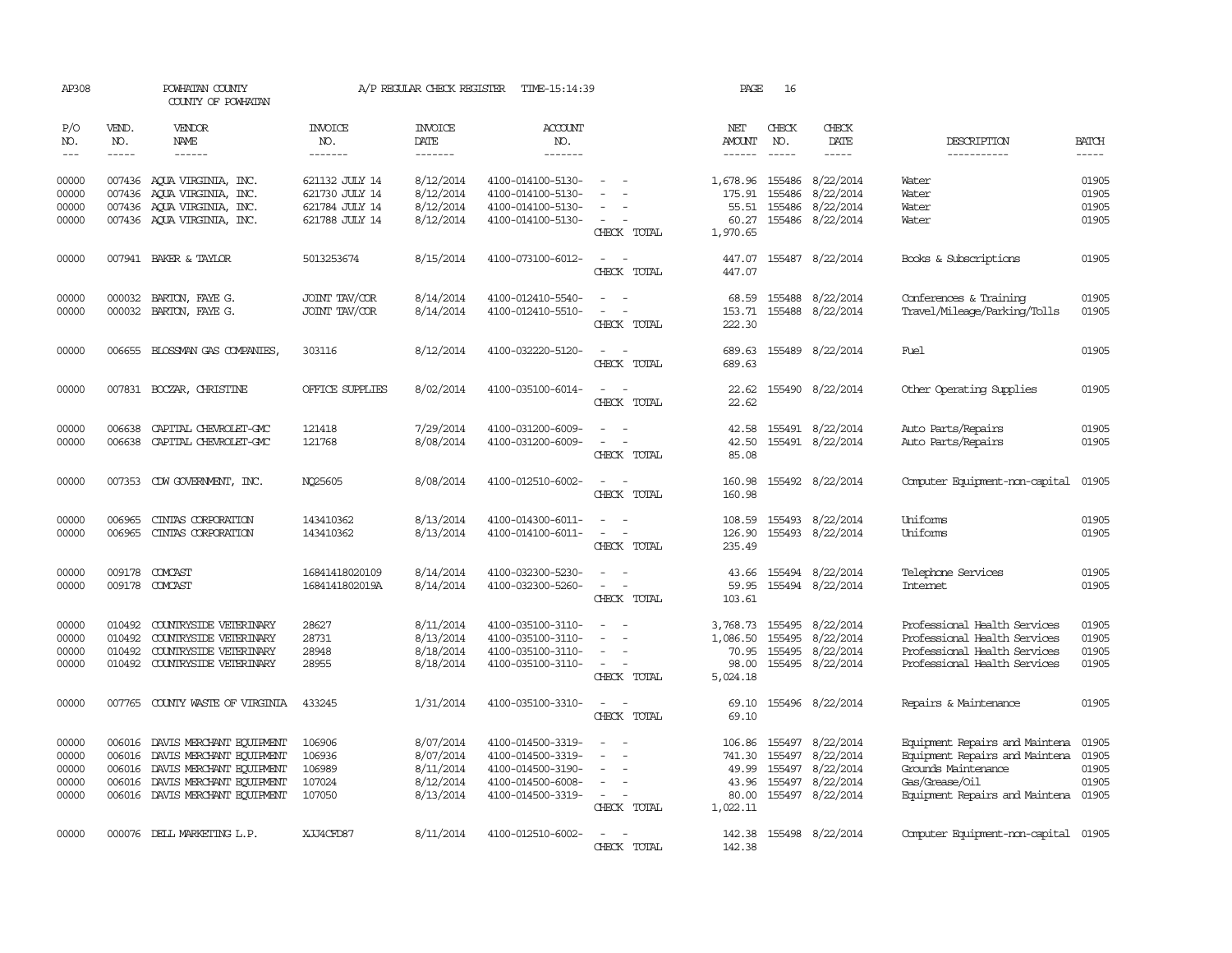| AP308                 |                             | POWHATAN COUNTY<br>COUNTY OF POWHATAN                       |                           | A/P REGULAR CHECK REGISTER        | TIME-15:14:39                          |                                                      | PAGE                    | 16                          |                               |                                                        |                             |
|-----------------------|-----------------------------|-------------------------------------------------------------|---------------------------|-----------------------------------|----------------------------------------|------------------------------------------------------|-------------------------|-----------------------------|-------------------------------|--------------------------------------------------------|-----------------------------|
| P/O<br>NO.<br>$- - -$ | VEND.<br>NO.<br>$- - - - -$ | VENDOR<br>NAME<br>$- - - - - -$                             | INVOICE<br>NO.<br>------- | <b>INVOICE</b><br>DATE<br>------- | ACCOUNT<br>NO.<br>-------              |                                                      | NET<br>AMOUNT<br>------ | CHECK<br>NO.<br>$- - - - -$ | CHECK<br>DATE<br>-----        | DESCRIPTION<br>__________                              | <b>BATCH</b><br>$- - - - -$ |
|                       |                             |                                                             |                           |                                   |                                        |                                                      |                         |                             |                               |                                                        |                             |
| 00000                 |                             | 007436 AOUA VIRGINIA, INC.                                  | 621132 JULY 14            | 8/12/2014                         | 4100-014100-5130-                      |                                                      | 1,678.96                | 155486                      | 8/22/2014                     | Water                                                  | 01905                       |
| 00000                 | 007436                      | AQUA VIRGINIA, INC.                                         | 621730 JULY 14            | 8/12/2014                         | 4100-014100-5130-                      | $\overline{\phantom{a}}$                             | 175.91                  | 155486                      | 8/22/2014                     | Water                                                  | 01905                       |
| 00000                 |                             | 007436 AQUA VIRGINIA, INC.                                  | 621784 JULY 14            | 8/12/2014                         | 4100-014100-5130-                      | $\equiv$                                             | 55.51                   | 155486                      | 8/22/2014                     | Water                                                  | 01905                       |
| 00000                 |                             | 007436 AQUA VIRGINIA, INC.                                  | 621788 JULY 14            | 8/12/2014                         | 4100-014100-5130-                      | CHECK TOTAL                                          | 60.27<br>1,970.65       |                             | 155486 8/22/2014              | Water                                                  | 01905                       |
| 00000                 |                             | 007941 BAKER & TAYLOR                                       | 5013253674                | 8/15/2014                         | 4100-073100-6012-                      |                                                      | 447.07                  |                             | 155487 8/22/2014              | Books & Subscriptions                                  | 01905                       |
|                       |                             |                                                             |                           |                                   |                                        | CHECK TOTAL                                          | 447.07                  |                             |                               |                                                        |                             |
| 00000                 | 000032                      | BARION, FAYE G.                                             | JOINT TAV/COR             | 8/14/2014                         | 4100-012410-5540-                      |                                                      | 68.59                   | 155488                      | 8/22/2014                     | Conferences & Training                                 | 01905                       |
| 00000                 |                             | 000032 BARTON, FAYE G.                                      | JOINT TAV/COR             | 8/14/2014                         | 4100-012410-5510-                      |                                                      | 153.71                  | 155488                      | 8/22/2014                     | Travel/Mileage/Parking/Tolls                           | 01905                       |
|                       |                             |                                                             |                           |                                   |                                        | CHECK TOTAL                                          | 222.30                  |                             |                               |                                                        |                             |
| 00000                 | 006655                      | BLOSSMAN GAS COMPANIES                                      | 303116                    | 8/12/2014                         | 4100-032220-5120-                      |                                                      | 689.63                  |                             | 155489 8/22/2014              | Fuel                                                   | 01905                       |
|                       |                             |                                                             |                           |                                   |                                        | CHECK TOTAL                                          | 689.63                  |                             |                               |                                                        |                             |
| 00000                 |                             | 007831 BOCZAR, CHRISTINE                                    | OFFICE SUPPLIES           | 8/02/2014                         | 4100-035100-6014-                      | $\sim$<br>$\overline{\phantom{a}}$                   | 22.62                   |                             | 155490 8/22/2014              | Other Operating Supplies                               | 01905                       |
|                       |                             |                                                             |                           |                                   |                                        | CHECK TOTAL                                          | 22.62                   |                             |                               |                                                        |                             |
| 00000                 | 006638                      | CAPITAL CHEVROLET-GMC                                       | 121418                    | 7/29/2014                         | 4100-031200-6009-                      |                                                      | 42.58                   |                             | 155491 8/22/2014              | Auto Parts/Repairs                                     | 01905                       |
| 00000                 | 006638                      | CAPITAL CHEVROLET-GMC                                       | 121768                    | 8/08/2014                         | 4100-031200-6009-                      |                                                      | 42.50                   |                             | 155491 8/22/2014              | Auto Parts/Repairs                                     | 01905                       |
|                       |                             |                                                             |                           |                                   |                                        | CHECK TOTAL                                          | 85.08                   |                             |                               |                                                        |                             |
| 00000                 |                             | 007353 CDW GOVERNMENT, INC.                                 | NQ25605                   | 8/08/2014                         | 4100-012510-6002-                      |                                                      | 160.98                  |                             | 155492 8/22/2014              | Computer Equipment-non-capital                         | 01905                       |
|                       |                             |                                                             |                           |                                   |                                        | CHECK TOTAL                                          | 160.98                  |                             |                               |                                                        |                             |
| 00000                 | 006965                      | CINIAS CORPORATION                                          | 143410362                 | 8/13/2014                         | 4100-014300-6011-                      |                                                      | 108.59                  | 155493                      | 8/22/2014                     | Uniforms                                               | 01905                       |
| 00000                 | 006965                      | CINIAS CORPORATION                                          | 143410362                 | 8/13/2014                         | 4100-014100-6011-                      | $\sim$<br>$\overline{\phantom{a}}$                   | 126.90                  |                             | 155493 8/22/2014              | Uniforms                                               | 01905                       |
|                       |                             |                                                             |                           |                                   |                                        | CHECK TOTAL                                          | 235.49                  |                             |                               |                                                        |                             |
| 00000                 |                             | 009178 COMCAST                                              | 16841418020109            | 8/14/2014                         | 4100-032300-5230-                      |                                                      | 43.66                   |                             | 155494 8/22/2014              | Telephone Services                                     | 01905                       |
| 00000                 |                             | 009178 COMCAST                                              | 1684141802019A            | 8/14/2014                         | 4100-032300-5260-                      | $\equiv$                                             | 59.95                   |                             | 155494 8/22/2014              | <b>Internet</b>                                        | 01905                       |
|                       |                             |                                                             |                           |                                   |                                        | CHECK TOTAL                                          | 103.61                  |                             |                               |                                                        |                             |
| 00000                 | 010492                      | <b>COUNTRYSIDE VETERINARY</b>                               | 28627                     | 8/11/2014                         | 4100-035100-3110-                      |                                                      | 3,768.73                | 155495                      | 8/22/2014                     | Professional Health Services                           | 01905                       |
| 00000                 | 010492                      | COUNTRYSIDE VETERINARY                                      | 28731                     | 8/13/2014                         | 4100-035100-3110-                      | $\overline{\phantom{a}}$<br>$\overline{\phantom{a}}$ | 1,086.50                | 155495                      | 8/22/2014                     | Professional Health Services                           | 01905                       |
| 00000                 | 010492                      | COUNTRYSIDE VETERINARY                                      | 28948                     | 8/18/2014                         | 4100-035100-3110-                      |                                                      | 70.95                   | 155495                      | 8/22/2014                     | Professional Health Services                           | 01905                       |
| 00000                 | 010492                      | COUNTRYSIDE VETERINARY                                      | 28955                     | 8/18/2014                         | 4100-035100-3110-                      | CHECK TOTAL                                          | 98.00<br>5,024.18       |                             | 155495 8/22/2014              | Professional Health Services                           | 01905                       |
|                       |                             |                                                             |                           |                                   |                                        |                                                      |                         |                             |                               |                                                        |                             |
| 00000                 | 007765                      | COUNTY WASTE OF VIRGINIA                                    | 433245                    | 1/31/2014                         | 4100-035100-3310-                      | $\overline{\phantom{a}}$                             | 69.10                   |                             | 155496 8/22/2014              | Repairs & Maintenance                                  | 01905                       |
|                       |                             |                                                             |                           |                                   |                                        | CHECK TOTAL                                          | 69.10                   |                             |                               |                                                        |                             |
| 00000                 | 006016                      | DAVIS MERCHANT EQUIPMENT                                    | 106906                    | 8/07/2014                         | 4100-014500-3319-                      |                                                      | 106.86                  | 155497                      | 8/22/2014                     | Equipment Repairs and Maintena                         | 01905                       |
| 00000                 | 006016                      | DAVIS MERCHANT EQUIPMENT                                    | 106936                    | 8/07/2014                         | 4100-014500-3319-                      |                                                      | 741.30                  | 155497                      | 8/22/2014                     | Equipment Repairs and Maintena                         | 01905                       |
| 00000                 | 006016                      | DAVIS MERCHANT EQUIPMENT                                    | 106989                    | 8/11/2014                         | 4100-014500-3190-                      |                                                      | 49.99                   | 155497                      | 8/22/2014                     | Grounds Maintenance                                    | 01905                       |
| 00000<br>00000        | 006016                      | DAVIS MERCHANT EQUIPMENT<br>006016 DAVIS MERCHANT EQUIPMENT | 107024<br>107050          | 8/12/2014<br>8/13/2014            | 4100-014500-6008-<br>4100-014500-3319- | $\overline{\phantom{a}}$<br>$\overline{\phantom{a}}$ | 43.96<br>80.00          | 155497                      | 8/22/2014<br>155497 8/22/2014 | Gas/Grease/Oil<br>Equipment Repairs and Maintena 01905 | 01905                       |
|                       |                             |                                                             |                           |                                   |                                        | CHECK TOTAL                                          | 1,022.11                |                             |                               |                                                        |                             |
| 00000                 |                             | 000076 DELL MARKETING L.P.                                  | XJJ4CFD87                 | 8/11/2014                         | 4100-012510-6002-                      |                                                      |                         |                             |                               |                                                        |                             |
|                       |                             |                                                             |                           |                                   |                                        | CHECK TOTAL                                          | 142.38                  |                             | 142.38 155498 8/22/2014       | Computer Equipment-non-capital 01905                   |                             |
|                       |                             |                                                             |                           |                                   |                                        |                                                      |                         |                             |                               |                                                        |                             |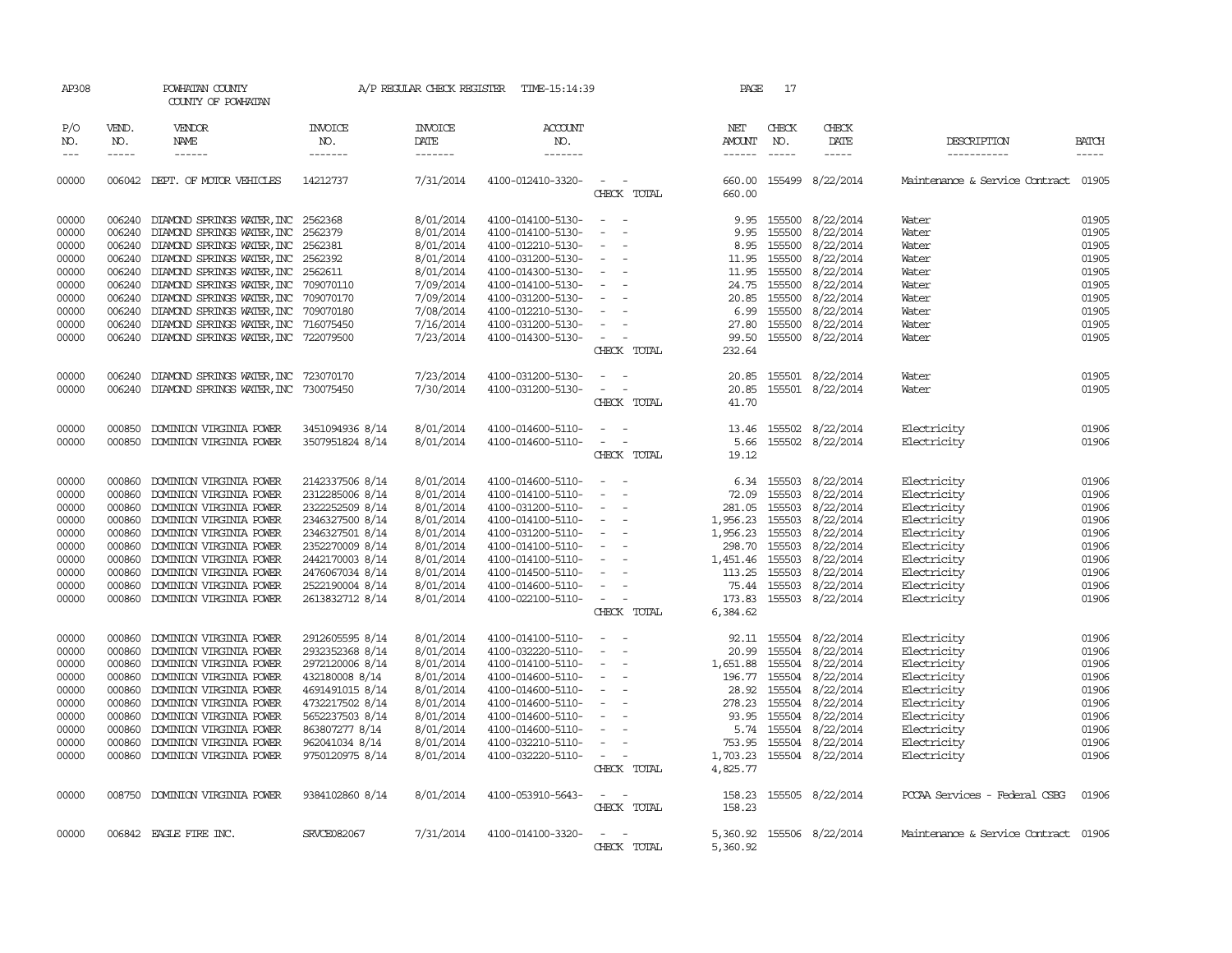| AP308 |             | POWHATAN COUNTY<br>COUNTY OF POWHATAN       |                 | A/P REGULAR CHECK REGISTER | TIME-15:14:39     |                                                                                                                             | <b>PAGE</b>          | 17          |                           |                                      |              |
|-------|-------------|---------------------------------------------|-----------------|----------------------------|-------------------|-----------------------------------------------------------------------------------------------------------------------------|----------------------|-------------|---------------------------|--------------------------------------|--------------|
| P/O   | VEND.       | <b>VENDOR</b>                               | <b>INVOICE</b>  | <b>INVOICE</b>             | ACCOUNT           |                                                                                                                             | NET                  | CHECK       | CHECK                     |                                      |              |
| NO.   | NO.         | NAME                                        | NO.             | DATE                       | NO.               |                                                                                                                             | AMOUNT               | NO.         | DATE                      | DESCRIPTION                          | <b>BATCH</b> |
| $---$ | $- - - - -$ | ------                                      | -------         | -------                    | -------           |                                                                                                                             | $- - - - - -$        | $- - - - -$ | $- - - - -$               | -----------                          | $- - - - -$  |
| 00000 |             | 006042 DEPT. OF MOTOR VEHICLES              | 14212737        | 7/31/2014                  | 4100-012410-3320- | $\frac{1}{2} \left( \frac{1}{2} \right) \left( \frac{1}{2} \right) = \frac{1}{2} \left( \frac{1}{2} \right)$<br>CHECK TOTAL | 660.00               |             | 660.00 155499 8/22/2014   | Maintenance & Service Contract 01905 |              |
| 00000 |             | 006240 DIAMOND SPRINGS WATER, INC 2562368   |                 | 8/01/2014                  | 4100-014100-5130- | $\sim$                                                                                                                      | 9.95                 |             | 155500 8/22/2014          | Water                                | 01905        |
| 00000 |             | 006240 DIAMOND SPRINGS WATER, INC           | 2562379         | 8/01/2014                  | 4100-014100-5130- | $\sim$                                                                                                                      | 9.95                 |             | 155500 8/22/2014          | Water                                | 01905        |
| 00000 | 006240      | DIAMOND SPRINGS WATER, INC                  | 2562381         | 8/01/2014                  | 4100-012210-5130- | $\overline{\phantom{a}}$                                                                                                    | 8.95                 | 155500      | 8/22/2014                 | Water                                | 01905        |
| 00000 |             | 006240 DIAMOND SPRINGS WATER, INC 2562392   |                 | 8/01/2014                  | 4100-031200-5130- | $\sim$                                                                                                                      | 11.95                |             | 155500 8/22/2014          | Water                                | 01905        |
| 00000 |             | 006240 DIAMOND SPRINGS WATER, INC           | 2562611         | 8/01/2014                  | 4100-014300-5130- | $\overline{\phantom{a}}$                                                                                                    | 11.95                | 155500      | 8/22/2014                 | Water                                | 01905        |
| 00000 |             | 006240 DIAMOND SPRINGS WATER, INC           | 709070110       | 7/09/2014                  | 4100-014100-5130- | $\overline{\phantom{a}}$                                                                                                    | 24.75                |             | 155500 8/22/2014          | Water                                | 01905        |
| 00000 | 006240      | DIAMOND SPRINGS WATER, INC                  | 709070170       | 7/09/2014                  | 4100-031200-5130- | $\overline{\phantom{a}}$                                                                                                    | 20.85                |             | 155500 8/22/2014          | Water                                | 01905        |
|       |             |                                             |                 | 7/08/2014                  |                   | $\sim$                                                                                                                      |                      |             |                           |                                      |              |
| 00000 | 006240      | DIAMOND SPRINGS WATER, INC 709070180        |                 |                            | 4100-012210-5130- |                                                                                                                             | 6.99                 |             | 155500 8/22/2014          | Water                                | 01905        |
| 00000 | 006240      | DIAMOND SPRINGS WATER, INC                  | 716075450       | 7/16/2014                  | 4100-031200-5130- | $\overline{\phantom{a}}$                                                                                                    | 27.80                | 155500      | 8/22/2014                 | Water                                | 01905        |
| 00000 |             | 006240 DIAMOND SPRINGS WATER, INC 722079500 |                 | 7/23/2014                  | 4100-014300-5130- | $\sim$                                                                                                                      | 99.50                |             | 155500 8/22/2014          | Water                                | 01905        |
|       |             |                                             |                 |                            |                   | CHECK TOTAL                                                                                                                 | 232.64               |             |                           |                                      |              |
| 00000 | 006240      | DIAMOND SPRINGS WATER, INC 723070170        |                 | 7/23/2014                  | 4100-031200-5130- | $\overline{\phantom{a}}$                                                                                                    | 20.85                |             | 155501 8/22/2014          | Water                                | 01905        |
| 00000 |             | 006240 DIAMOND SPRINGS WATER, INC 730075450 |                 | 7/30/2014                  | 4100-031200-5130- | $\frac{1}{2} \left( \frac{1}{2} \right) \left( \frac{1}{2} \right) \left( \frac{1}{2} \right) \left( \frac{1}{2} \right)$   | 20.85                |             | 155501 8/22/2014          | Water                                | 01905        |
|       |             |                                             |                 |                            |                   | CHECK TOTAL                                                                                                                 | 41.70                |             |                           |                                      |              |
| 00000 | 000850      | DOMINION VIRGINIA POWER                     | 3451094936 8/14 | 8/01/2014                  | 4100-014600-5110- | $\overline{\phantom{a}}$                                                                                                    | 13.46                |             | 155502 8/22/2014          | Electricity                          | 01906        |
|       |             |                                             |                 |                            |                   | $\sim$ $ \sim$                                                                                                              |                      |             |                           |                                      | 01906        |
| 00000 |             | 000850 DOMINION VIRGINIA POWER              | 3507951824 8/14 | 8/01/2014                  | 4100-014600-5110- | CHECK TOTAL                                                                                                                 | 5.66                 |             | 155502 8/22/2014          | Electricity                          |              |
|       |             |                                             |                 |                            |                   |                                                                                                                             | 19.12                |             |                           |                                      |              |
| 00000 | 000860      | DOMINION VIRGINIA POWER                     | 2142337506 8/14 | 8/01/2014                  | 4100-014600-5110- | $\overline{\phantom{a}}$                                                                                                    | 6.34                 |             | 155503 8/22/2014          | Electricity                          | 01906        |
| 00000 | 000860      | DOMINION VIRGINIA POWER                     | 2312285006 8/14 | 8/01/2014                  | 4100-014100-5110- | $\overline{\phantom{a}}$                                                                                                    | 72.09                |             | 155503 8/22/2014          | Electricity                          | 01906        |
| 00000 | 000860      | DOMINION VIRGINIA POWER                     | 2322252509 8/14 | 8/01/2014                  | 4100-031200-5110- | $\sim$                                                                                                                      | 281.05               |             | 155503 8/22/2014          | Electricity                          | 01906        |
| 00000 | 000860      | DOMINION VIRGINIA POWER                     | 2346327500 8/14 | 8/01/2014                  | 4100-014100-5110- | $\sim$                                                                                                                      | 1,956.23             |             | 155503 8/22/2014          | Electricity                          | 01906        |
| 00000 | 000860      | DOMINION VIRGINIA POWER                     | 2346327501 8/14 | 8/01/2014                  | 4100-031200-5110- | $\sim$                                                                                                                      | 1,956.23             | 155503      | 8/22/2014                 | Electricity                          | 01906        |
| 00000 | 000860      | DOMINION VIRGINIA POWER                     | 2352270009 8/14 | 8/01/2014                  | 4100-014100-5110- | $\overline{\phantom{a}}$                                                                                                    | 298.70               | 155503      | 8/22/2014                 | Electricity                          | 01906        |
| 00000 | 000860      | DOMINION VIRGINIA POWER                     | 2442170003 8/14 | 8/01/2014                  | 4100-014100-5110- | $\sim$                                                                                                                      | 1,451.46             |             | 155503 8/22/2014          | Electricity                          | 01906        |
| 00000 | 000860      | DOMINION VIRGINIA POWER                     | 2476067034 8/14 | 8/01/2014                  | 4100-014500-5110- | $\sim$                                                                                                                      | 113.25               | 155503      | 8/22/2014                 | Electricity                          | 01906        |
| 00000 | 000860      | DOMINION VIRGINIA POWER                     | 2522190004 8/14 | 8/01/2014                  | 4100-014600-5110- | $\overline{\phantom{a}}$                                                                                                    | 75.44                | 155503      | 8/22/2014                 | Electricity                          | 01906        |
| 00000 | 000860      | DOMINION VIRGINIA POWER                     | 2613832712 8/14 | 8/01/2014                  | 4100-022100-5110- | $\sim$ $\sim$                                                                                                               | 173.83               |             | 155503 8/22/2014          | Electricity                          | 01906        |
|       |             |                                             |                 |                            |                   | CHECK TOTAL                                                                                                                 | 6,384.62             |             |                           |                                      |              |
|       |             |                                             |                 |                            |                   |                                                                                                                             |                      |             |                           |                                      |              |
| 00000 | 000860      | DOMINION VIRGINIA POWER                     | 2912605595 8/14 | 8/01/2014                  | 4100-014100-5110- | $\sim$                                                                                                                      |                      |             | 92.11 155504 8/22/2014    | Electricity                          | 01906        |
| 00000 | 000860      | DOMINION VIRGINIA POWER                     | 2932352368 8/14 | 8/01/2014                  | 4100-032220-5110- | $\sim$                                                                                                                      | 20.99                |             | 155504 8/22/2014          | Electricity                          | 01906        |
| 00000 | 000860      | DOMINION VIRGINIA POWER                     | 2972120006 8/14 | 8/01/2014                  | 4100-014100-5110- | $\sim$                                                                                                                      | 1,651.88             |             | 155504 8/22/2014          | Electricity                          | 01906        |
| 00000 | 000860      | DOMINION VIRGINIA POWER                     | 432180008 8/14  | 8/01/2014                  | 4100-014600-5110- | $\sim$                                                                                                                      | 196.77               |             | 155504 8/22/2014          | Electricity                          | 01906        |
| 00000 | 000860      | DOMINION VIRGINIA POWER                     | 4691491015 8/14 | 8/01/2014                  | 4100-014600-5110- | $\sim$                                                                                                                      | 28.92                |             | 155504 8/22/2014          | Electricity                          | 01906        |
| 00000 | 000860      | DOMINION VIRGINIA POWER                     | 4732217502 8/14 | 8/01/2014                  | 4100-014600-5110- | $\overline{\phantom{a}}$                                                                                                    | 278.23               |             | 155504 8/22/2014          | Electricity                          | 01906        |
| 00000 | 000860      | DOMINION VIRGINIA POWER                     | 5652237503 8/14 | 8/01/2014                  | 4100-014600-5110- | $\sim$                                                                                                                      | 93.95                |             | 155504 8/22/2014          | Electricity                          | 01906        |
| 00000 | 000860      | DOMINION VIRGINIA POWER                     | 863807277 8/14  | 8/01/2014                  | 4100-014600-5110- | $\overline{\phantom{a}}$                                                                                                    | 5.74                 | 155504      | 8/22/2014                 | Electricity                          | 01906        |
| 00000 | 000860      | DOMINION VIRGINIA POWER                     | 962041034 8/14  | 8/01/2014                  |                   | $\equiv$                                                                                                                    | 753.95               |             | 155504 8/22/2014          | Electricity                          | 01906        |
|       |             |                                             |                 |                            | 4100-032210-5110- |                                                                                                                             |                      |             |                           |                                      | 01906        |
| 00000 |             | 000860 DOMINION VIRGINIA POWER              | 9750120975 8/14 | 8/01/2014                  | 4100-032220-5110- | $\sim$<br>CHECK TOTAL                                                                                                       | 1,703.23<br>4,825.77 |             | 155504 8/22/2014          | Electricity                          |              |
|       |             |                                             |                 |                            |                   |                                                                                                                             |                      |             |                           |                                      |              |
| 00000 |             | 008750 DOMINION VIRGINIA POWER              | 9384102860 8/14 | 8/01/2014                  | 4100-053910-5643- | $\sim$ $\sim$                                                                                                               | 158.23               |             | 155505 8/22/2014          | PCCAA Services - Federal CSBG        | 01906        |
|       |             |                                             |                 |                            |                   | CHECK TOTAL                                                                                                                 | 158.23               |             |                           |                                      |              |
|       |             |                                             |                 |                            |                   |                                                                                                                             |                      |             |                           |                                      |              |
| 00000 |             | 006842 EAGLE FIRE INC.                      | SRVCE082067     | 7/31/2014                  | 4100-014100-3320- | $\overline{\phantom{a}}$                                                                                                    |                      |             | 5,360.92 155506 8/22/2014 | Maintenance & Service Contract 01906 |              |
|       |             |                                             |                 |                            |                   | CHECK TOTAL                                                                                                                 | 5,360.92             |             |                           |                                      |              |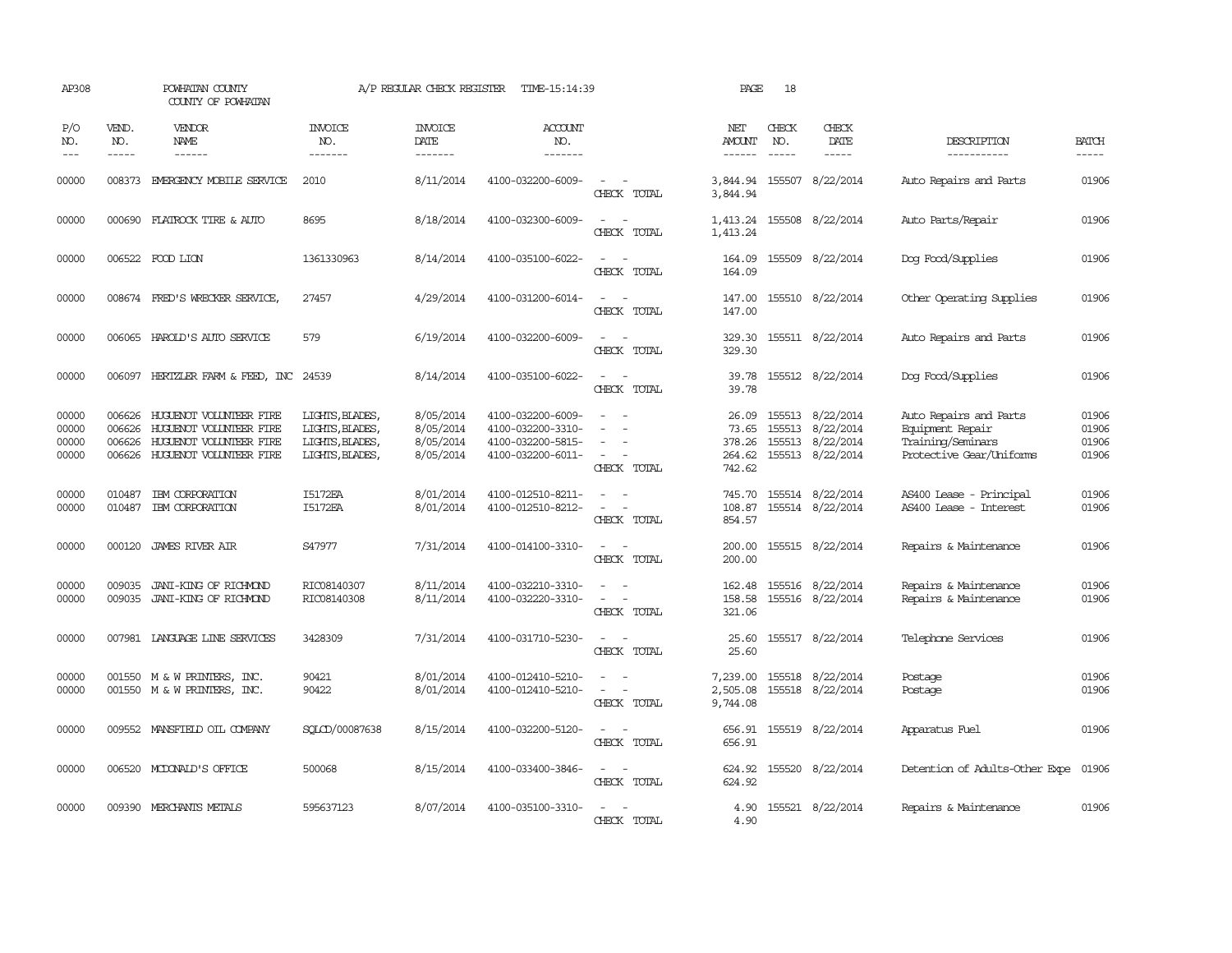| AP308                            |                             | POWHATAN COUNTY<br>COUNTY OF POWHATAN                                                                           |                                                                          | A/P REGULAR CHECK REGISTER                       | TIME-15:14:39                                                                    |                                                                                                                             | PAGE                                         | 18                          |                                                                              |                                                                                             |                                  |
|----------------------------------|-----------------------------|-----------------------------------------------------------------------------------------------------------------|--------------------------------------------------------------------------|--------------------------------------------------|----------------------------------------------------------------------------------|-----------------------------------------------------------------------------------------------------------------------------|----------------------------------------------|-----------------------------|------------------------------------------------------------------------------|---------------------------------------------------------------------------------------------|----------------------------------|
| P/O<br>NO.<br>$\frac{1}{2}$      | VEND.<br>NO.<br>$- - - - -$ | VENDOR<br>NAME<br>$- - - - - -$                                                                                 | <b>INVOICE</b><br>NO.<br>-------                                         | <b>INVOICE</b><br><b>DATE</b><br>-------         | <b>ACCOUNT</b><br>NO.<br>-------                                                 |                                                                                                                             | NET<br>AMOUNT<br>-------                     | CHECK<br>NO.<br>$- - - - -$ | CHECK<br>DATE<br>$- - - - -$                                                 | DESCRIPTION<br>-----------                                                                  | <b>BATCH</b><br>-----            |
| 00000                            | 008373                      | EMERGENCY MOBILE SERVICE                                                                                        | 2010                                                                     | 8/11/2014                                        | 4100-032200-6009-                                                                | $\sim$<br>CHECK TOTAL                                                                                                       | 3,844.94<br>3,844.94                         | 155507                      | 8/22/2014                                                                    | Auto Repairs and Parts                                                                      | 01906                            |
| 00000                            | 000690                      | FLATROCK TIRE & AUTO                                                                                            | 8695                                                                     | 8/18/2014                                        | 4100-032300-6009-                                                                | $\overline{\phantom{a}}$<br>CHECK TOTAL                                                                                     | 1,413.24<br>1,413.24                         |                             | 155508 8/22/2014                                                             | Auto Parts/Repair                                                                           | 01906                            |
| 00000                            |                             | 006522 FOOD LION                                                                                                | 1361330963                                                               | 8/14/2014                                        | 4100-035100-6022-                                                                | $\sim$<br>CHECK TOTAL                                                                                                       | 164.09<br>164.09                             |                             | 155509 8/22/2014                                                             | Dog Food/Supplies                                                                           | 01906                            |
| 00000                            |                             | 008674 FRED'S WRECKER SERVICE,                                                                                  | 27457                                                                    | 4/29/2014                                        | 4100-031200-6014-                                                                | $\equiv$<br>CHECK TOTAL                                                                                                     | 147.00<br>147.00                             |                             | 155510 8/22/2014                                                             | Other Operating Supplies                                                                    | 01906                            |
| 00000                            |                             | 006065 HAROLD'S AUTO SERVICE                                                                                    | 579                                                                      | 6/19/2014                                        | 4100-032200-6009-                                                                | $\equiv$<br>$\overline{\phantom{a}}$<br>CHECK TOTAL                                                                         | 329.30<br>329.30                             |                             | 155511 8/22/2014                                                             | Auto Repairs and Parts                                                                      | 01906                            |
| 00000                            |                             | 006097 HERTZLER FARM & FEED, INC 24539                                                                          |                                                                          | 8/14/2014                                        | 4100-035100-6022-                                                                | $\frac{1}{2} \left( \frac{1}{2} \right) \left( \frac{1}{2} \right) = \frac{1}{2} \left( \frac{1}{2} \right)$<br>CHECK TOTAL | 39.78<br>39.78                               |                             | 155512 8/22/2014                                                             | Dog Food/Supplies                                                                           | 01906                            |
| 00000<br>00000<br>00000<br>00000 | 006626<br>006626<br>006626  | HUGUENOT VOLUNTEER FIRE<br>HUGUENOT VOLUNTEER FIRE<br>HUGUENOT VOLUNTEER FIRE<br>006626 HUGUENOT VOLUNTEER FIRE | LIGHTS, BLADES,<br>LIGHTS, BLADES,<br>LIGHTS, BLADES,<br>LIGHTS, BLADES, | 8/05/2014<br>8/05/2014<br>8/05/2014<br>8/05/2014 | 4100-032200-6009-<br>4100-032200-3310-<br>4100-032200-5815-<br>4100-032200-6011- | $\sim$<br>CHECK TOTAL                                                                                                       | 26.09<br>73.65<br>378.26<br>264.62<br>742.62 |                             | 155513 8/22/2014<br>155513 8/22/2014<br>155513 8/22/2014<br>155513 8/22/2014 | Auto Repairs and Parts<br>Equipment Repair<br>Training/Seminars<br>Protective Gear/Uniforms | 01906<br>01906<br>01906<br>01906 |
| 00000<br>00000                   | 010487<br>010487            | IBM CORPORATION<br>IBM CORPORATION                                                                              | I5172EA<br><b>I5172EA</b>                                                | 8/01/2014<br>8/01/2014                           | 4100-012510-8211-<br>4100-012510-8212-                                           | $\sim$<br>CHECK TOTAL                                                                                                       | 745.70<br>108.87<br>854.57                   |                             | 155514 8/22/2014<br>155514 8/22/2014                                         | AS400 Lease - Principal<br>AS400 Lease - Interest                                           | 01906<br>01906                   |
| 00000                            | 000120                      | <b>JAMES RIVER AIR</b>                                                                                          | S47977                                                                   | 7/31/2014                                        | 4100-014100-3310-                                                                | CHECK TOTAL                                                                                                                 | 200.00<br>200.00                             |                             | 155515 8/22/2014                                                             | Repairs & Maintenance                                                                       | 01906                            |
| 00000<br>00000                   | 009035                      | JANI-KING OF RICHMOND<br>009035 JANI-KING OF RICHMOND                                                           | RIC08140307<br>RIC08140308                                               | 8/11/2014<br>8/11/2014                           | 4100-032210-3310-<br>4100-032220-3310-                                           | $\sim$<br>CHECK TOTAL                                                                                                       | 162.48<br>158.58<br>321.06                   |                             | 155516 8/22/2014<br>155516 8/22/2014                                         | Repairs & Maintenance<br>Repairs & Maintenance                                              | 01906<br>01906                   |
| 00000                            |                             | 007981 LANGUAGE LINE SERVICES                                                                                   | 3428309                                                                  | 7/31/2014                                        | 4100-031710-5230-                                                                | $\frac{1}{2} \left( \frac{1}{2} \right) \left( \frac{1}{2} \right) \left( \frac{1}{2} \right)$<br>CHECK TOTAL               | 25.60<br>25.60                               |                             | 155517 8/22/2014                                                             | Telephone Services                                                                          | 01906                            |
| 00000<br>00000                   |                             | 001550 M & W PRINTERS, INC.<br>001550 M & W PRINTERS, INC.                                                      | 90421<br>90422                                                           | 8/01/2014<br>8/01/2014                           | 4100-012410-5210-<br>4100-012410-5210-                                           | $\equiv$<br>CHECK TOTAL                                                                                                     | 7,239.00<br>2,505.08<br>9,744.08             |                             | 155518 8/22/2014<br>155518 8/22/2014                                         | Postage<br>Postage                                                                          | 01906<br>01906                   |
| 00000                            |                             | 009552 MANSFIELD OIL COMPANY                                                                                    | SQLCD/00087638                                                           | 8/15/2014                                        | 4100-032200-5120-                                                                | $\sim$<br>CHECK TOTAL                                                                                                       | 656.91<br>656.91                             |                             | 155519 8/22/2014                                                             | Apparatus Fuel                                                                              | 01906                            |
| 00000                            |                             | 006520 MCDONALD'S OFFICE                                                                                        | 500068                                                                   | 8/15/2014                                        | 4100-033400-3846-                                                                | $\overline{\phantom{a}}$<br>CHECK TOTAL                                                                                     | 624.92<br>624.92                             |                             | 155520 8/22/2014                                                             | Detention of Adults-Other Expe                                                              | 01906                            |
| 00000                            |                             | 009390 MERCHANTS METALS                                                                                         | 595637123                                                                | 8/07/2014                                        | 4100-035100-3310-                                                                | $ -$<br>CHECK TOTAL                                                                                                         | 4.90<br>4.90                                 |                             | 155521 8/22/2014                                                             | Repairs & Maintenance                                                                       | 01906                            |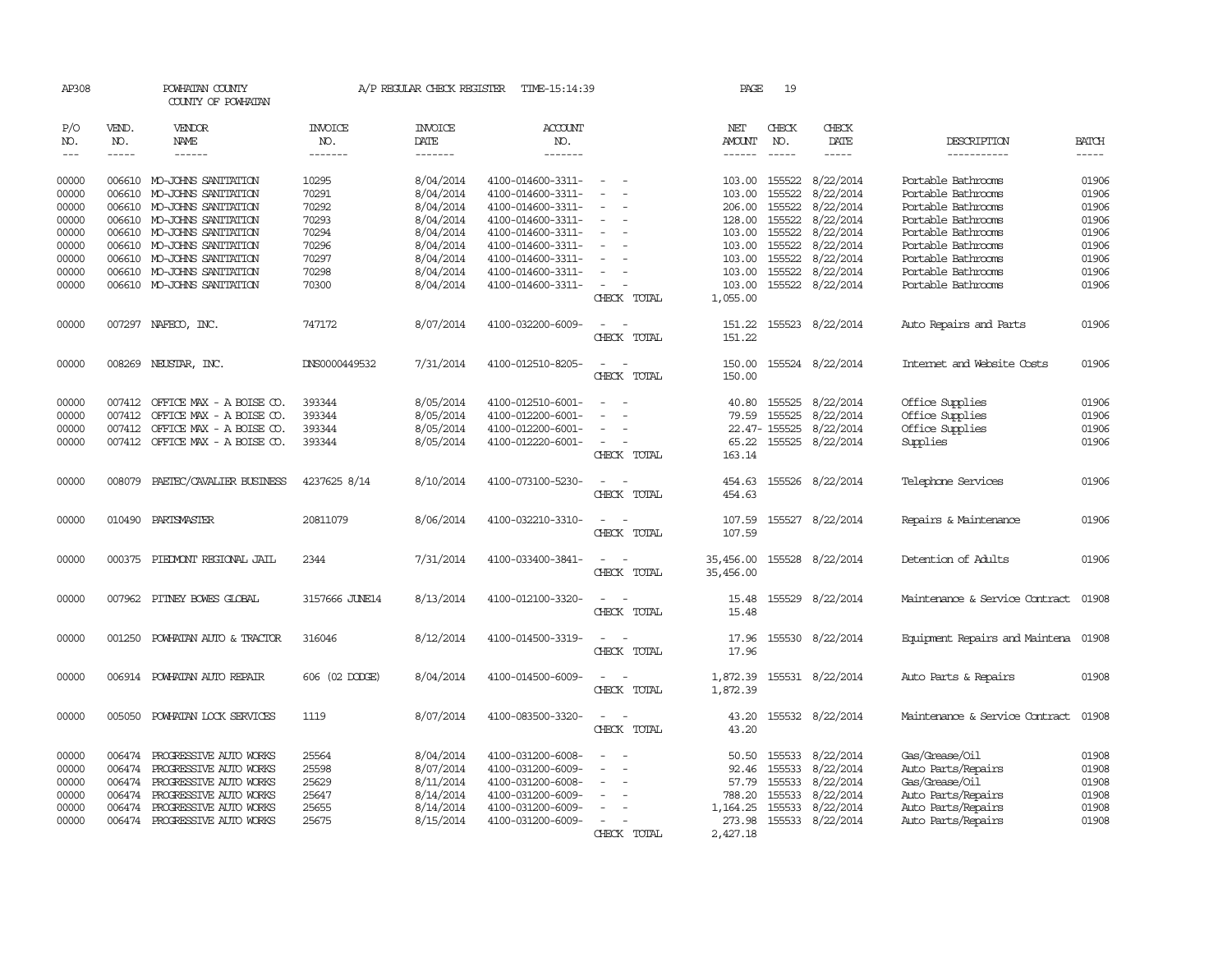| AP308          |              | POWHATAN COUNTY<br>COUNTY OF POWHATAN             |                | A/P REGULAR CHECK REGISTER    | TIME-15:14:39                          |                                                          | PAGE                   | 19               |                        |                                          |                |
|----------------|--------------|---------------------------------------------------|----------------|-------------------------------|----------------------------------------|----------------------------------------------------------|------------------------|------------------|------------------------|------------------------------------------|----------------|
| P/O<br>NO.     | VEND.<br>NO. | VENDOR<br><b>NAME</b>                             | INVOICE<br>NO. | <b>INVOICE</b><br><b>DATE</b> | <b>ACCOUNT</b><br>NO.                  |                                                          | NET<br><b>AMOUNT</b>   | CHECK<br>NO.     | CHECK<br><b>DATE</b>   | DESCRIPTION                              | <b>BATCH</b>   |
| $\frac{1}{2}$  | $- - - - -$  | ------                                            | -------        | -------                       | -------                                |                                                          | $- - - - - -$          | $- - - - -$      | -----                  | -----------                              | -----          |
| 00000          |              | 006610 MO-JOHNS SANITATION                        | 10295          | 8/04/2014                     | 4100-014600-3311-                      | $\sim$                                                   | 103.00 155522          |                  | 8/22/2014              | Portable Bathrooms                       | 01906          |
| 00000          | 006610       | MO-JOHNS SANITATION                               | 70291          | 8/04/2014                     | 4100-014600-3311-                      |                                                          | 103.00                 | 155522<br>155522 | 8/22/2014              | Portable Bathrooms<br>Portable Bathrooms | 01906          |
| 00000<br>00000 | 006610       | MO-JOHNS SANITATION<br>006610 MO-JOHNS SANITATION | 70292<br>70293 | 8/04/2014<br>8/04/2014        | 4100-014600-3311-<br>4100-014600-3311- | $\equiv$<br>$\sim$                                       | 206.00<br>128.00       | 155522           | 8/22/2014<br>8/22/2014 | Portable Bathrooms                       | 01906<br>01906 |
| 00000          |              | 006610 MO-JOHNS SANITATION                        | 70294          | 8/04/2014                     | 4100-014600-3311-                      |                                                          | 103.00                 | 155522           | 8/22/2014              | Portable Bathrooms                       | 01906          |
| 00000          |              | 006610 MO-JOHNS SANITATION                        | 70296          | 8/04/2014                     | 4100-014600-3311-                      |                                                          | 103.00                 | 155522           | 8/22/2014              | Portable Bathrooms                       | 01906          |
| 00000          |              | 006610 MO-JOHNS SANITATION                        | 70297          | 8/04/2014                     | 4100-014600-3311-                      | $\equiv$                                                 | 103.00                 | 155522           | 8/22/2014              | Portable Bathrooms                       | 01906          |
| 00000          |              | 006610 MO-JOHNS SANITATION                        | 70298          | 8/04/2014                     | 4100-014600-3311-                      |                                                          | 103.00                 | 155522           | 8/22/2014              | Portable Bathrooms                       | 01906          |
| 00000          |              | 006610 MO-JOHNS SANITATION                        | 70300          | 8/04/2014                     | 4100-014600-3311-                      |                                                          | 103.00                 | 155522           | 8/22/2014              | Portable Bathrooms                       | 01906          |
|                |              |                                                   |                |                               |                                        | CHECK TOTAL                                              | 1,055.00               |                  |                        |                                          |                |
| 00000          |              | 007297 NAFECO, INC.                               | 747172         | 8/07/2014                     | 4100-032200-6009-                      | CHECK TOTAL                                              | 151.22<br>151.22       |                  | 155523 8/22/2014       | Auto Repairs and Parts                   | 01906          |
| 00000          |              | 008269 NEUSTAR, INC.                              | DNS0000449532  | 7/31/2014                     | 4100-012510-8205-                      | CHECK TOTAL                                              | 150.00<br>150.00       |                  | 155524 8/22/2014       | Internet and Website Costs               | 01906          |
|                |              |                                                   |                |                               |                                        |                                                          |                        |                  |                        |                                          |                |
| 00000          |              | 007412 OFFICE MAX - A BOISE CO.                   | 393344         | 8/05/2014                     | 4100-012510-6001-                      | $\overline{\phantom{a}}$<br>$\overline{\phantom{a}}$     | 40.80                  | 155525           | 8/22/2014              | Office Supplies                          | 01906          |
| 00000          | 007412       | OFFICE MAX - A BOISE CO.                          | 393344         | 8/05/2014                     | 4100-012200-6001-                      |                                                          | 79.59                  | 155525           | 8/22/2014              | Office Supplies                          | 01906          |
| 00000          | 007412       | OFFICE MAX - A BOISE CO.                          | 393344         | 8/05/2014                     | 4100-012200-6001-                      |                                                          |                        | 22.47-155525     | 8/22/2014              | Office Supplies                          | 01906          |
| 00000          |              | 007412 OFFICE MAX - A BOISE CO.                   | 393344         | 8/05/2014                     | 4100-012220-6001-                      | $\sim$<br>$\overline{\phantom{a}}$                       | 65.22                  | 155525           | 8/22/2014              | Supplies                                 | 01906          |
|                |              |                                                   |                |                               |                                        | CHECK TOTAL                                              | 163.14                 |                  |                        |                                          |                |
| 00000          | 008079       | PAETEC/CAVALIER BUSINESS                          | 4237625 8/14   | 8/10/2014                     | 4100-073100-5230-                      | $\hspace{0.1mm}-\hspace{0.1mm}$<br>$\sim$<br>CHECK TOTAL | 454.63<br>454.63       |                  | 155526 8/22/2014       | Telephone Services                       | 01906          |
| 00000          |              | 010490 PARTSMASTER                                | 20811079       | 8/06/2014                     | 4100-032210-3310-                      | $\sim$ 100 $\sim$<br>CHECK TOTAL                         | 107.59<br>107.59       |                  | 155527 8/22/2014       | Repairs & Maintenance                    | 01906          |
| 00000          |              | 000375 PIEDMONT REGIONAL JAIL                     | 2344           | 7/31/2014                     | 4100-033400-3841-                      | $\sim$<br>$\sim$<br>CHECK TOTAL                          | 35,456.00<br>35,456.00 |                  | 155528 8/22/2014       | Detention of Adults                      | 01906          |
| 00000          |              | 007962 PITNEY BOWES GLOBAL                        | 3157666 JUNE14 | 8/13/2014                     | 4100-012100-3320-                      | $\overline{\phantom{a}}$<br>CHECK TOTAL                  | 15.48<br>15.48         |                  | 155529 8/22/2014       | Maintenance & Service Contract           | 01908          |
| 00000          | 001250       | POWHATAN AUTO & TRACTOR                           | 316046         | 8/12/2014                     | 4100-014500-3319-                      | CHECK TOTAL                                              | 17.96<br>17.96         | 155530           | 8/22/2014              | Equipment Repairs and Maintena 01908     |                |
| 00000          |              | 006914 POWHATAN AUTO REPAIR                       | 606 (02 DODGE) | 8/04/2014                     | 4100-014500-6009-                      | $\overline{\phantom{a}}$<br>CHECK TOTAL                  | 1,872.39<br>1,872.39   |                  | 155531 8/22/2014       | Auto Parts & Repairs                     | 01908          |
| 00000          | 005050       | POWHATAN LOCK SERVICES                            | 1119           | 8/07/2014                     | 4100-083500-3320-                      | $\sim$<br>CHECK TOTAL                                    | 43.20<br>43.20         |                  | 155532 8/22/2014       | Maintenance & Service Contract           | 01908          |
| 00000          | 006474       | PROGRESSIVE AUTO WORKS                            | 25564          | 8/04/2014                     | 4100-031200-6008-                      | $\sim$                                                   | 50.50                  | 155533           | 8/22/2014              | Gas/Grease/Oil                           | 01908          |
| 00000          | 006474       | PROGRESSIVE AUTO WORKS                            | 25598          | 8/07/2014                     | 4100-031200-6009-                      | $\overline{\phantom{a}}$                                 | 92.46                  | 155533           | 8/22/2014              | Auto Parts/Repairs                       | 01908          |
| 00000          | 006474       | PROGRESSIVE AUTO WORKS                            | 25629          | 8/11/2014                     | 4100-031200-6008-                      |                                                          | 57.79                  | 155533           | 8/22/2014              | Gas/Grease/Oil                           | 01908          |
| 00000          | 006474       | PROGRESSIVE AUTO WORKS                            | 25647          | 8/14/2014                     | 4100-031200-6009-                      | $\sim$                                                   | 788.20                 | 155533           | 8/22/2014              | Auto Parts/Repairs                       | 01908          |
| 00000          | 006474       | PROGRESSIVE AUTO WORKS                            | 25655          | 8/14/2014                     | 4100-031200-6009-                      |                                                          | 1,164.25               | 155533           | 8/22/2014              | Auto Parts/Repairs                       | 01908          |
| 00000          |              | 006474 PROGRESSIVE AUTO WORKS                     | 25675          | 8/15/2014                     | 4100-031200-6009-                      |                                                          | 273.98                 |                  | 155533 8/22/2014       | Auto Parts/Repairs                       | 01908          |
|                |              |                                                   |                |                               |                                        | CHECK TOTAL                                              | 2,427.18               |                  |                        |                                          |                |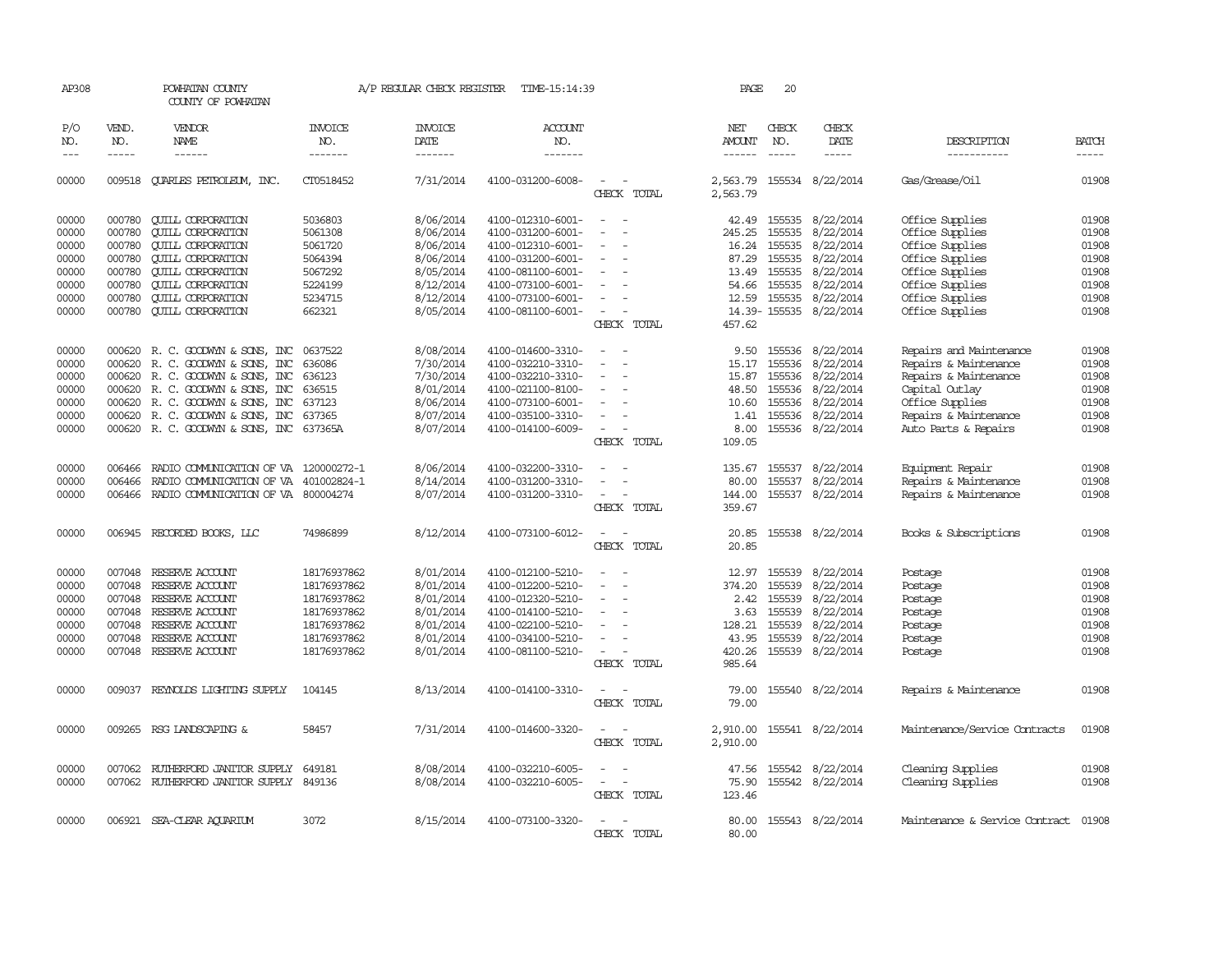| AP308      |              | POWHATAN COUNTY<br>COUNTY OF POWHATAN   |                       | A/P REGULAR CHECK REGISTER    | TIME-15:14:39         |                                                                                                              | PAGE                 | 20           |                           |                                      |              |
|------------|--------------|-----------------------------------------|-----------------------|-------------------------------|-----------------------|--------------------------------------------------------------------------------------------------------------|----------------------|--------------|---------------------------|--------------------------------------|--------------|
| P/O<br>NO. | VEND.<br>NO. | VENDOR<br><b>NAME</b>                   | <b>INVOICE</b><br>NO. | <b>INVOICE</b><br><b>DATE</b> | <b>ACCOUNT</b><br>NO. |                                                                                                              | NET<br><b>AMOUNT</b> | CHECK<br>NO. | CHECK<br><b>DATE</b>      | DESCRIPTION                          | <b>BATCH</b> |
| $---$      | $- - - - -$  | $- - - - - -$                           | -------               | -------                       | -------               |                                                                                                              | $- - - - - -$        | $- - - - -$  | $- - - - -$               | -----------                          | $- - - - -$  |
| 00000      |              | 009518 CUARLES PETROLEUM, INC.          | CT0518452             | 7/31/2014                     | 4100-031200-6008-     | $\overline{\phantom{a}}$<br>CHECK TOTAL                                                                      | 2,563.79             |              | 2,563.79 155534 8/22/2014 | Gas/Grease/Oil                       | 01908        |
| 00000      | 000780       | <b>CUILL CORPORATION</b>                | 5036803               | 8/06/2014                     | 4100-012310-6001-     |                                                                                                              |                      | 42.49 155535 | 8/22/2014                 | Office Supplies                      | 01908        |
| 00000      | 000780       | <b>QUILL CORPORATION</b>                | 5061308               | 8/06/2014                     | 4100-031200-6001-     |                                                                                                              | 245.25               | 155535       | 8/22/2014                 | Office Supplies                      | 01908        |
| 00000      | 000780       | <b>CUILL CORPORATION</b>                | 5061720               | 8/06/2014                     | 4100-012310-6001-     |                                                                                                              | 16.24                | 155535       | 8/22/2014                 | Office Supplies                      | 01908        |
| 00000      | 000780       | <b>CUILL CORPORATION</b>                | 5064394               | 8/06/2014                     | 4100-031200-6001-     | $\equiv$                                                                                                     | 87.29                | 155535       | 8/22/2014                 | Office Supplies                      | 01908        |
| 00000      | 000780       | <b>CUILL CORPORATION</b>                | 5067292               | 8/05/2014                     | 4100-081100-6001-     | $\sim$                                                                                                       |                      | 13.49 155535 | 8/22/2014                 | Office Supplies                      | 01908        |
| 00000      | 000780       | <b>QUILL CORPORATION</b>                | 5224199               | 8/12/2014                     | 4100-073100-6001-     |                                                                                                              | 54.66                | 155535       | 8/22/2014                 | Office Supplies                      | 01908        |
| 00000      | 000780       | <b>CUILL CORPORATION</b>                | 5234715               | 8/12/2014                     | 4100-073100-6001-     |                                                                                                              | 12.59                |              | 155535 8/22/2014          | Office Supplies                      | 01908        |
| 00000      | 000780       | <b>CUILL CORPORATION</b>                | 662321                |                               | 4100-081100-6001-     | $\sim$                                                                                                       |                      |              |                           |                                      | 01908        |
|            |              |                                         |                       | 8/05/2014                     |                       | CHECK TOTAL                                                                                                  | 457.62               |              | 14.39-155535 8/22/2014    | Office Supplies                      |              |
|            |              |                                         |                       |                               |                       |                                                                                                              |                      |              |                           |                                      |              |
| 00000      |              | 000620 R. C. GOODWYN & SONS, INC        | 0637522               | 8/08/2014                     | 4100-014600-3310-     | $\equiv$                                                                                                     | 9.50                 | 155536       | 8/22/2014                 | Repairs and Maintenance              | 01908        |
| 00000      | 000620       | R. C. GOODWYN & SONS, INC               | 636086                | 7/30/2014                     | 4100-032210-3310-     | $\overline{\phantom{a}}$                                                                                     | 15.17                | 155536       | 8/22/2014                 | Repairs & Maintenance                | 01908        |
| 00000      |              | 000620 R. C. GOODWYN & SONS, INC        | 636123                | 7/30/2014                     | 4100-032210-3310-     | $\sim$                                                                                                       | 15.87                | 155536       | 8/22/2014                 | Repairs & Maintenance                | 01908        |
| 00000      | 000620       | R. C. GOODWYN & SONS, INC               | 636515                | 8/01/2014                     | 4100-021100-8100-     | $\equiv$                                                                                                     | 48.50                |              | 155536 8/22/2014          | Capital Outlay                       | 01908        |
| 00000      | 000620       | R. C. GOODWYN & SONS, INC               | 637123                | 8/06/2014                     | 4100-073100-6001-     | $\overline{\phantom{a}}$                                                                                     | 10.60                | 155536       | 8/22/2014                 | Office Supplies                      | 01908        |
| 00000      |              | 000620 R.C. GOODWYN & SONS, INC         | 637365                | 8/07/2014                     | 4100-035100-3310-     |                                                                                                              | 1.41                 | 155536       | 8/22/2014                 | Repairs & Maintenance                | 01908        |
| 00000      |              | 000620 R.C. GOODWYN & SONS, INC 637365A |                       | 8/07/2014                     | 4100-014100-6009-     |                                                                                                              | 8.00                 |              | 155536 8/22/2014          | Auto Parts & Repairs                 | 01908        |
|            |              |                                         |                       |                               |                       | CHECK TOTAL                                                                                                  | 109.05               |              |                           |                                      |              |
|            | 006466       |                                         |                       | 8/06/2014                     |                       |                                                                                                              |                      |              | 8/22/2014                 |                                      | 01908        |
| 00000      |              | RADIO COMMUNICATION OF VA 120000272-1   |                       |                               | 4100-032200-3310-     | $\overline{\phantom{a}}$                                                                                     | 135.67               | 155537       |                           | Equipment Repair                     | 01908        |
| 00000      | 006466       | RADIO COMMUNICATION OF VA 401002824-1   |                       | 8/14/2014                     | 4100-031200-3310-     | $\sim$                                                                                                       | 80.00                | 155537       | 8/22/2014                 | Repairs & Maintenance                |              |
| 00000      | 006466       | RADIO COMMUNICATION OF VA 800004274     |                       | 8/07/2014                     | 4100-031200-3310-     |                                                                                                              | 144.00               |              | 155537 8/22/2014          | Repairs & Maintenance                | 01908        |
|            |              |                                         |                       |                               |                       | CHECK TOTAL                                                                                                  | 359.67               |              |                           |                                      |              |
| 00000      |              | 006945 RECORDED BOOKS, LLC              | 74986899              | 8/12/2014                     | 4100-073100-6012-     | $\sim$<br>$\overline{\phantom{a}}$                                                                           | 20.85                |              | 155538 8/22/2014          | Books & Subscriptions                | 01908        |
|            |              |                                         |                       |                               |                       | CHECK TOTAL                                                                                                  | 20.85                |              |                           |                                      |              |
| 00000      | 007048       | RESERVE ACCOUNT                         | 18176937862           | 8/01/2014                     | 4100-012100-5210-     |                                                                                                              | 12.97                | 155539       | 8/22/2014                 | Postage                              | 01908        |
| 00000      | 007048       | RESERVE ACCOUNT                         | 18176937862           | 8/01/2014                     | 4100-012200-5210-     | $\sim$                                                                                                       | 374.20               | 155539       | 8/22/2014                 | Postage                              | 01908        |
| 00000      |              | 007048 RESERVE ACCOUNT                  | 18176937862           | 8/01/2014                     | 4100-012320-5210-     |                                                                                                              | 2.42                 | 155539       | 8/22/2014                 | Postage                              | 01908        |
| 00000      | 007048       | RESERVE ACCOUNT                         | 18176937862           | 8/01/2014                     | 4100-014100-5210-     |                                                                                                              | 3.63                 | 155539       | 8/22/2014                 | Postage                              | 01908        |
| 00000      | 007048       | RESERVE ACCOUNT                         | 18176937862           | 8/01/2014                     | 4100-022100-5210-     | $\sim$                                                                                                       | 128.21               | 155539       | 8/22/2014                 | Postage                              | 01908        |
| 00000      | 007048       | RESERVE ACCOUNT                         | 18176937862           | 8/01/2014                     | 4100-034100-5210-     |                                                                                                              | 43.95                | 155539       | 8/22/2014                 | Postage                              | 01908        |
| 00000      |              | 007048 RESERVE ACCOUNT                  | 18176937862           | 8/01/2014                     | 4100-081100-5210-     |                                                                                                              | 420.26               |              | 155539 8/22/2014          | Postage                              | 01908        |
|            |              |                                         |                       |                               |                       | CHECK TOTAL                                                                                                  | 985.64               |              |                           |                                      |              |
|            |              |                                         |                       |                               |                       |                                                                                                              |                      |              |                           |                                      |              |
| 00000      | 009037       | REYNOLDS LIGHTING SUPPLY                | 104145                | 8/13/2014                     | 4100-014100-3310-     |                                                                                                              | 79.00                |              | 155540 8/22/2014          | Repairs & Maintenance                | 01908        |
|            |              |                                         |                       |                               |                       | CHECK TOTAL                                                                                                  | 79.00                |              |                           |                                      |              |
|            |              |                                         |                       |                               |                       |                                                                                                              |                      |              |                           |                                      |              |
| 00000      |              | 009265 RSG LANDSCAPING &                | 58457                 | 7/31/2014                     | 4100-014600-3320-     |                                                                                                              |                      |              | 2,910.00 155541 8/22/2014 | Maintenance/Service Contracts        | 01908        |
|            |              |                                         |                       |                               |                       | CHECK TOTAL                                                                                                  | 2,910.00             |              |                           |                                      |              |
| 00000      | 007062       | RUTHERFORD JANITOR SUPPLY               | 649181                | 8/08/2014                     | 4100-032210-6005-     |                                                                                                              | 47.56                | 155542       | 8/22/2014                 | Cleaning Supplies                    | 01908        |
| 00000      |              | 007062 RUIHERFORD JANITOR SUPPLY 849136 |                       | 8/08/2014                     | 4100-032210-6005-     | $\frac{1}{2} \left( \frac{1}{2} \right) \left( \frac{1}{2} \right) = \frac{1}{2} \left( \frac{1}{2} \right)$ | 75.90                |              | 155542 8/22/2014          | Cleaning Supplies                    | 01908        |
|            |              |                                         |                       |                               |                       | CHECK TOTAL                                                                                                  | 123.46               |              |                           |                                      |              |
|            |              |                                         |                       |                               |                       |                                                                                                              |                      |              |                           |                                      |              |
| 00000      |              | 006921 SEA-CLEAR AQUARIUM               | 3072                  | 8/15/2014                     | 4100-073100-3320-     |                                                                                                              |                      |              | 80.00 155543 8/22/2014    | Maintenance & Service Contract 01908 |              |
|            |              |                                         |                       |                               |                       | CHECK TOTAL                                                                                                  | 80.00                |              |                           |                                      |              |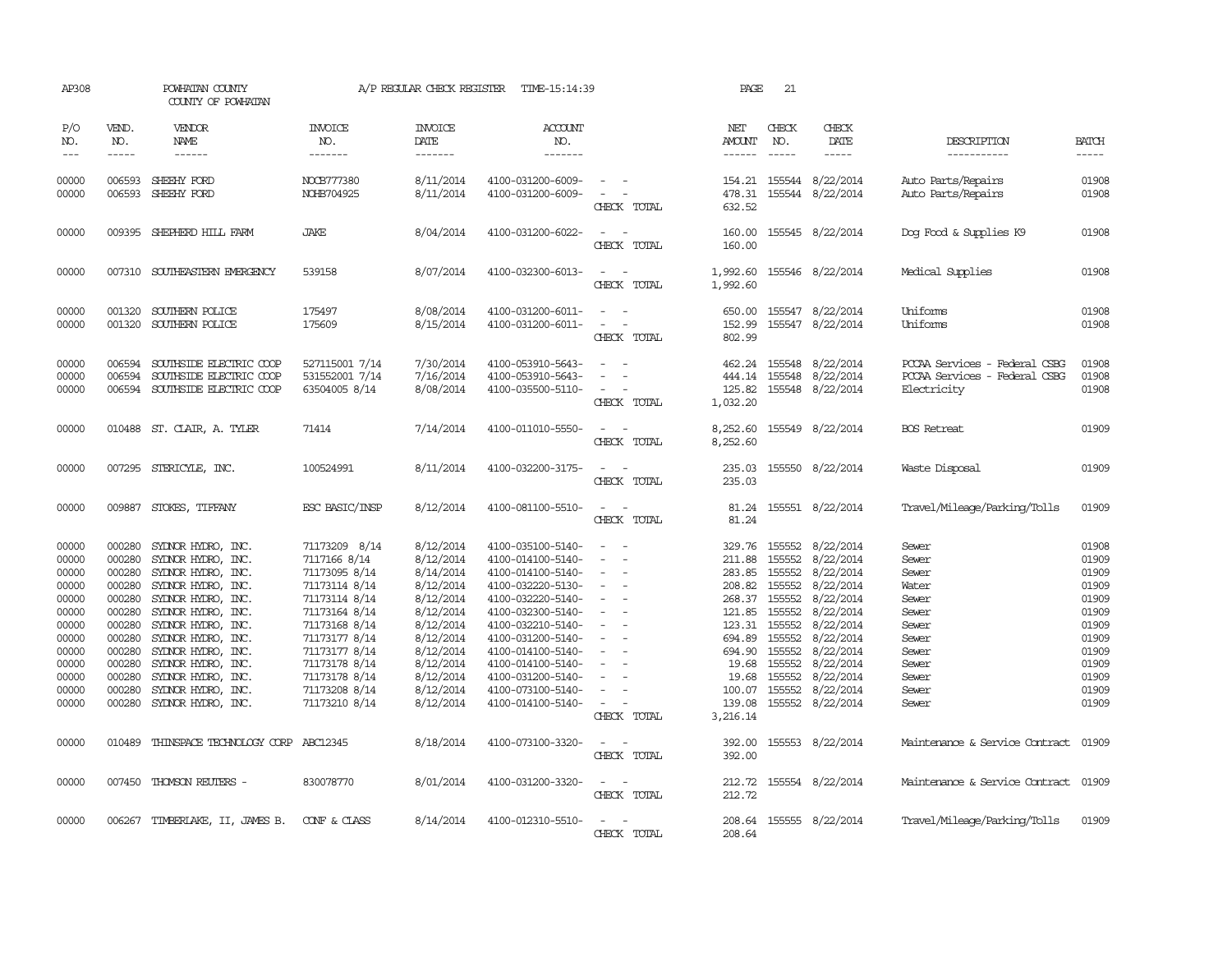| AP308                                                                                                                                                                                                                                                                                                                                                                                                      |                                                                                                                                          | POWHATAN COUNTY<br>COUNTY OF POWHATAN                                                                                                                                                                                                                                                                                            |                                                                                                                                                                                                                          | A/P REGULAR CHECK REGISTER                                                                                                                                                         | TIME-15:14:39                                                                                                                                                                                                                                                                                      |                                                                                                                                                                                                                                                                              | PAGE                                                                                    | 21                                                                                               |                                                                                                                                                                                                                                                          |                                                                                                                                                           |                                                                                                                   |
|------------------------------------------------------------------------------------------------------------------------------------------------------------------------------------------------------------------------------------------------------------------------------------------------------------------------------------------------------------------------------------------------------------|------------------------------------------------------------------------------------------------------------------------------------------|----------------------------------------------------------------------------------------------------------------------------------------------------------------------------------------------------------------------------------------------------------------------------------------------------------------------------------|--------------------------------------------------------------------------------------------------------------------------------------------------------------------------------------------------------------------------|------------------------------------------------------------------------------------------------------------------------------------------------------------------------------------|----------------------------------------------------------------------------------------------------------------------------------------------------------------------------------------------------------------------------------------------------------------------------------------------------|------------------------------------------------------------------------------------------------------------------------------------------------------------------------------------------------------------------------------------------------------------------------------|-----------------------------------------------------------------------------------------|--------------------------------------------------------------------------------------------------|----------------------------------------------------------------------------------------------------------------------------------------------------------------------------------------------------------------------------------------------------------|-----------------------------------------------------------------------------------------------------------------------------------------------------------|-------------------------------------------------------------------------------------------------------------------|
| P/O<br>NO.<br>$\frac{1}{2} \frac{1}{2} \frac{1}{2} \frac{1}{2} \frac{1}{2} \frac{1}{2} \frac{1}{2} \frac{1}{2} \frac{1}{2} \frac{1}{2} \frac{1}{2} \frac{1}{2} \frac{1}{2} \frac{1}{2} \frac{1}{2} \frac{1}{2} \frac{1}{2} \frac{1}{2} \frac{1}{2} \frac{1}{2} \frac{1}{2} \frac{1}{2} \frac{1}{2} \frac{1}{2} \frac{1}{2} \frac{1}{2} \frac{1}{2} \frac{1}{2} \frac{1}{2} \frac{1}{2} \frac{1}{2} \frac{$ | VEND.<br>NO.<br>$- - - - -$                                                                                                              | <b>VENDOR</b><br>NAME<br>$- - - - - -$                                                                                                                                                                                                                                                                                           | <b>INVOICE</b><br>NO.<br>-------                                                                                                                                                                                         | <b>INVOICE</b><br>DATE<br>-------                                                                                                                                                  | <b>ACCOUNT</b><br>NO.<br>-------                                                                                                                                                                                                                                                                   |                                                                                                                                                                                                                                                                              | NET<br>AMOUNT<br>------                                                                 | CHECK<br>NO.<br>$\frac{1}{2}$                                                                    | CHECK<br>DATE<br>-----                                                                                                                                                                                                                                   | DESCRIPTION<br>-----------                                                                                                                                | <b>BATCH</b><br>-----                                                                                             |
| 00000<br>00000                                                                                                                                                                                                                                                                                                                                                                                             |                                                                                                                                          | 006593 SHEEHY FORD<br>006593 SHEEHY FORD                                                                                                                                                                                                                                                                                         | NOCB777380<br>NOHB704925                                                                                                                                                                                                 | 8/11/2014<br>8/11/2014                                                                                                                                                             | 4100-031200-6009-<br>4100-031200-6009-                                                                                                                                                                                                                                                             | $\sim$ 100 $\sim$ 100 $\sim$<br>$\sim$ $ -$<br>CHECK TOTAL                                                                                                                                                                                                                   | 478.31<br>632.52                                                                        |                                                                                                  | 154.21 155544 8/22/2014<br>155544 8/22/2014                                                                                                                                                                                                              | Auto Parts/Repairs<br>Auto Parts/Repairs                                                                                                                  | 01908<br>01908                                                                                                    |
| 00000                                                                                                                                                                                                                                                                                                                                                                                                      | 009395                                                                                                                                   | SHEPHERD HILL FARM                                                                                                                                                                                                                                                                                                               | <b>JAKE</b>                                                                                                                                                                                                              | 8/04/2014                                                                                                                                                                          | 4100-031200-6022-                                                                                                                                                                                                                                                                                  | $\equiv$<br>CHECK TOTAL                                                                                                                                                                                                                                                      | 160.00<br>160.00                                                                        |                                                                                                  | 155545 8/22/2014                                                                                                                                                                                                                                         | Dog Food & Supplies K9                                                                                                                                    | 01908                                                                                                             |
| 00000                                                                                                                                                                                                                                                                                                                                                                                                      |                                                                                                                                          | 007310 SOUTHEASTERN EMERGENCY                                                                                                                                                                                                                                                                                                    | 539158                                                                                                                                                                                                                   | 8/07/2014                                                                                                                                                                          | 4100-032300-6013-                                                                                                                                                                                                                                                                                  | $\overline{\phantom{a}}$<br>CHECK TOTAL                                                                                                                                                                                                                                      | 1,992.60<br>1,992.60                                                                    |                                                                                                  | 155546 8/22/2014                                                                                                                                                                                                                                         | Medical Supplies                                                                                                                                          | 01908                                                                                                             |
| 00000<br>00000                                                                                                                                                                                                                                                                                                                                                                                             | 001320<br>001320                                                                                                                         | SOUTHERN POLICE<br>SOUTHERN POLICE                                                                                                                                                                                                                                                                                               | 175497<br>175609                                                                                                                                                                                                         | 8/08/2014<br>8/15/2014                                                                                                                                                             | 4100-031200-6011-<br>4100-031200-6011-                                                                                                                                                                                                                                                             | $\sim$<br>$\equiv$<br>CHECK TOTAL                                                                                                                                                                                                                                            | 650.00<br>152.99<br>802.99                                                              |                                                                                                  | 155547 8/22/2014<br>155547 8/22/2014                                                                                                                                                                                                                     | Uniforms<br>Uniforms                                                                                                                                      | 01908<br>01908                                                                                                    |
| 00000<br>00000<br>00000                                                                                                                                                                                                                                                                                                                                                                                    | 006594<br>006594<br>006594                                                                                                               | SOUTHSIDE ELECTRIC COOP<br>SOUTHSIDE ELECTRIC COOP<br>SOUTHSIDE ELECTRIC COOP                                                                                                                                                                                                                                                    | 527115001 7/14<br>531552001 7/14<br>63504005 8/14                                                                                                                                                                        | 7/30/2014<br>7/16/2014<br>8/08/2014                                                                                                                                                | 4100-053910-5643-<br>4100-053910-5643-<br>4100-035500-5110-                                                                                                                                                                                                                                        | $ -$<br>$\equiv$<br>CHECK TOTAL                                                                                                                                                                                                                                              | 444.14<br>125.82<br>1,032.20                                                            |                                                                                                  | 462.24 155548 8/22/2014<br>155548 8/22/2014<br>155548 8/22/2014                                                                                                                                                                                          | PCCAA Services - Federal CSBG<br>PCCAA Services - Federal CSBG<br>Electricity                                                                             | 01908<br>01908<br>01908                                                                                           |
| 00000                                                                                                                                                                                                                                                                                                                                                                                                      |                                                                                                                                          | 010488 ST. CLAIR, A. TYLER                                                                                                                                                                                                                                                                                                       | 71414                                                                                                                                                                                                                    | 7/14/2014                                                                                                                                                                          | 4100-011010-5550-                                                                                                                                                                                                                                                                                  | CHECK TOTAL                                                                                                                                                                                                                                                                  | 8,252.60<br>8,252.60                                                                    |                                                                                                  | 155549 8/22/2014                                                                                                                                                                                                                                         | <b>BOS</b> Retreat                                                                                                                                        | 01909                                                                                                             |
| 00000                                                                                                                                                                                                                                                                                                                                                                                                      |                                                                                                                                          | 007295 STERICYLE, INC.                                                                                                                                                                                                                                                                                                           | 100524991                                                                                                                                                                                                                | 8/11/2014                                                                                                                                                                          | 4100-032200-3175-                                                                                                                                                                                                                                                                                  | CHECK TOTAL                                                                                                                                                                                                                                                                  | 235.03<br>235.03                                                                        |                                                                                                  | 155550 8/22/2014                                                                                                                                                                                                                                         | Waste Disposal                                                                                                                                            | 01909                                                                                                             |
| 00000                                                                                                                                                                                                                                                                                                                                                                                                      |                                                                                                                                          | 009887 STOKES, TIFFANY                                                                                                                                                                                                                                                                                                           | ESC BASIC/INSP                                                                                                                                                                                                           | 8/12/2014                                                                                                                                                                          | 4100-081100-5510-                                                                                                                                                                                                                                                                                  | $\overline{\phantom{a}}$<br>CHECK TOTAL                                                                                                                                                                                                                                      | 81.24<br>81.24                                                                          |                                                                                                  | 155551 8/22/2014                                                                                                                                                                                                                                         | Travel/Mileage/Parking/Tolls                                                                                                                              | 01909                                                                                                             |
| 00000<br>00000<br>00000<br>00000<br>00000<br>00000<br>00000<br>00000<br>00000<br>00000<br>00000<br>00000<br>00000<br>00000                                                                                                                                                                                                                                                                                 | 000280<br>000280<br>000280<br>000280<br>000280<br>000280<br>000280<br>000280<br>000280<br>000280<br>000280<br>000280<br>000280<br>010489 | SYDNOR HYDRO, INC.<br>SYDNOR HYDRO, INC.<br>SYDNOR HYDRO, INC.<br>SYLNOR HYDRO, INC.<br>SYLNOR HYDRO, INC.<br>SYDNOR HYDRO, INC.<br>SYDNOR HYDRO, INC.<br>SYDNOR HYDRO, INC.<br>SYLNOR HYDRO, INC.<br>SYLNOR HYDRO, INC.<br>SYDNOR HYDRO, INC.<br>SYDNOR HYDRO, INC.<br>SYDNOR HYDRO, INC.<br>THINSPACE TECHNOLOGY CORP ABC12345 | 71173209 8/14<br>7117166 8/14<br>71173095 8/14<br>71173114 8/14<br>71173114 8/14<br>71173164 8/14<br>71173168 8/14<br>71173177 8/14<br>71173177 8/14<br>71173178 8/14<br>71173178 8/14<br>71173208 8/14<br>71173210 8/14 | 8/12/2014<br>8/12/2014<br>8/14/2014<br>8/12/2014<br>8/12/2014<br>8/12/2014<br>8/12/2014<br>8/12/2014<br>8/12/2014<br>8/12/2014<br>8/12/2014<br>8/12/2014<br>8/12/2014<br>8/18/2014 | 4100-035100-5140-<br>4100-014100-5140-<br>4100-014100-5140-<br>4100-032220-5130-<br>4100-032220-5140-<br>4100-032300-5140-<br>4100-032210-5140-<br>4100-031200-5140-<br>4100-014100-5140-<br>4100-014100-5140-<br>4100-031200-5140-<br>4100-073100-5140-<br>4100-014100-5140-<br>4100-073100-3320- | $\sim$<br>$\overline{\phantom{a}}$<br>$\equiv$<br>$\sim$<br>$\overline{\phantom{a}}$<br>$\sim$<br>$\sim$<br>$\sim$<br>$\overline{\phantom{a}}$<br>$\equiv$<br>$\overline{\phantom{a}}$<br>$\overline{\phantom{a}}$<br>CHECK TOTAL<br>$\overline{\phantom{a}}$<br>CHECK TOTAL | 211.88<br>121.85<br>694.89<br>694.90<br>19.68<br>139.08<br>3,216.14<br>392.00<br>392.00 | 155552<br>208.82 155552<br>268.37 155552<br>155552<br>155552<br>155552<br>19.68 155552<br>155552 | 329.76 155552 8/22/2014<br>8/22/2014<br>283.85 155552 8/22/2014<br>8/22/2014<br>8/22/2014<br>8/22/2014<br>123.31 155552 8/22/2014<br>8/22/2014<br>8/22/2014<br>8/22/2014<br>8/22/2014<br>100.07 155552 8/22/2014<br>155552 8/22/2014<br>155553 8/22/2014 | Sewer<br>Sewer<br>Sewer<br>Water<br>Sewer<br>Sewer<br>Sewer<br>Sewer<br>Sewer<br>Sewer<br>Sewer<br>Sewer<br>Sewer<br>Maintenance & Service Contract 01909 | 01908<br>01909<br>01909<br>01909<br>01909<br>01909<br>01909<br>01909<br>01909<br>01909<br>01909<br>01909<br>01909 |
| 00000                                                                                                                                                                                                                                                                                                                                                                                                      |                                                                                                                                          | 007450 THOMSON REUTERS -                                                                                                                                                                                                                                                                                                         | 830078770                                                                                                                                                                                                                | 8/01/2014                                                                                                                                                                          | 4100-031200-3320-                                                                                                                                                                                                                                                                                  | $\frac{1}{2} \left( \frac{1}{2} \right) \left( \frac{1}{2} \right) = \frac{1}{2} \left( \frac{1}{2} \right)$<br>CHECK TOTAL                                                                                                                                                  | 212.72                                                                                  |                                                                                                  | 212.72 155554 8/22/2014                                                                                                                                                                                                                                  | Maintenance & Service Contract 01909                                                                                                                      |                                                                                                                   |
| 00000                                                                                                                                                                                                                                                                                                                                                                                                      | 006267                                                                                                                                   | TIMBERLAKE, II, JAMES B.                                                                                                                                                                                                                                                                                                         | CONF & CLASS                                                                                                                                                                                                             | 8/14/2014                                                                                                                                                                          | 4100-012310-5510-                                                                                                                                                                                                                                                                                  | CHECK TOTAL                                                                                                                                                                                                                                                                  | 208.64                                                                                  |                                                                                                  | 208.64 155555 8/22/2014                                                                                                                                                                                                                                  | Travel/Mileage/Parking/Tolls                                                                                                                              | 01909                                                                                                             |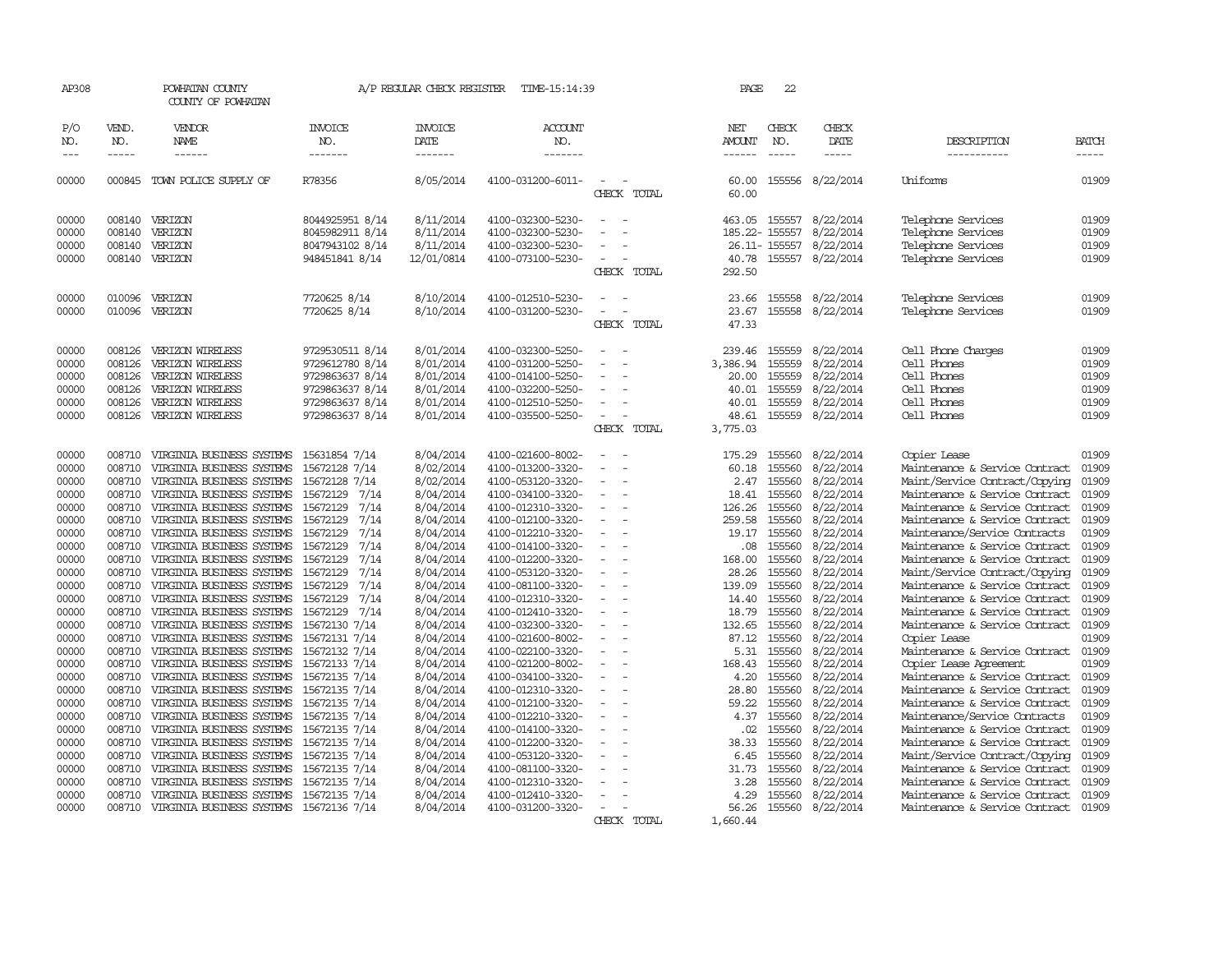| AP308                                                                                                                                                                                                                                                                                                                                                                                                      |                                                                              | POWHATAN COUNTY<br>COUNTY OF POWHATAN                                                                                                                                                                                                |                                                                                                                                                  | A/P REGULAR CHECK REGISTER                                                                           | TIME-15:14:39                                                                                                                                                        |                                                        | PAGE                                                                 | 22                                                                           |                                                                                                      |                                                                                                                                                                                                                                                           |                                                                      |
|------------------------------------------------------------------------------------------------------------------------------------------------------------------------------------------------------------------------------------------------------------------------------------------------------------------------------------------------------------------------------------------------------------|------------------------------------------------------------------------------|--------------------------------------------------------------------------------------------------------------------------------------------------------------------------------------------------------------------------------------|--------------------------------------------------------------------------------------------------------------------------------------------------|------------------------------------------------------------------------------------------------------|----------------------------------------------------------------------------------------------------------------------------------------------------------------------|--------------------------------------------------------|----------------------------------------------------------------------|------------------------------------------------------------------------------|------------------------------------------------------------------------------------------------------|-----------------------------------------------------------------------------------------------------------------------------------------------------------------------------------------------------------------------------------------------------------|----------------------------------------------------------------------|
| P/O<br>NO.<br>$\frac{1}{2} \frac{1}{2} \frac{1}{2} \frac{1}{2} \frac{1}{2} \frac{1}{2} \frac{1}{2} \frac{1}{2} \frac{1}{2} \frac{1}{2} \frac{1}{2} \frac{1}{2} \frac{1}{2} \frac{1}{2} \frac{1}{2} \frac{1}{2} \frac{1}{2} \frac{1}{2} \frac{1}{2} \frac{1}{2} \frac{1}{2} \frac{1}{2} \frac{1}{2} \frac{1}{2} \frac{1}{2} \frac{1}{2} \frac{1}{2} \frac{1}{2} \frac{1}{2} \frac{1}{2} \frac{1}{2} \frac{$ | VEND.<br>NO.<br>$- - - - -$                                                  | VENDOR<br>NAME<br>------                                                                                                                                                                                                             | <b>INVOICE</b><br>NO.<br>-------                                                                                                                 | <b>INVOICE</b><br>DATE<br>-------                                                                    | ACCOUNT<br>NO.<br>-------                                                                                                                                            |                                                        | NET<br>AMOUNT<br>------                                              | CHECK<br>NO.<br>$\frac{1}{2}$                                                | CHECK<br>DATE<br>-----                                                                               | DESCRIPTION<br>-----------                                                                                                                                                                                                                                | <b>BATCH</b><br>-----                                                |
| 00000                                                                                                                                                                                                                                                                                                                                                                                                      | 000845                                                                       | TOWN POLICE SUPPLY OF                                                                                                                                                                                                                | R78356                                                                                                                                           | 8/05/2014                                                                                            | 4100-031200-6011-                                                                                                                                                    | CHECK TOTAL                                            | 60.00<br>60.00                                                       |                                                                              | 155556 8/22/2014                                                                                     | Uniforms                                                                                                                                                                                                                                                  | 01909                                                                |
| 00000<br>00000<br>00000<br>00000                                                                                                                                                                                                                                                                                                                                                                           | 008140<br>008140                                                             | 008140 VERIZON<br>VERIZON<br>VERIZON<br>008140 VERIZON                                                                                                                                                                               | 8044925951 8/14<br>8045982911 8/14<br>8047943102 8/14<br>948451841 8/14                                                                          | 8/11/2014<br>8/11/2014<br>8/11/2014<br>12/01/0814                                                    | 4100-032300-5230-<br>4100-032300-5230-<br>4100-032300-5230-<br>4100-073100-5230-                                                                                     | $\equiv$<br>$\sim$<br>CHECK TOTAL                      | 463.05<br>185.22- 155557<br>40.78<br>292.50                          | 155557                                                                       | 8/22/2014<br>8/22/2014<br>26.11-155557 8/22/2014<br>155557 8/22/2014                                 | Telephone Services<br>Telephone Services<br>Telephone Services<br>Telephone Services                                                                                                                                                                      | 01909<br>01909<br>01909<br>01909                                     |
| 00000<br>00000                                                                                                                                                                                                                                                                                                                                                                                             | 010096<br>010096                                                             | VERIZON<br>VERIZON                                                                                                                                                                                                                   | 7720625 8/14<br>7720625 8/14                                                                                                                     | 8/10/2014<br>8/10/2014                                                                               | 4100-012510-5230-<br>4100-031200-5230-                                                                                                                               | $\equiv$<br>$\sim$<br>CHECK TOTAL                      | 23.66<br>23.67<br>47.33                                              | 155558<br>155558                                                             | 8/22/2014<br>8/22/2014                                                                               | Telephone Services<br>Telephone Services                                                                                                                                                                                                                  | 01909<br>01909                                                       |
| 00000<br>00000<br>00000<br>00000<br>00000<br>00000                                                                                                                                                                                                                                                                                                                                                         | 008126<br>008126<br>008126<br>008126<br>008126<br>008126                     | VERIZON WIRELESS<br>VERIZON WIRELESS<br>VERIZON WIRELESS<br>VERIZON WIRELESS<br>VERIZON WIRELESS<br>VERIZON WIRELESS                                                                                                                 | 9729530511 8/14<br>9729612780 8/14<br>9729863637 8/14<br>9729863637 8/14<br>9729863637 8/14<br>9729863637 8/14                                   | 8/01/2014<br>8/01/2014<br>8/01/2014<br>8/01/2014<br>8/01/2014<br>8/01/2014                           | 4100-032300-5250-<br>4100-031200-5250-<br>4100-014100-5250-<br>4100-032200-5250-<br>4100-012510-5250-<br>4100-035500-5250-                                           | CHECK TOTAL                                            | 239.46<br>3,386.94<br>20.00<br>40.01<br>40.01<br>48.61<br>3,775.03   | 155559<br>155559<br>155559<br>155559<br>155559                               | 8/22/2014<br>8/22/2014<br>8/22/2014<br>8/22/2014<br>8/22/2014<br>155559 8/22/2014                    | Cell Phone Charges<br>Cell Phones<br>Cell Phones<br>Cell Phones<br>Cell Phones<br>Cell Phones                                                                                                                                                             | 01909<br>01909<br>01909<br>01909<br>01909<br>01909                   |
| 00000<br>00000<br>00000<br>00000<br>00000<br>00000<br>00000<br>00000                                                                                                                                                                                                                                                                                                                                       | 008710<br>008710<br>008710<br>008710<br>008710<br>008710<br>008710<br>008710 | VIRGINIA BUSINESS SYSTEMS<br>VIRGINIA BUSINESS SYSTEMS<br>VIRGINIA BUSINESS SYSTEMS<br>VIRGINIA BUSINESS SYSTEMS<br>VIRGINIA BUSINESS SYSTEMS<br>VIRGINIA BUSINESS SYSTEMS<br>VIRGINIA BUSINESS SYSTEMS<br>VIRGINIA BUSINESS SYSTEMS | 15631854 7/14<br>15672128 7/14<br>15672128 7/14<br>15672129 7/14<br>7/14<br>15672129<br>15672129<br>7/14<br>7/14<br>15672129<br>7/14<br>15672129 | 8/04/2014<br>8/02/2014<br>8/02/2014<br>8/04/2014<br>8/04/2014<br>8/04/2014<br>8/04/2014<br>8/04/2014 | 4100-021600-8002-<br>4100-013200-3320-<br>4100-053120-3320-<br>4100-034100-3320-<br>4100-012310-3320-<br>4100-012100-3320-<br>4100-012210-3320-<br>4100-014100-3320- | $\sim$<br>$\equiv$<br>$\equiv$<br>$\equiv$             | 175.29<br>60.18<br>2.47<br>18.41<br>126.26<br>259.58<br>19.17<br>.08 | 155560<br>155560<br>155560<br>155560<br>155560<br>155560<br>155560<br>155560 | 8/22/2014<br>8/22/2014<br>8/22/2014<br>8/22/2014<br>8/22/2014<br>8/22/2014<br>8/22/2014<br>8/22/2014 | Copier Lease<br>Maintenance & Service Contract<br>Maint/Service Contract/Copying<br>Maintenance & Service Contract<br>Maintenance & Service Contract<br>Maintenance & Service Contract<br>Maintenance/Service Contracts<br>Maintenance & Service Contract | 01909<br>01909<br>01909<br>01909<br>01909<br>01909<br>01909<br>01909 |
| 00000<br>00000<br>00000<br>00000<br>00000<br>00000<br>00000                                                                                                                                                                                                                                                                                                                                                | 008710<br>008710<br>008710<br>008710<br>008710<br>008710<br>008710           | VIRGINIA BUSINESS SYSTEMS<br>VIRGINIA BUSINESS SYSTEMS<br>VIRGINIA BUSINESS SYSTEMS<br>VIRGINIA BUSINESS SYSTEMS<br>VIRGINIA BUSINESS SYSTEMS<br>VIRGINIA BUSINESS SYSTEMS<br>VIRGINIA BUSINESS SYSTEMS 15672131 7/14                | 7/14<br>15672129<br>7/14<br>15672129<br>15672129<br>7/14<br>7/14<br>15672129<br>7/14<br>15672129<br>15672130 7/14                                | 8/04/2014<br>8/04/2014<br>8/04/2014<br>8/04/2014<br>8/04/2014<br>8/04/2014<br>8/04/2014              | 4100-012200-3320-<br>4100-053120-3320-<br>4100-081100-3320-<br>4100-012310-3320-<br>4100-012410-3320-<br>4100-032300-3320-<br>4100-021600-8002-                      | $\equiv$<br>$\sim$<br>$\equiv$<br>$\equiv$<br>$\equiv$ | 168.00<br>28.26<br>139.09<br>14.40<br>18.79<br>132.65<br>87.12       | 155560<br>155560<br>155560<br>155560<br>155560<br>155560<br>155560           | 8/22/2014<br>8/22/2014<br>8/22/2014<br>8/22/2014<br>8/22/2014<br>8/22/2014<br>8/22/2014              | Maintenance & Service Contract<br>Maint/Service Contract/Copying<br>Maintenance & Service Contract<br>Maintenance & Service Contract<br>Maintenance & Service Contract<br>Maintenance & Service Contract<br>Copier Lease                                  | 01909<br>01909<br>01909<br>01909<br>01909<br>01909<br>01909          |
| 00000<br>00000<br>00000<br>00000<br>00000<br>00000<br>00000                                                                                                                                                                                                                                                                                                                                                | 008710<br>008710<br>008710<br>008710<br>008710<br>008710<br>008710           | VIRGINIA BUSINESS SYSTEMS<br>VIRGINIA BUSINESS SYSTEMS<br>VIRGINIA BUSINESS SYSTEMS<br>VIRGINIA BUSINESS SYSTEMS<br>VIRGINIA BUSINESS SYSTEMS<br>VIRGINIA BUSINESS SYSTEMS<br>VIRGINIA BUSINESS SYSTEMS                              | 15672132 7/14<br>15672133 7/14<br>15672135 7/14<br>15672135 7/14<br>15672135 7/14<br>15672135 7/14<br>15672135 7/14                              | 8/04/2014<br>8/04/2014<br>8/04/2014<br>8/04/2014<br>8/04/2014<br>8/04/2014<br>8/04/2014              | 4100-022100-3320-<br>4100-021200-8002-<br>4100-034100-3320-<br>4100-012310-3320-<br>4100-012100-3320-<br>4100-012210-3320-<br>4100-014100-3320-                      | $\equiv$<br>$\sim$<br>$\sim$                           | 5.31<br>168.43<br>4.20<br>28.80<br>59.22<br>4.37<br>.02              | 155560<br>155560<br>155560<br>155560<br>155560<br>155560<br>155560           | 8/22/2014<br>8/22/2014<br>8/22/2014<br>8/22/2014<br>8/22/2014<br>8/22/2014<br>8/22/2014              | Maintenance & Service Contract<br>Copier Lease Agreement<br>Maintenance & Service Contract<br>Maintenance & Service Contract<br>Maintenance & Service Contract<br>Maintenance/Service Contracts<br>Maintenance & Service Contract                         | 01909<br>01909<br>01909<br>01909<br>01909<br>01909<br>01909          |
| 00000<br>00000<br>00000<br>00000<br>00000<br>00000                                                                                                                                                                                                                                                                                                                                                         | 008710<br>008710<br>008710<br>008710<br>008710                               | VIRGINIA BUSINESS SYSTEMS<br>VIRGINIA BUSINESS SYSTEMS<br>VIRGINIA BUSINESS SYSTEMS<br>VIRGINIA BUSINESS SYSTEMS<br>VIRGINIA BUSINESS SYSTEMS<br>008710 VIRGINIA BUSINESS SYSTEMS 15672136 7/14                                      | 15672135 7/14<br>15672135 7/14<br>15672135 7/14<br>15672135 7/14<br>15672135 7/14                                                                | 8/04/2014<br>8/04/2014<br>8/04/2014<br>8/04/2014<br>8/04/2014<br>8/04/2014                           | 4100-012200-3320-<br>4100-053120-3320-<br>4100-081100-3320-<br>4100-012310-3320-<br>4100-012410-3320-<br>4100-031200-3320-                                           | $\sim$<br>$\equiv$<br>CHECK TOTAL                      | 38.33<br>6.45<br>31.73<br>3.28<br>4.29<br>56.26<br>1,660.44          | 155560<br>155560<br>155560<br>155560<br>155560                               | 8/22/2014<br>8/22/2014<br>8/22/2014<br>8/22/2014<br>8/22/2014<br>155560 8/22/2014                    | Maintenance & Service Contract<br>Maint/Service Contract/Copying<br>Maintenance & Service Contract<br>Maintenance & Service Contract<br>Maintenance & Service Contract<br>Maintenance & Service Contract                                                  | 01909<br>01909<br>01909<br>01909<br>01909<br>01909                   |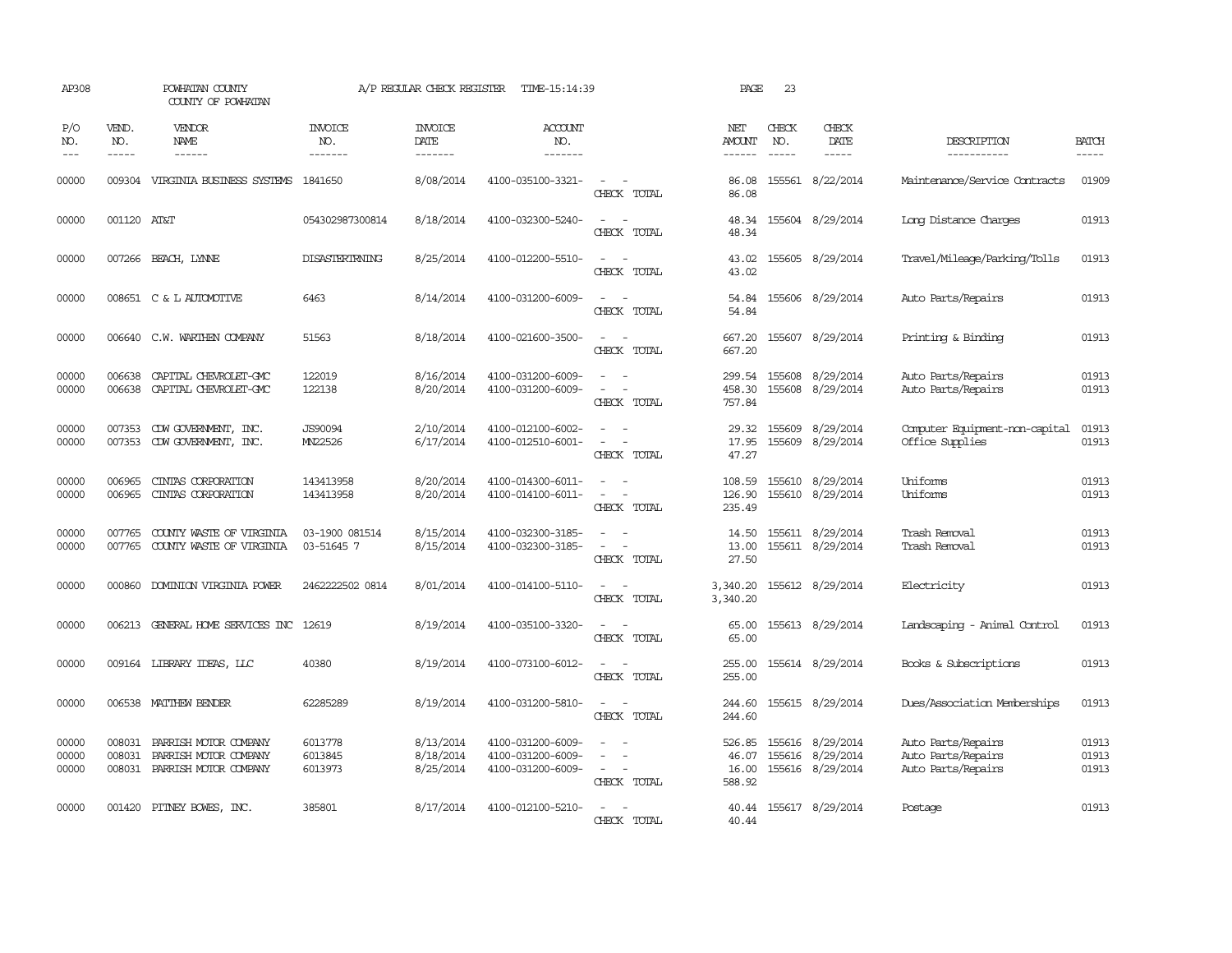| AP308                   |                             | POWHATAN COUNTY<br>COUNTY OF POWHATAN                                          |                                  | A/P REGULAR CHECK REGISTER          | TIME-15:14:39                                               |                                                                                                                    | PAGE                               | 23                            |                                                          |                                                                |                         |
|-------------------------|-----------------------------|--------------------------------------------------------------------------------|----------------------------------|-------------------------------------|-------------------------------------------------------------|--------------------------------------------------------------------------------------------------------------------|------------------------------------|-------------------------------|----------------------------------------------------------|----------------------------------------------------------------|-------------------------|
| P/O<br>NO.<br>$---$     | VEND.<br>NO.<br>$- - - - -$ | VENDOR<br><b>NAME</b><br>$- - - - - -$                                         | <b>INVOICE</b><br>NO.<br>------- | <b>INVOICE</b><br>DATE<br>-------   | <b>ACCOUNT</b><br>NO.<br>$- - - - - - -$                    |                                                                                                                    | NET<br>AMOUNT<br>------            | CHECK<br>NO.<br>$\frac{1}{2}$ | CHECK<br>DATE                                            | DESCRIPTION<br>-----------                                     | <b>BATCH</b><br>-----   |
| 00000                   | 009304                      | VIRGINIA BUSINESS SYSTEMS                                                      | 1841650                          | 8/08/2014                           | 4100-035100-3321-                                           | CHECK TOTAL                                                                                                        | 86.08<br>86.08                     |                               | 155561 8/22/2014                                         | Maintenance/Service Contracts                                  | 01909                   |
| 00000                   | 001120 AT&T                 |                                                                                | 054302987300814                  | 8/18/2014                           | 4100-032300-5240-                                           | CHECK TOTAL                                                                                                        | 48.34<br>48.34                     |                               | 155604 8/29/2014                                         | Long Distance Charges                                          | 01913                   |
| 00000                   |                             | 007266 BEACH, LYNNE                                                            | <b>DISASTERIRNING</b>            | 8/25/2014                           | 4100-012200-5510-                                           | CHECK TOTAL                                                                                                        | 43.02<br>43.02                     |                               | 155605 8/29/2014                                         | Travel/Mileage/Parking/Tolls                                   | 01913                   |
| 00000                   |                             | 008651 C & L AUTOMOTIVE                                                        | 6463                             | 8/14/2014                           | 4100-031200-6009-                                           | $\sim$<br>CHECK TOTAL                                                                                              | 54.84<br>54.84                     |                               | 155606 8/29/2014                                         | Auto Parts/Repairs                                             | 01913                   |
| 00000                   |                             | 006640 C.W. WARTHEN COMPANY                                                    | 51563                            | 8/18/2014                           | 4100-021600-3500-                                           | $\sim$<br>CHECK TOTAL                                                                                              | 667.20<br>667.20                   |                               | 155607 8/29/2014                                         | Printing & Binding                                             | 01913                   |
| 00000<br>00000          | 006638<br>006638            | CAPITAL CHEVROLET-GMC<br>CAPITAL CHEVROLET-GMC                                 | 122019<br>122138                 | 8/16/2014<br>8/20/2014              | 4100-031200-6009-<br>4100-031200-6009-                      | $\sim$<br>$\sim$<br>$\overline{\phantom{a}}$<br>CHECK TOTAL                                                        | 299.54<br>458.30<br>757.84         |                               | 155608 8/29/2014<br>155608 8/29/2014                     | Auto Parts/Repairs<br>Auto Parts/Repairs                       | 01913<br>01913          |
| 00000<br>00000          | 007353                      | CDW GOVERNMENT, INC.<br>007353 CDW GOVERNMENT, INC.                            | <b>JS90094</b><br>MN22526        | 2/10/2014<br>6/17/2014              | 4100-012100-6002-<br>4100-012510-6001-                      | CHECK TOTAL                                                                                                        | 29.32<br>17.95<br>47.27            |                               | 155609 8/29/2014<br>155609 8/29/2014                     | Computer Equipment-non-capital<br>Office Supplies              | 01913<br>01913          |
| 00000<br>00000          | 006965<br>006965            | CINIAS CORPORATION<br>CINIAS CORPORATION                                       | 143413958<br>143413958           | 8/20/2014<br>8/20/2014              | 4100-014300-6011-<br>4100-014100-6011-                      | $\sim$<br>$\overline{\phantom{a}}$<br>CHECK TOTAL                                                                  | 108.59<br>126.90<br>235.49         |                               | 155610 8/29/2014<br>155610 8/29/2014                     | Uniforms<br>Uniforms                                           | 01913<br>01913          |
| 00000<br>00000          | 007765<br>007765            | COUNTY WASTE OF VIRGINIA<br>COUNTY WASTE OF VIRGINIA                           | 03-1900 081514<br>03-51645 7     | 8/15/2014<br>8/15/2014              | 4100-032300-3185-<br>4100-032300-3185-                      | $\omega_{\rm{max}}$ and $\omega_{\rm{max}}$<br>$\overline{\phantom{a}}$<br>$\overline{\phantom{a}}$<br>CHECK TOTAL | 14.50<br>13.00<br>27.50            |                               | 155611 8/29/2014<br>155611 8/29/2014                     | Trash Removal<br>Trash Removal                                 | 01913<br>01913          |
| 00000                   | 000860                      | DOMINION VIRGINIA POWER                                                        | 2462222502 0814                  | 8/01/2014                           | 4100-014100-5110-                                           | $\sim$ $ \sim$<br>CHECK TOTAL                                                                                      | 3,340.20<br>3,340.20               |                               | 155612 8/29/2014                                         | Electricity                                                    | 01913                   |
| 00000                   |                             | 006213 GENERAL HOME SERVICES INC 12619                                         |                                  | 8/19/2014                           | 4100-035100-3320-                                           | $\sim$<br>CHECK TOTAL                                                                                              | 65.00<br>65.00                     |                               | 155613 8/29/2014                                         | Landscaping - Animal Control                                   | 01913                   |
| 00000                   |                             | 009164 LIBRARY IDEAS, LLC                                                      | 40380                            | 8/19/2014                           | 4100-073100-6012-                                           | $\sim$<br>CHECK TOTAL                                                                                              | 255.00<br>255.00                   |                               | 155614 8/29/2014                                         | Books & Subscriptions                                          | 01913                   |
| 00000                   |                             | 006538 MATTHEW BENDER                                                          | 62285289                         | 8/19/2014                           | 4100-031200-5810-                                           | $\overline{\phantom{a}}$<br>$\sim$<br>CHECK TOTAL                                                                  | 244.60<br>244.60                   |                               | 155615 8/29/2014                                         | Dues/Association Memberships                                   | 01913                   |
| 00000<br>00000<br>00000 | 008031<br>008031            | PARRISH MOTOR COMPANY<br>PARRISH MOTOR COMPANY<br>008031 PARRISH MOTOR COMPANY | 6013778<br>6013845<br>6013973    | 8/13/2014<br>8/18/2014<br>8/25/2014 | 4100-031200-6009-<br>4100-031200-6009-<br>4100-031200-6009- | $\overline{\phantom{a}}$<br>$\overline{\phantom{a}}$<br>$\sim$ $  -$<br>CHECK TOTAL                                | 526.85<br>46.07<br>16.00<br>588.92 |                               | 155616 8/29/2014<br>155616 8/29/2014<br>155616 8/29/2014 | Auto Parts/Repairs<br>Auto Parts/Repairs<br>Auto Parts/Repairs | 01913<br>01913<br>01913 |
| 00000                   |                             | 001420 PITNEY BOWES, INC.                                                      | 385801                           | 8/17/2014                           | 4100-012100-5210-                                           | CHECK TOTAL                                                                                                        | 40.44                              |                               | 40.44 155617 8/29/2014                                   | Postage                                                        | 01913                   |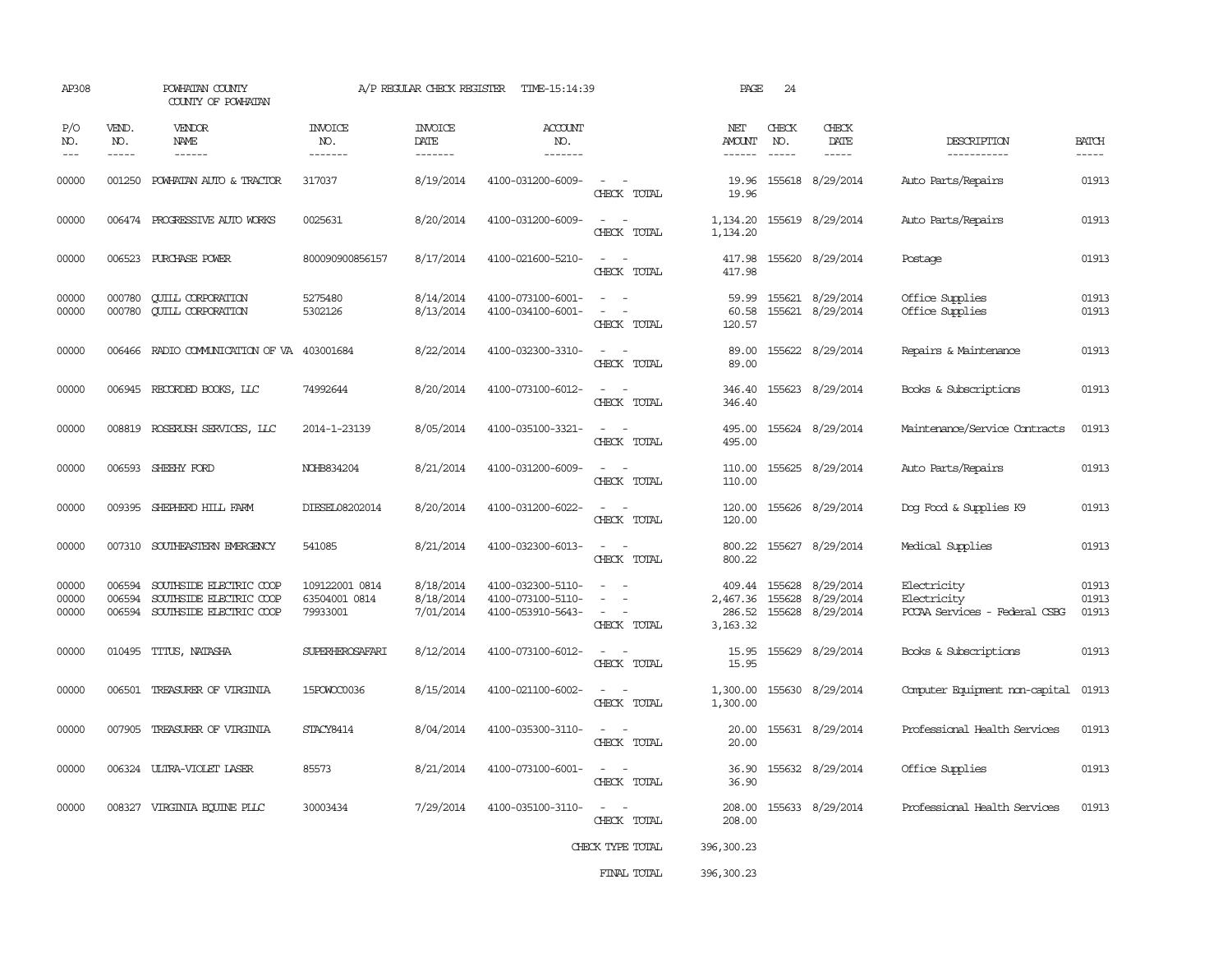| AP308                       |                             | POWHATAN COUNTY<br>COUNTY OF POWHATAN                                                |                                             | A/P REGULAR CHECK REGISTER          | TIME-15:14:39                                               |                                                               | PAGE                                       | 24                    |                                            |                                                             |                         |
|-----------------------------|-----------------------------|--------------------------------------------------------------------------------------|---------------------------------------------|-------------------------------------|-------------------------------------------------------------|---------------------------------------------------------------|--------------------------------------------|-----------------------|--------------------------------------------|-------------------------------------------------------------|-------------------------|
| P/O<br>NO.<br>$\frac{1}{2}$ | VEND.<br>NO.<br>$- - - - -$ | <b>VENDOR</b><br>NAME<br>$- - - - - -$                                               | <b>INVOICE</b><br>NO.<br>-------            | <b>INVOICE</b><br>DATE<br>-------   | <b>ACCOUNT</b><br>NO.<br>-------                            |                                                               | NET<br>AMOUNT<br>------                    | CHECK<br>NO.<br>----- | CHECK<br>DATE<br>$- - - - -$               | DESCRIPTION<br>-----------                                  | <b>BATCH</b><br>-----   |
| 00000                       | 001250                      | POWHATAN AUTO & TRACTOR                                                              | 317037                                      | 8/19/2014                           | 4100-031200-6009-                                           | $\sim$<br>CHECK TOTAL                                         | 19.96<br>19.96                             |                       | 155618 8/29/2014                           | Auto Parts/Repairs                                          | 01913                   |
| 00000                       | 006474                      | PROGRESSIVE AUTO WORKS                                                               | 0025631                                     | 8/20/2014                           | 4100-031200-6009-                                           | $\sim$<br>CHECK TOTAL                                         | 1,134.20<br>1,134.20                       |                       | 155619 8/29/2014                           | Auto Parts/Repairs                                          | 01913                   |
| 00000                       |                             | 006523 PURCHASE POWER                                                                | 800090900856157                             | 8/17/2014                           | 4100-021600-5210-                                           | $\equiv$<br>CHECK TOTAL                                       | 417.98<br>417.98                           |                       | 155620 8/29/2014                           | Postage                                                     | 01913                   |
| 00000<br>00000              | 000780<br>000780            | <b>CUILL CORPORATION</b><br><b>QUILL CORPORATION</b>                                 | 5275480<br>5302126                          | 8/14/2014<br>8/13/2014              | 4100-073100-6001-<br>4100-034100-6001-                      | $\sim$<br>$\omega$<br>$\overline{\phantom{a}}$<br>CHECK TOTAL | 59.99<br>60.58<br>120.57                   |                       | 155621 8/29/2014<br>155621 8/29/2014       | Office Supplies<br>Office Supplies                          | 01913<br>01913          |
| 00000                       |                             | 006466 RADIO COMUNICATION OF VA                                                      | 403001684                                   | 8/22/2014                           | 4100-032300-3310-                                           | $\sim$<br>CHECK TOTAL                                         | 89.00<br>89.00                             |                       | 155622 8/29/2014                           | Repairs & Maintenance                                       | 01913                   |
| 00000                       |                             | 006945 RECORDED BOOKS, LLC                                                           | 74992644                                    | 8/20/2014                           | 4100-073100-6012-                                           | CHECK TOTAL                                                   | 346.40<br>346.40                           |                       | 155623 8/29/2014                           | Books & Subscriptions                                       | 01913                   |
| 00000                       |                             | 008819 ROSERUSH SERVICES, LLC                                                        | 2014-1-23139                                | 8/05/2014                           | 4100-035100-3321-                                           | $\sim$<br>CHECK TOTAL                                         | 495.00<br>495.00                           |                       | 155624 8/29/2014                           | Maintenance/Service Contracts                               | 01913                   |
| 00000                       |                             | 006593 SHEEHY FORD                                                                   | NOHB834204                                  | 8/21/2014                           | 4100-031200-6009-                                           | CHECK TOTAL                                                   | 110.00<br>110.00                           |                       | 155625 8/29/2014                           | Auto Parts/Repairs                                          | 01913                   |
| 00000                       | 009395                      | SHEPHERD HILL FARM                                                                   | DIESEL08202014                              | 8/20/2014                           | 4100-031200-6022-                                           | CHECK TOTAL                                                   | 120.00<br>120.00                           |                       | 155626 8/29/2014                           | Dog Food & Supplies K9                                      | 01913                   |
| 00000                       |                             | 007310 SOUTHEASTERN EMERGENCY                                                        | 541085                                      | 8/21/2014                           | 4100-032300-6013-                                           | $\equiv$<br>$\sim$<br>CHECK TOTAL                             | 800.22<br>800.22                           |                       | 155627 8/29/2014                           | Medical Supplies                                            | 01913                   |
| 00000<br>00000<br>00000     | 006594<br>006594            | SOUTHSIDE ELECTRIC COOP<br>SOUTHSIDE ELECTRIC COOP<br>006594 SOUTHSIDE ELECTRIC COOP | 109122001 0814<br>63504001 0814<br>79933001 | 8/18/2014<br>8/18/2014<br>7/01/2014 | 4100-032300-5110-<br>4100-073100-5110-<br>4100-053910-5643- | CHECK TOTAL                                                   | 409.44<br>2,467.36<br>286.52<br>3, 163. 32 | 155628<br>155628      | 8/29/2014<br>8/29/2014<br>155628 8/29/2014 | Electricity<br>Electricity<br>PCCAA Services - Federal CSBG | 01913<br>01913<br>01913 |
| 00000                       |                             | 010495 TITUS, NATASHA                                                                | SUPERHEROSAFARI                             | 8/12/2014                           | 4100-073100-6012-                                           | $\sim$<br>$\sim$<br>CHECK TOTAL                               | 15.95<br>15.95                             |                       | 155629 8/29/2014                           | Books & Subscriptions                                       | 01913                   |
| 00000                       | 006501                      | TREASURER OF VIRGINIA                                                                | 15POWOC0036                                 | 8/15/2014                           | 4100-021100-6002-                                           | CHECK TOTAL                                                   | 1,300.00<br>1,300.00                       |                       | 155630 8/29/2014                           | Computer Equipment non-capital                              | 01913                   |
| 00000                       |                             | 007905 TREASURER OF VIRGINIA                                                         | STACY8414                                   | 8/04/2014                           | 4100-035300-3110-                                           | CHECK TOTAL                                                   | 20.00<br>20.00                             |                       | 155631 8/29/2014                           | Professional Health Services                                | 01913                   |
| 00000                       |                             | 006324 ULTRA-VIOLET LASER                                                            | 85573                                       | 8/21/2014                           | 4100-073100-6001-                                           | CHECK TOTAL                                                   | 36.90<br>36.90                             |                       | 155632 8/29/2014                           | Office Supplies                                             | 01913                   |
| 00000                       |                             | 008327 VIRGINIA EQUINE PLLC                                                          | 30003434                                    | 7/29/2014                           | 4100-035100-3110-                                           | CHECK TOTAL                                                   | 208.00<br>208.00                           |                       | 155633 8/29/2014                           | Professional Health Services                                | 01913                   |
|                             |                             |                                                                                      |                                             |                                     |                                                             | CHECK TYPE TOTAL                                              | 396,300.23                                 |                       |                                            |                                                             |                         |
|                             |                             |                                                                                      |                                             |                                     |                                                             | FINAL TOTAL                                                   | 396,300.23                                 |                       |                                            |                                                             |                         |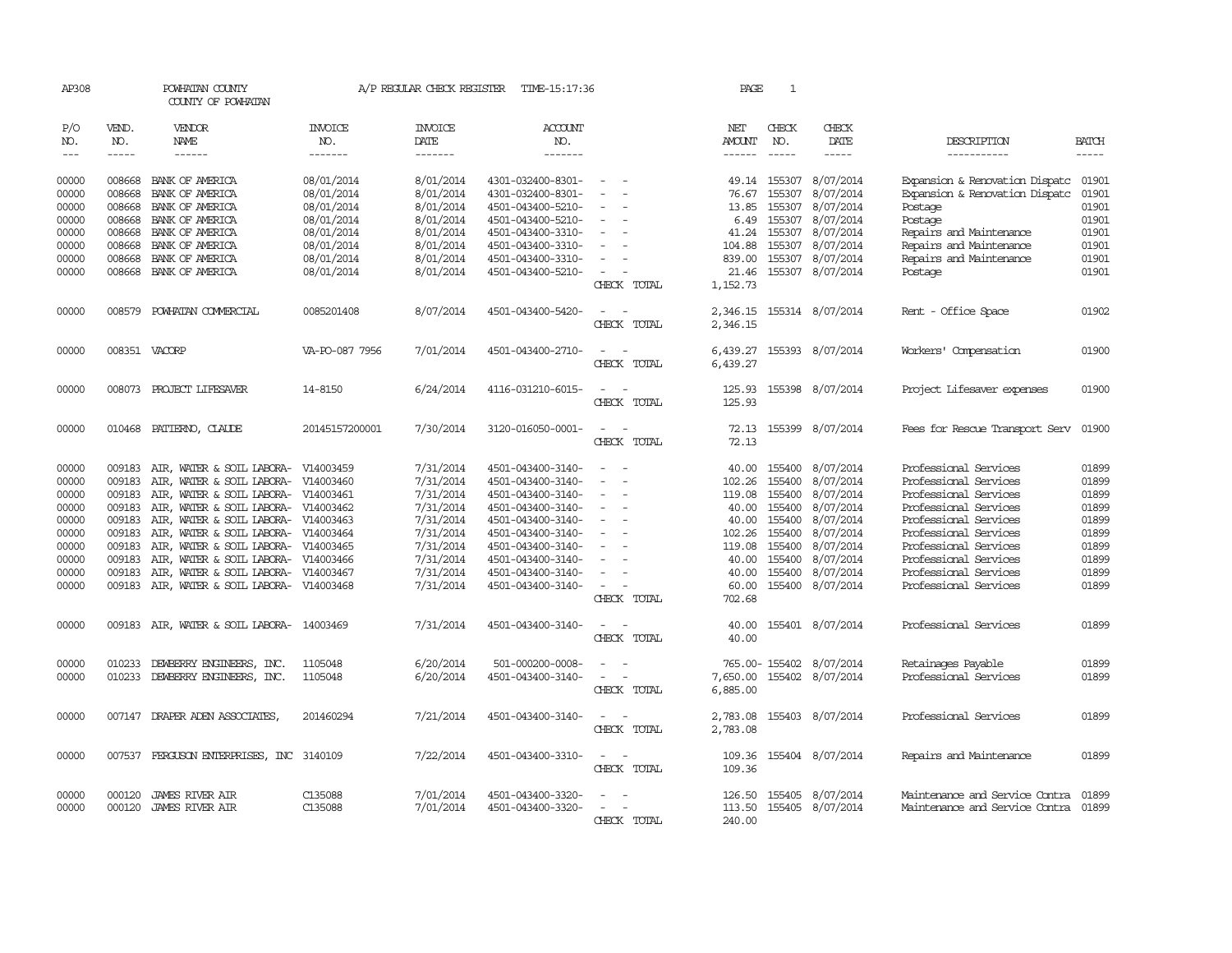| AP308              |                             | POWHATAN COUNTY<br>COUNTY OF POWHATAN                            |                                  | A/P REGULAR CHECK REGISTER        | TIME-15:17:36                          |                                         | PAGE                       | 1                             |                                      |                                                                  |                             |
|--------------------|-----------------------------|------------------------------------------------------------------|----------------------------------|-----------------------------------|----------------------------------------|-----------------------------------------|----------------------------|-------------------------------|--------------------------------------|------------------------------------------------------------------|-----------------------------|
| P/O<br>NO.<br>$--$ | VEND.<br>NO.<br>$- - - - -$ | <b>VENDOR</b><br>NAME<br>------                                  | <b>INVOICE</b><br>NO.<br>------- | <b>INVOICE</b><br>DATE<br>------- | <b>ACCOUNT</b><br>NO.<br>-------       |                                         | NET<br>AMOUNT<br>------    | CHECK<br>NO.<br>$\frac{1}{2}$ | CHECK<br>DATE<br>-----               | DESCRIPTION<br>-----------                                       | <b>BATCH</b><br>$- - - - -$ |
| 00000<br>00000     | 008668<br>008668            | BANK OF AMERICA<br>BANK OF AMERICA                               | 08/01/2014<br>08/01/2014         | 8/01/2014<br>8/01/2014            | 4301-032400-8301-<br>4301-032400-8301- | $\overline{\phantom{a}}$                | 76.67                      | 49.14 155307<br>155307        | 8/07/2014<br>8/07/2014               | Expansion & Renovation Dispatc<br>Expansion & Renovation Dispatc | 01901<br>01901              |
| 00000              | 008668                      | BANK OF AMERICA                                                  | 08/01/2014                       | 8/01/2014                         | 4501-043400-5210-                      |                                         | 13.85                      | 155307                        | 8/07/2014                            | Postage                                                          | 01901                       |
| 00000              | 008668                      | BANK OF AMERICA                                                  | 08/01/2014                       | 8/01/2014                         | 4501-043400-5210-                      |                                         | 6.49                       | 155307                        | 8/07/2014                            | Postage                                                          | 01901<br>01901              |
| 00000<br>00000     | 008668<br>008668            | BANK OF AMERICA<br>BANK OF AMERICA                               | 08/01/2014<br>08/01/2014         | 8/01/2014<br>8/01/2014            | 4501-043400-3310-<br>4501-043400-3310- |                                         | 41.24<br>104.88            | 155307<br>155307              | 8/07/2014<br>8/07/2014               | Repairs and Maintenance<br>Repairs and Maintenance               | 01901                       |
| 00000              | 008668                      | BANK OF AMERICA                                                  | 08/01/2014                       | 8/01/2014                         | 4501-043400-3310-                      | $\sim$                                  | 839.00                     | 155307                        | 8/07/2014                            | Repairs and Maintenance                                          | 01901                       |
| 00000              | 008668                      | BANK OF AMERICA                                                  | 08/01/2014                       | 8/01/2014                         | 4501-043400-5210-                      |                                         | 21.46                      | 155307                        | 8/07/2014                            | Postage                                                          | 01901                       |
|                    |                             |                                                                  |                                  |                                   |                                        | CHECK TOTAL                             | 1,152.73                   |                               |                                      |                                                                  |                             |
| 00000              | 008579                      | POWHATAN COMMERCIAL                                              | 0085201408                       | 8/07/2014                         | 4501-043400-5420-                      | CHECK TOTAL                             | 2,346.15<br>2,346.15       |                               | 155314 8/07/2014                     | Rent - Office Space                                              | 01902                       |
| 00000              | 008351 VACORP               |                                                                  | VA-PO-087 7956                   | 7/01/2014                         | 4501-043400-2710-                      | CHECK TOTAL                             | 6,439.27<br>6,439.27       |                               | 155393 8/07/2014                     | Workers' Compensation                                            | 01900                       |
| 00000              |                             | 008073 PROJECT LIFESAVER                                         | 14-8150                          | 6/24/2014                         | 4116-031210-6015-                      | CHECK TOTAL                             | 125.93<br>125.93           |                               | 155398 8/07/2014                     | Project Lifesaver expenses                                       | 01900                       |
| 00000              |                             | 010468 PATTERNO, CLAUDE                                          | 20145157200001                   | 7/30/2014                         | 3120-016050-0001-                      | $\overline{\phantom{a}}$<br>CHECK TOTAL | 72.13<br>72.13             |                               | 155399 8/07/2014                     | Fees for Rescue Transport Serv                                   | 01900                       |
| 00000              | 009183                      | AIR, WATER & SOIL LABORA-                                        | V14003459                        | 7/31/2014                         | 4501-043400-3140-                      |                                         | 40.00                      | 155400                        | 8/07/2014                            | Professional Services                                            | 01899                       |
| 00000              | 009183                      | AIR, WATER & SOIL LABORA-                                        | V14003460                        | 7/31/2014                         | 4501-043400-3140-                      | $\equiv$                                | 102.26                     | 155400                        | 8/07/2014                            | Professional Services                                            | 01899                       |
| 00000              | 009183                      | AIR, WATER & SOIL LABORA-                                        | V14003461                        | 7/31/2014                         | 4501-043400-3140-                      |                                         | 119.08                     | 155400                        | 8/07/2014                            | Professional Services                                            | 01899                       |
| 00000<br>00000     | 009183<br>009183            | AIR, WATER & SOIL LABORA-<br>AIR, WATER & SOIL LABORA- V14003463 | V14003462                        | 7/31/2014<br>7/31/2014            | 4501-043400-3140-<br>4501-043400-3140- |                                         | 40.00<br>40.00             | 155400<br>155400              | 8/07/2014<br>8/07/2014               | Professional Services<br>Professional Services                   | 01899<br>01899              |
| 00000              | 009183                      | AIR, WATER & SOIL LABORA- V14003464                              |                                  | 7/31/2014                         | 4501-043400-3140-                      |                                         | 102.26                     | 155400                        | 8/07/2014                            | Professional Services                                            | 01899                       |
| 00000              | 009183                      | AIR, WATER & SOIL LABORA-                                        | V14003465                        | 7/31/2014                         | 4501-043400-3140-                      |                                         | 119.08                     | 155400                        | 8/07/2014                            | Professional Services                                            | 01899                       |
| 00000              | 009183                      | AIR, WATER & SOIL LABORA- V14003466                              |                                  | 7/31/2014                         | 4501-043400-3140-                      |                                         | 40.00                      | 155400                        | 8/07/2014                            | Professional Services                                            | 01899                       |
| 00000              | 009183                      | AIR, WATER & SOIL LABORA-                                        | V14003467                        | 7/31/2014                         | 4501-043400-3140-                      |                                         | 40.00                      | 155400                        | 8/07/2014                            | Professional Services                                            | 01899                       |
| 00000              | 009183                      | AIR, WATER & SOIL LABORA- V14003468                              |                                  | 7/31/2014                         | 4501-043400-3140-                      | CHECK TOTAL                             | 60.00<br>702.68            | 155400                        | 8/07/2014                            | Professional Services                                            | 01899                       |
| 00000              | 009183                      | AIR, WATER & SOIL LABORA- 14003469                               |                                  | 7/31/2014                         | 4501-043400-3140-                      | CHECK TOTAL                             | 40.00<br>40.00             |                               | 155401 8/07/2014                     | Professional Services                                            | 01899                       |
| 00000              | 010233                      | DEWBERRY ENGINEERS, INC.                                         | 1105048                          | 6/20/2014                         | 501-000200-0008-                       |                                         |                            |                               | 765.00-155402 8/07/2014              | Retainages Payable                                               | 01899                       |
| 00000              | 010233                      | DEWBERRY ENGINEERS, INC.                                         | 1105048                          | 6/20/2014                         | 4501-043400-3140-                      | $\overline{\phantom{a}}$                | 7,650.00                   |                               | 155402 8/07/2014                     | Professional Services                                            | 01899                       |
|                    |                             |                                                                  |                                  |                                   |                                        | CHECK TOTAL                             | 6,885.00                   |                               |                                      |                                                                  |                             |
| 00000              |                             | 007147 DRAPER ADEN ASSOCIATES,                                   | 201460294                        | 7/21/2014                         | 4501-043400-3140-                      | CHECK TOTAL                             | 2,783.08<br>2,783.08       |                               | 155403 8/07/2014                     | Professional Services                                            | 01899                       |
| 00000              |                             | 007537 FERGUSON ENTERPRISES, INC 3140109                         |                                  | 7/22/2014                         | 4501-043400-3310-                      | $\sim$<br>- 14<br>CHECK TOTAL           | 109.36<br>109.36           |                               | 155404 8/07/2014                     | Repairs and Maintenance                                          | 01899                       |
| 00000<br>00000     | 000120<br>000120            | <b>JAMES RIVER AIR</b><br>JAMES RIVER AIR                        | C135088<br>C135088               | 7/01/2014<br>7/01/2014            | 4501-043400-3320-<br>4501-043400-3320- | CHECK TOTAL                             | 126.50<br>113.50<br>240.00 |                               | 155405 8/07/2014<br>155405 8/07/2014 | Maintenance and Service Contra<br>Maintenance and Service Contra | 01899<br>01899              |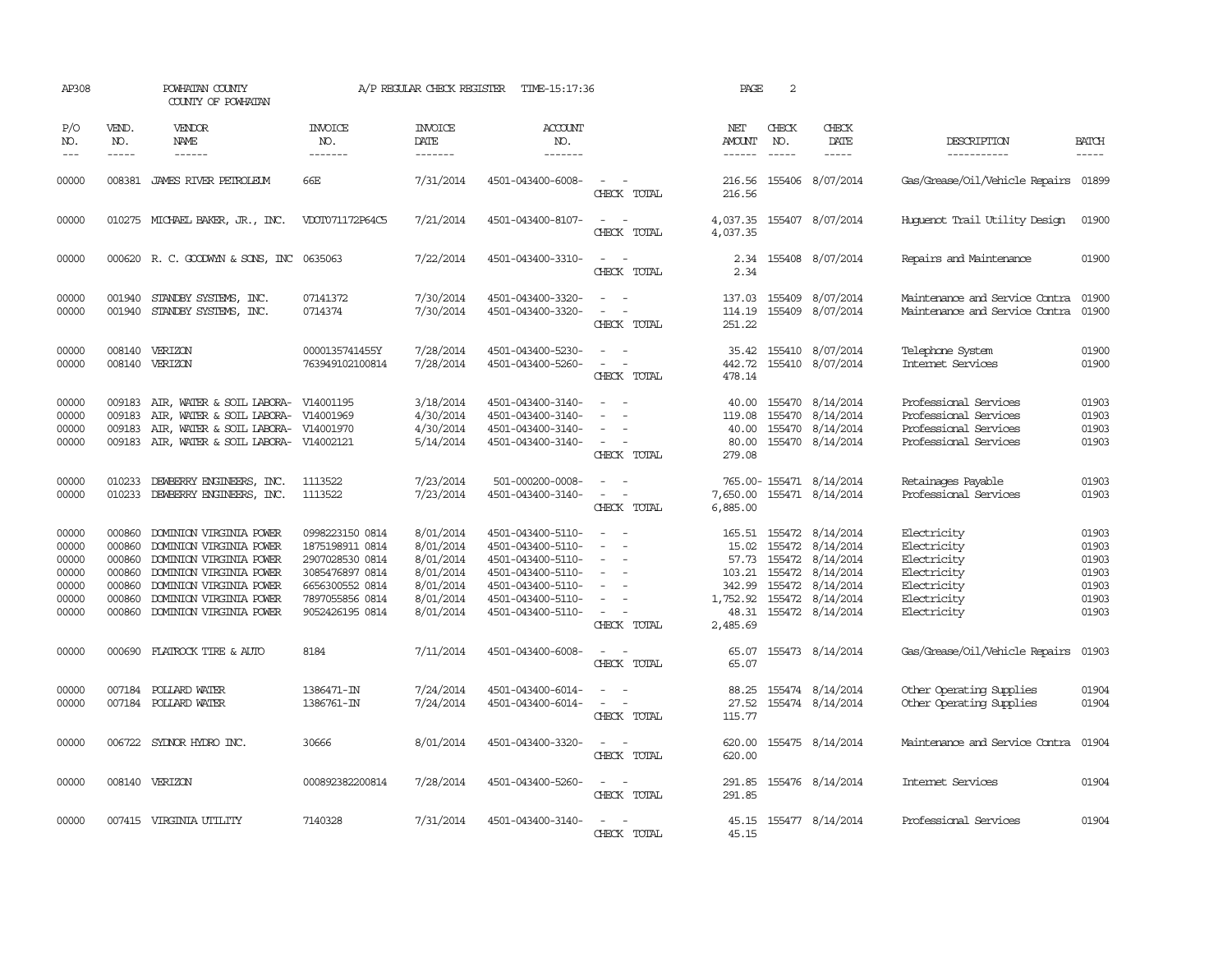| AP308                                                       |                                                                    | POWHATAN COUNTY<br>COUNTY OF POWHATAN                                                                                                                                                     |                                                                                                                                   | A/P REGULAR CHECK REGISTER                                                              | TIME-15:17:36                                                                                                                                   |                                                                                                                                                   | PAGE                                  | 2                             |                                                                                                                                                                                          |                                                                                                       |                                                             |
|-------------------------------------------------------------|--------------------------------------------------------------------|-------------------------------------------------------------------------------------------------------------------------------------------------------------------------------------------|-----------------------------------------------------------------------------------------------------------------------------------|-----------------------------------------------------------------------------------------|-------------------------------------------------------------------------------------------------------------------------------------------------|---------------------------------------------------------------------------------------------------------------------------------------------------|---------------------------------------|-------------------------------|------------------------------------------------------------------------------------------------------------------------------------------------------------------------------------------|-------------------------------------------------------------------------------------------------------|-------------------------------------------------------------|
| P/O<br>NO.<br>$---$                                         | VEND.<br>NO.<br>$- - - - -$                                        | VENDOR<br>NAME<br>$- - - - - -$                                                                                                                                                           | <b>INVOICE</b><br>NO.<br>-------                                                                                                  | <b>INVOICE</b><br>DATE<br>-------                                                       | <b>ACCOUNT</b><br>NO.<br>-------                                                                                                                |                                                                                                                                                   | NET<br><b>AMOUNT</b><br>$- - - - - -$ | CHECK<br>NO.<br>$\frac{1}{2}$ | CHECK<br>DATE<br>-----                                                                                                                                                                   | DESCRIPTION<br>-----------                                                                            | <b>BATCH</b><br>$- - - - -$                                 |
| 00000                                                       |                                                                    | 008381 JAMES RIVER PETROLEUM                                                                                                                                                              | 66E                                                                                                                               | 7/31/2014                                                                               | 4501-043400-6008-                                                                                                                               | $\frac{1}{2} \left( \frac{1}{2} \right) \left( \frac{1}{2} \right) = \frac{1}{2} \left( \frac{1}{2} \right)$<br>CHECK TOTAL                       | 216.56<br>216.56                      |                               | 155406 8/07/2014                                                                                                                                                                         | Gas/Grease/Oil/Vehicle Repairs 01899                                                                  |                                                             |
| 00000                                                       |                                                                    | 010275 MICHAEL BAKER, JR., INC.                                                                                                                                                           | VDOT071172P64C5                                                                                                                   | 7/21/2014                                                                               | 4501-043400-8107-                                                                                                                               | $ -$<br>CHECK TOTAL                                                                                                                               | 4,037.35                              |                               | 4,037.35 155407 8/07/2014                                                                                                                                                                | Huquenot Trail Utility Design                                                                         | 01900                                                       |
| 00000                                                       |                                                                    | 000620 R. C. GOODWYN & SONS, INC 0635063                                                                                                                                                  |                                                                                                                                   | 7/22/2014                                                                               | 4501-043400-3310-                                                                                                                               | $\sim$<br>CHECK TOTAL                                                                                                                             | 2.34                                  |                               | 2.34 155408 8/07/2014                                                                                                                                                                    | Repairs and Maintenance                                                                               | 01900                                                       |
| 00000<br>00000                                              | 001940                                                             | STANDBY SYSTEMS, INC.<br>001940 STANDBY SYSTEMS, INC.                                                                                                                                     | 07141372<br>0714374                                                                                                               | 7/30/2014<br>7/30/2014                                                                  | 4501-043400-3320-<br>4501-043400-3320-                                                                                                          | $\sim$ $\sim$<br>$\overline{\phantom{a}}$<br>CHECK TOTAL                                                                                          | 137.03<br>114.19<br>251.22            |                               | 155409 8/07/2014<br>155409 8/07/2014                                                                                                                                                     | Maintenance and Service Contra<br>Maintenance and Service Contra                                      | 01900<br>01900                                              |
| 00000<br>00000                                              | 008140<br>008140                                                   | VERIZON<br>VERIZON                                                                                                                                                                        | 0000135741455Y<br>763949102100814                                                                                                 | 7/28/2014<br>7/28/2014                                                                  | 4501-043400-5230-<br>4501-043400-5260-                                                                                                          | $\equiv$<br>$\overline{\phantom{a}}$<br>CHECK TOTAL                                                                                               | 35.42<br>442.72<br>478.14             |                               | 155410 8/07/2014<br>155410 8/07/2014                                                                                                                                                     | Telephone System<br>Internet Services                                                                 | 01900<br>01900                                              |
| 00000<br>00000<br>00000<br>00000                            | 009183<br>009183                                                   | 009183 AIR, WATER & SOIL LABORA- V14001195<br>AIR, WATER & SOIL LABORA-<br>AIR, WATER & SOIL LABORA-<br>009183 AIR, WATER & SOIL LABORA- V14002121                                        | V14001969<br>V14001970                                                                                                            | 3/18/2014<br>4/30/2014<br>4/30/2014<br>5/14/2014                                        | 4501-043400-3140-<br>4501-043400-3140-<br>4501-043400-3140-<br>4501-043400-3140-                                                                | $\frac{1}{2} \left( \frac{1}{2} \right) \left( \frac{1}{2} \right) = \frac{1}{2} \left( \frac{1}{2} \right)$<br>$\equiv$<br>$\sim$<br>CHECK TOTAL | 119.08<br>279.08                      |                               | 40.00 155470 8/14/2014<br>155470 8/14/2014<br>40.00 155470 8/14/2014<br>80.00 155470 8/14/2014                                                                                           | Professional Services<br>Professional Services<br>Professional Services<br>Professional Services      | 01903<br>01903<br>01903<br>01903                            |
| 00000<br>00000                                              | 010233                                                             | DEWBERRY ENGINEERS, INC.<br>010233 DEWBERRY ENGINEERS, INC.                                                                                                                               | 1113522<br>1113522                                                                                                                | 7/23/2014<br>7/23/2014                                                                  | 501-000200-0008-<br>4501-043400-3140-                                                                                                           | $\sim$ 10 $\sim$<br>$\sim$<br>CHECK TOTAL                                                                                                         | 6,885.00                              |                               | 765.00-155471 8/14/2014<br>7,650.00 155471 8/14/2014                                                                                                                                     | Retainages Payable<br>Professional Services                                                           | 01903<br>01903                                              |
| 00000<br>00000<br>00000<br>00000<br>00000<br>00000<br>00000 | 000860<br>000860<br>000860<br>000860<br>000860<br>000860<br>000860 | DOMINION VIRGINIA POWER<br>DOMINION VIRGINIA POWER<br>DOMINION VIRGINIA POWER<br>DOMINION VIRGINIA POWER<br>DOMINION VIRGINIA POWER<br>DOMINION VIRGINIA POWER<br>DOMINION VIRGINIA POWER | 0998223150 0814<br>1875198911 0814<br>2907028530 0814<br>3085476897 0814<br>6656300552 0814<br>7897055856 0814<br>9052426195 0814 | 8/01/2014<br>8/01/2014<br>8/01/2014<br>8/01/2014<br>8/01/2014<br>8/01/2014<br>8/01/2014 | 4501-043400-5110-<br>4501-043400-5110-<br>4501-043400-5110-<br>4501-043400-5110-<br>4501-043400-5110-<br>4501-043400-5110-<br>4501-043400-5110- | $\equiv$<br>$\sim$<br>$\overline{\phantom{a}}$<br>$\sim$<br>$\overline{\phantom{a}}$<br>$\overline{\phantom{a}}$<br>CHECK TOTAL                   | 2,485.69                              |                               | 165.51 155472 8/14/2014<br>15.02 155472 8/14/2014<br>57.73 155472 8/14/2014<br>103.21 155472 8/14/2014<br>342.99 155472 8/14/2014<br>1,752.92 155472 8/14/2014<br>48.31 155472 8/14/2014 | Electricity<br>Electricity<br>Electricity<br>Electricity<br>Electricity<br>Electricity<br>Electricity | 01903<br>01903<br>01903<br>01903<br>01903<br>01903<br>01903 |
| 00000                                                       | 000690                                                             | FLATROCK TIRE & AUTO                                                                                                                                                                      | 8184                                                                                                                              | 7/11/2014                                                                               | 4501-043400-6008-                                                                                                                               | CHECK TOTAL                                                                                                                                       | 65.07                                 |                               | 65.07 155473 8/14/2014                                                                                                                                                                   | Gas/Grease/Oil/Vehicle Repairs                                                                        | 01903                                                       |
| 00000<br>00000                                              |                                                                    | 007184 POLLARD WATER<br>007184 POLLARD WATER                                                                                                                                              | 1386471-IN<br>1386761-IN                                                                                                          | 7/24/2014<br>7/24/2014                                                                  | 4501-043400-6014-<br>4501-043400-6014-                                                                                                          | $\overline{\phantom{a}}$<br>$\omega_{\rm{max}}$ and $\omega_{\rm{max}}$<br>CHECK TOTAL                                                            | 88.25<br>115.77                       |                               | 155474 8/14/2014<br>27.52 155474 8/14/2014                                                                                                                                               | Other Operating Supplies<br>Other Operating Supplies                                                  | 01904<br>01904                                              |
| 00000                                                       |                                                                    | 006722 SYDNOR HYDRO INC.                                                                                                                                                                  | 30666                                                                                                                             | 8/01/2014                                                                               | 4501-043400-3320-                                                                                                                               | $\sim$ $ -$<br>CHECK TOTAL                                                                                                                        | 620.00<br>620.00                      |                               | 155475 8/14/2014                                                                                                                                                                         | Maintenance and Service Contra                                                                        | 01904                                                       |
| 00000                                                       |                                                                    | 008140 VERIZON                                                                                                                                                                            | 000892382200814                                                                                                                   | 7/28/2014                                                                               | 4501-043400-5260-                                                                                                                               | $\sim$<br>$\sim$<br>CHECK TOTAL                                                                                                                   | 291.85<br>291.85                      |                               | 155476 8/14/2014                                                                                                                                                                         | Internet Services                                                                                     | 01904                                                       |
| 00000                                                       |                                                                    | 007415 VIRGINIA UTILITY                                                                                                                                                                   | 7140328                                                                                                                           | 7/31/2014                                                                               | 4501-043400-3140-                                                                                                                               | $\overline{\phantom{a}}$<br>CHECK TOTAL                                                                                                           | 45.15<br>45.15                        |                               | 155477 8/14/2014                                                                                                                                                                         | Professional Services                                                                                 | 01904                                                       |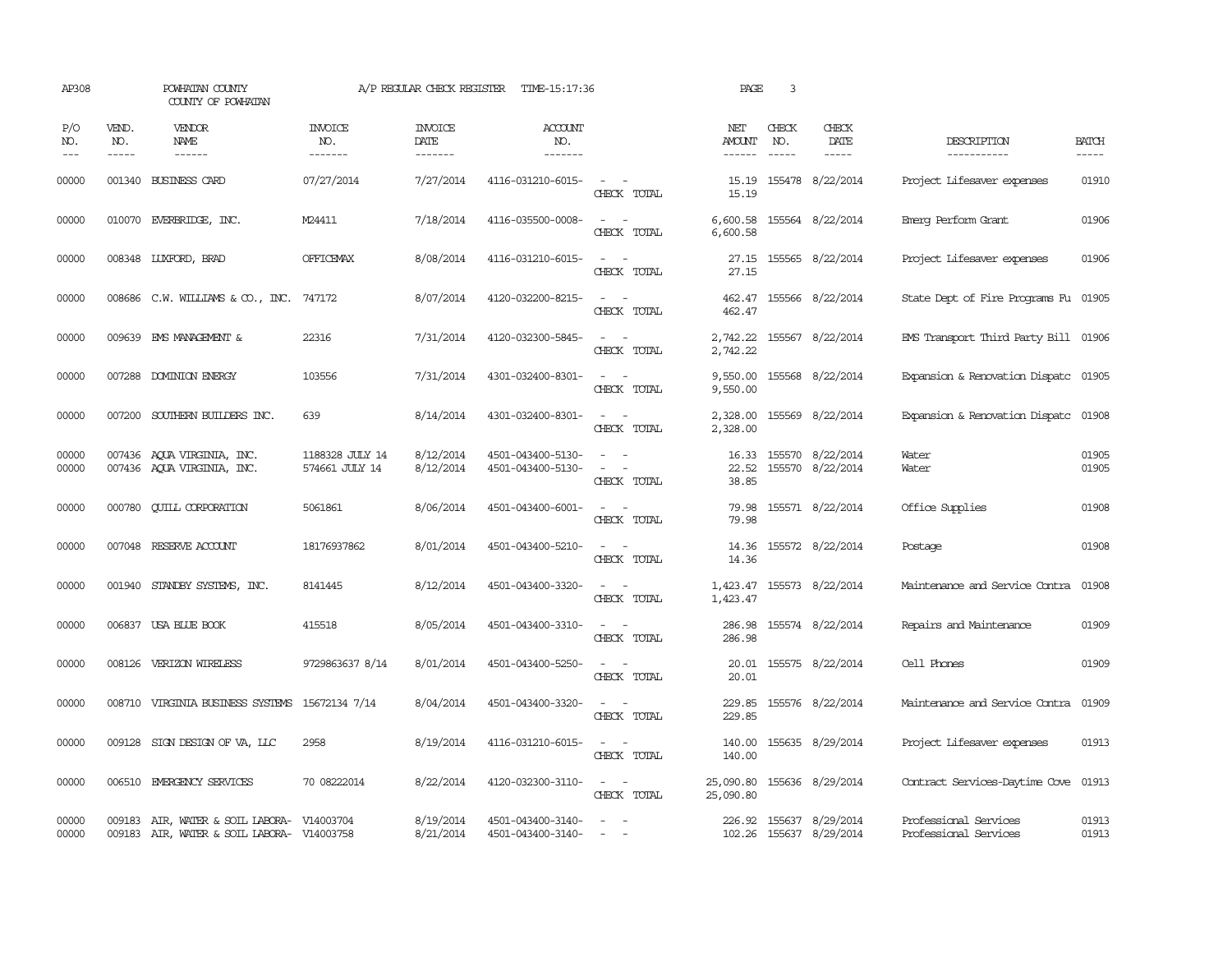| AP308                       |                             | POWHATAN COUNTY<br>COUNTY OF POWHATAN                                                    |                                   | A/P REGULAR CHECK REGISTER        | TIME-15:17:36                          |                                                                                                                             | PAGE                           | 3                             |                                                    |                                                |                       |
|-----------------------------|-----------------------------|------------------------------------------------------------------------------------------|-----------------------------------|-----------------------------------|----------------------------------------|-----------------------------------------------------------------------------------------------------------------------------|--------------------------------|-------------------------------|----------------------------------------------------|------------------------------------------------|-----------------------|
| P/O<br>NO.<br>$\frac{1}{2}$ | VEND.<br>NO.<br>$- - - - -$ | <b>VENDOR</b><br>NAME                                                                    | <b>INVOICE</b><br>NO.<br>-------  | <b>INVOICE</b><br>DATE<br>------- | <b>ACCOUNT</b><br>NO.<br>-------       |                                                                                                                             | NET<br>AMOUNT<br>$- - - - - -$ | CHECK<br>NO.<br>$\frac{1}{2}$ | CHECK<br>DATE                                      | DESCRIPTION<br>-----------                     | <b>BATCH</b><br>----- |
| 00000                       |                             | 001340 BUSINESS CARD                                                                     | 07/27/2014                        | 7/27/2014                         | 4116-031210-6015-                      | $\sim$<br>CHECK TOTAL                                                                                                       | 15.19<br>15.19                 |                               | 155478 8/22/2014                                   | Project Lifesaver expenses                     | 01910                 |
| 00000                       |                             | 010070 EVERBRIDGE, INC.                                                                  | M24411                            | 7/18/2014                         | 4116-035500-0008-                      | $\overline{\phantom{a}}$<br>$\sim$<br>CHECK TOTAL                                                                           | 6,600.58                       |                               | 6,600.58 155564 8/22/2014                          | Emerg Perform Grant                            | 01906                 |
| 00000                       |                             | 008348 LUXFORD, BRAD                                                                     | OFFICEMAX                         | 8/08/2014                         | 4116-031210-6015-                      | CHECK TOTAL                                                                                                                 | 27.15<br>27.15                 |                               | 155565 8/22/2014                                   | Project Lifesaver expenses                     | 01906                 |
| 00000                       |                             | 008686 C.W. WILLIAMS & CO., INC. 747172                                                  |                                   | 8/07/2014                         | 4120-032200-8215-                      | $\sim$ $\sim$<br>CHECK TOTAL                                                                                                | 462.47<br>462.47               |                               | 155566 8/22/2014                                   | State Dept of Fire Programs Fu 01905           |                       |
| 00000                       |                             | 009639 EMS MANAGEMENT &                                                                  | 22316                             | 7/31/2014                         | 4120-032300-5845-                      | $\sim$<br>CHECK TOTAL                                                                                                       | 2,742.22<br>2,742.22           |                               | 155567 8/22/2014                                   | EMS Transport Third Party Bill 01906           |                       |
| 00000                       |                             | 007288 DOMINION ENERGY                                                                   | 103556                            | 7/31/2014                         | 4301-032400-8301-                      | $ -$<br>CHECK TOTAL                                                                                                         | 9,550.00<br>9,550.00           |                               | 155568 8/22/2014                                   | Expansion & Renovation Dispatc 01905           |                       |
| 00000                       | 007200                      | SOUTHERN BUILDERS INC.                                                                   | 639                               | 8/14/2014                         | 4301-032400-8301-                      | CHECK TOTAL                                                                                                                 | 2,328.00<br>2,328.00           |                               | 155569 8/22/2014                                   | Expansion & Renovation Dispatc                 | 01908                 |
| 00000<br>00000              |                             | 007436 AQUA VIRGINIA, INC.<br>007436 AQUA VIRGINIA, INC.                                 | 1188328 JULY 14<br>574661 JULY 14 | 8/12/2014<br>8/12/2014            | 4501-043400-5130-<br>4501-043400-5130- | $\sim$<br>$\overline{\phantom{a}}$<br>CHECK TOTAL                                                                           | 16.33<br>22.52<br>38.85        |                               | 155570 8/22/2014<br>155570 8/22/2014               | Water<br>Water                                 | 01905<br>01905        |
| 00000                       | 000780                      | <b>CUILL CORPORATION</b>                                                                 | 5061861                           | 8/06/2014                         | 4501-043400-6001-                      | CHECK TOTAL                                                                                                                 | 79.98<br>79.98                 |                               | 155571 8/22/2014                                   | Office Supplies                                | 01908                 |
| 00000                       |                             | 007048 RESERVE ACCOUNT                                                                   | 18176937862                       | 8/01/2014                         | 4501-043400-5210-                      | CHECK TOTAL                                                                                                                 | 14.36<br>14.36                 |                               | 155572 8/22/2014                                   | Postage                                        | 01908                 |
| 00000                       |                             | 001940 STANDBY SYSTEMS, INC.                                                             | 8141445                           | 8/12/2014                         | 4501-043400-3320-                      | CHECK TOTAL                                                                                                                 | 1,423.47<br>1,423.47           |                               | 155573 8/22/2014                                   | Maintenance and Service Contra                 | 01908                 |
| 00000                       |                             | 006837 USA BLUE BOOK                                                                     | 415518                            | 8/05/2014                         | 4501-043400-3310-                      | $\sim$ 10 $\sim$<br>CHECK TOTAL                                                                                             | 286.98<br>286.98               |                               | 155574 8/22/2014                                   | Repairs and Maintenance                        | 01909                 |
| 00000                       |                             | 008126 VERIZON WIRELESS                                                                  | 9729863637 8/14                   | 8/01/2014                         | 4501-043400-5250-                      | CHECK TOTAL                                                                                                                 | 20.01<br>20.01                 |                               | 155575 8/22/2014                                   | Cell Phones                                    | 01909                 |
| 00000                       |                             | 008710 VIRGINIA BUSINESS SYSTEMS                                                         | 15672134 7/14                     | 8/04/2014                         | 4501-043400-3320-                      | $\frac{1}{2} \left( \frac{1}{2} \right) \left( \frac{1}{2} \right) = \frac{1}{2} \left( \frac{1}{2} \right)$<br>CHECK TOTAL | 229.85<br>229.85               |                               | 155576 8/22/2014                                   | Maintenance and Service Contra                 | 01909                 |
| 00000                       |                             | 009128 SIGN DESIGN OF VA, LLC                                                            | 2958                              | 8/19/2014                         | 4116-031210-6015-                      | $\sim$ $ \sim$<br>CHECK TOTAL                                                                                               | 140.00<br>140.00               |                               | 155635 8/29/2014                                   | Project Lifesaver expenses                     | 01913                 |
| 00000                       |                             | 006510 EMERGENCY SERVICES                                                                | 70 08222014                       | 8/22/2014                         | 4120-032300-3110-                      | $\frac{1}{2} \left( \frac{1}{2} \right) \left( \frac{1}{2} \right) = \frac{1}{2} \left( \frac{1}{2} \right)$<br>CHECK TOTAL | 25,090.80                      |                               | 25,090.80 155636 8/29/2014                         | Contract Services-Daytime Cove                 | 01913                 |
| 00000<br>00000              |                             | 009183 AIR, WATER & SOIL LABORA- V14003704<br>009183 AIR, WATER & SOIL LABORA- V14003758 |                                   | 8/19/2014<br>8/21/2014            | 4501-043400-3140-<br>4501-043400-3140- | $\equiv$                                                                                                                    |                                |                               | 226.92 155637 8/29/2014<br>102.26 155637 8/29/2014 | Professional Services<br>Professional Services | 01913<br>01913        |